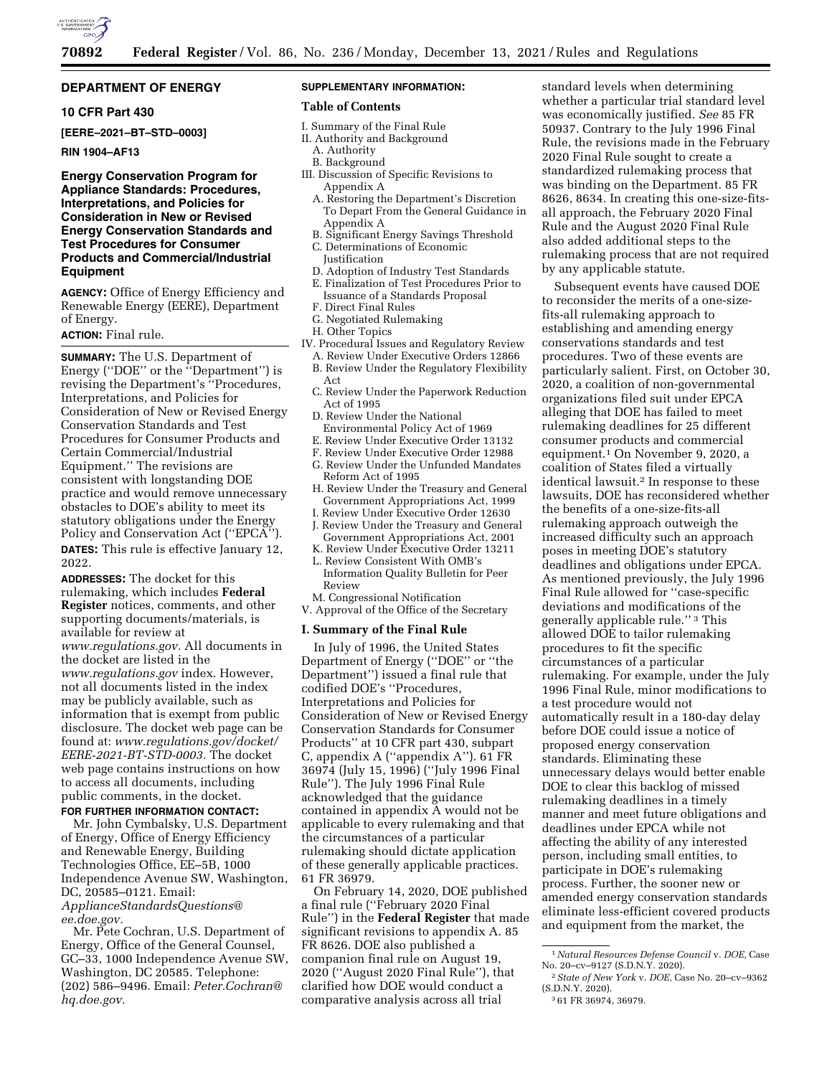

## **DEPARTMENT OF ENERGY**

## **10 CFR Part 430**

**[EERE–2021–BT–STD–0003]** 

### **RIN 1904–AF13**

## **Energy Conservation Program for Appliance Standards: Procedures, Interpretations, and Policies for Consideration in New or Revised Energy Conservation Standards and Test Procedures for Consumer Products and Commercial/Industrial Equipment**

**AGENCY:** Office of Energy Efficiency and Renewable Energy (EERE), Department of Energy.

## **ACTION:** Final rule.

**SUMMARY:** The U.S. Department of Energy (''DOE'' or the ''Department'') is revising the Department's ''Procedures, Interpretations, and Policies for Consideration of New or Revised Energy Conservation Standards and Test Procedures for Consumer Products and Certain Commercial/Industrial Equipment.'' The revisions are consistent with longstanding DOE practice and would remove unnecessary obstacles to DOE's ability to meet its statutory obligations under the Energy Policy and Conservation Act (''EPCA''). **DATES:** This rule is effective January 12, 2022.

**ADDRESSES:** The docket for this rulemaking, which includes **Federal Register** notices, comments, and other supporting documents/materials, is available for review at *[www.regulations.gov.](http://www.regulations.gov)* All documents in the docket are listed in the *[www.regulations.gov](http://www.regulations.gov)* index. However, not all documents listed in the index may be publicly available, such as information that is exempt from public disclosure. The docket web page can be found at: *[www.regulations.gov/docket/](http://www.regulations.gov/docket/EERE-2021-BT-STD-0003)  [EERE-2021-BT-STD-0003.](http://www.regulations.gov/docket/EERE-2021-BT-STD-0003)* The docket web page contains instructions on how to access all documents, including public comments, in the docket.

## **FOR FURTHER INFORMATION CONTACT:**

Mr. John Cymbalsky, U.S. Department of Energy, Office of Energy Efficiency and Renewable Energy, Building Technologies Office, EE–5B, 1000 Independence Avenue SW, Washington, DC, 20585–0121. Email: *[ApplianceStandardsQuestions@](mailto:ApplianceStandardsQuestions@ee.doe.gov) [ee.doe.gov.](mailto:ApplianceStandardsQuestions@ee.doe.gov)* 

Mr. Pete Cochran, U.S. Department of Energy, Office of the General Counsel, GC–33, 1000 Independence Avenue SW, Washington, DC 20585. Telephone: (202) 586–9496. Email: *[Peter.Cochran@](mailto:Peter.Cochran@hq.doe.gov) [hq.doe.gov.](mailto:Peter.Cochran@hq.doe.gov)* 

# **SUPPLEMENTARY INFORMATION:**

## **Table of Contents**

- I. Summary of the Final Rule
- II. Authority and Background
- A. Authority B. Background
- 
- III. Discussion of Specific Revisions to Appendix A
	- A. Restoring the Department's Discretion To Depart From the General Guidance in Appendix A
	- B. Significant Energy Savings Threshold C. Determinations of Economic
		- Justification
- D. Adoption of Industry Test Standards
- E. Finalization of Test Procedures Prior to
- Issuance of a Standards Proposal
- F. Direct Final Rules
- G. Negotiated Rulemaking
- H. Other Topics
- IV. Procedural Issues and Regulatory Review
	- A. Review Under Executive Orders 12866
	- B. Review Under the Regulatory Flexibility Act
	- C. Review Under the Paperwork Reduction Act of 1995
	- D. Review Under the National Environmental Policy Act of 1969
	- E. Review Under Executive Order 13132
	- F. Review Under Executive Order 12988
	- G. Review Under the Unfunded Mandates Reform Act of 1995
	- H. Review Under the Treasury and General Government Appropriations Act, 1999 I. Review Under Executive Order 12630
	-
	- J. Review Under the Treasury and General Government Appropriations Act, 2001
	- K. Review Under Executive Order 13211 L. Review Consistent With OMB's
	- Information Quality Bulletin for Peer Review
	- M. Congressional Notification
- V. Approval of the Office of the Secretary

#### **I. Summary of the Final Rule**

In July of 1996, the United States Department of Energy (''DOE'' or ''the Department'') issued a final rule that codified DOE's ''Procedures, Interpretations and Policies for Consideration of New or Revised Energy Conservation Standards for Consumer Products'' at 10 CFR part 430, subpart C, appendix A (''appendix A''). 61 FR 36974 (July 15, 1996) (''July 1996 Final Rule''). The July 1996 Final Rule acknowledged that the guidance contained in appendix A would not be applicable to every rulemaking and that the circumstances of a particular rulemaking should dictate application of these generally applicable practices. 61 FR 36979.

On February 14, 2020, DOE published a final rule (''February 2020 Final Rule'') in the **Federal Register** that made significant revisions to appendix A. 85 FR 8626. DOE also published a companion final rule on August 19, 2020 (''August 2020 Final Rule''), that clarified how DOE would conduct a comparative analysis across all trial

standard levels when determining whether a particular trial standard level was economically justified. *See* 85 FR 50937. Contrary to the July 1996 Final Rule, the revisions made in the February 2020 Final Rule sought to create a standardized rulemaking process that was binding on the Department. 85 FR 8626, 8634. In creating this one-size-fitsall approach, the February 2020 Final Rule and the August 2020 Final Rule also added additional steps to the rulemaking process that are not required by any applicable statute.

Subsequent events have caused DOE to reconsider the merits of a one-sizefits-all rulemaking approach to establishing and amending energy conservations standards and test procedures. Two of these events are particularly salient. First, on October 30, 2020, a coalition of non-governmental organizations filed suit under EPCA alleging that DOE has failed to meet rulemaking deadlines for 25 different consumer products and commercial equipment.1 On November 9, 2020, a coalition of States filed a virtually identical lawsuit.2 In response to these lawsuits, DOE has reconsidered whether the benefits of a one-size-fits-all rulemaking approach outweigh the increased difficulty such an approach poses in meeting DOE's statutory deadlines and obligations under EPCA. As mentioned previously, the July 1996 Final Rule allowed for ''case-specific deviations and modifications of the generally applicable rule.'' 3 This allowed DOE to tailor rulemaking procedures to fit the specific circumstances of a particular rulemaking. For example, under the July 1996 Final Rule, minor modifications to a test procedure would not automatically result in a 180-day delay before DOE could issue a notice of proposed energy conservation standards. Eliminating these unnecessary delays would better enable DOE to clear this backlog of missed rulemaking deadlines in a timely manner and meet future obligations and deadlines under EPCA while not affecting the ability of any interested person, including small entities, to participate in DOE's rulemaking process. Further, the sooner new or amended energy conservation standards eliminate less-efficient covered products and equipment from the market, the

<sup>1</sup>*Natural Resources Defense Council* v. *DOE,* Case No. 20–cv–9127 (S.D.N.Y. 2020).

<sup>2</sup>*State of New York* v. *DOE,* Case No. 20–cv–9362 (S.D.N.Y. 2020).

<sup>3</sup> 61 FR 36974, 36979.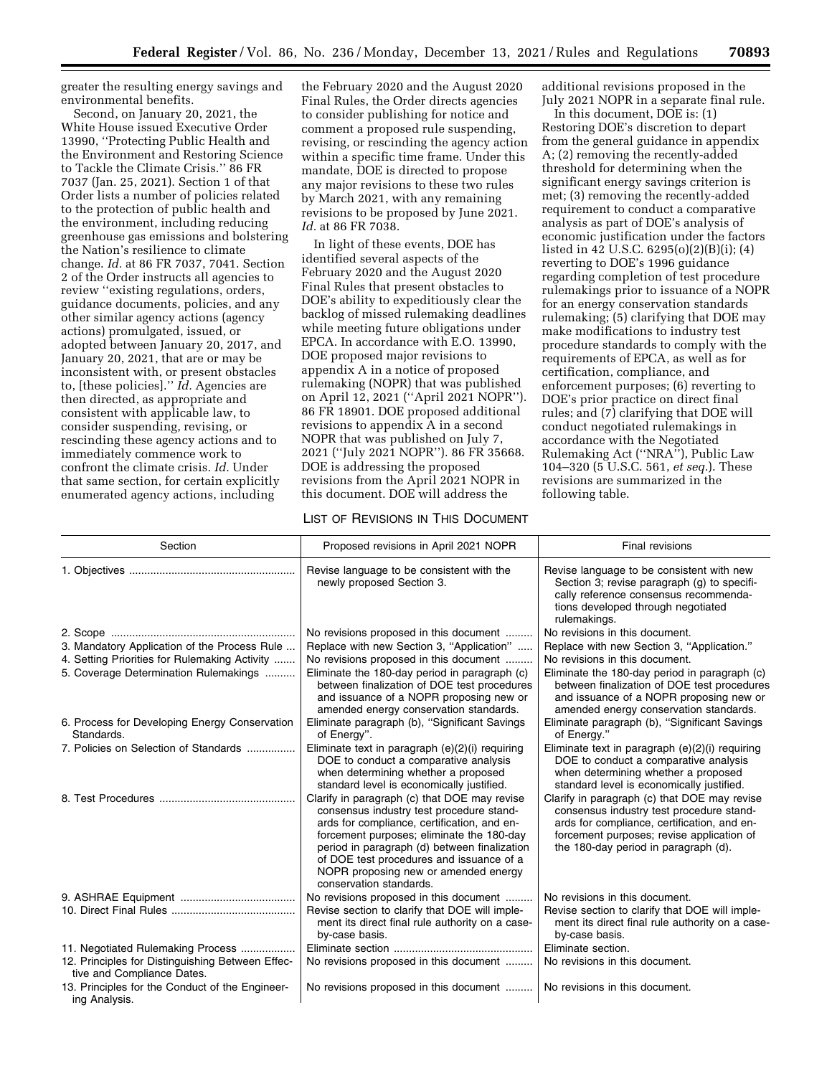greater the resulting energy savings and environmental benefits.

Second, on January 20, 2021, the White House issued Executive Order 13990, ''Protecting Public Health and the Environment and Restoring Science to Tackle the Climate Crisis.'' 86 FR 7037 (Jan. 25, 2021). Section 1 of that Order lists a number of policies related to the protection of public health and the environment, including reducing greenhouse gas emissions and bolstering the Nation's resilience to climate change. *Id.* at 86 FR 7037, 7041. Section 2 of the Order instructs all agencies to review ''existing regulations, orders, guidance documents, policies, and any other similar agency actions (agency actions) promulgated, issued, or adopted between January 20, 2017, and January 20, 2021, that are or may be inconsistent with, or present obstacles to, [these policies].'' *Id.* Agencies are then directed, as appropriate and consistent with applicable law, to consider suspending, revising, or rescinding these agency actions and to immediately commence work to confront the climate crisis. *Id.* Under that same section, for certain explicitly enumerated agency actions, including

the February 2020 and the August 2020 Final Rules, the Order directs agencies to consider publishing for notice and comment a proposed rule suspending, revising, or rescinding the agency action within a specific time frame. Under this mandate, DOE is directed to propose any major revisions to these two rules by March 2021, with any remaining revisions to be proposed by June 2021. *Id.* at 86 FR 7038.

In light of these events, DOE has identified several aspects of the February 2020 and the August 2020 Final Rules that present obstacles to DOE's ability to expeditiously clear the backlog of missed rulemaking deadlines while meeting future obligations under EPCA. In accordance with E.O. 13990, DOE proposed major revisions to appendix A in a notice of proposed rulemaking (NOPR) that was published on April 12, 2021 (''April 2021 NOPR''). 86 FR 18901. DOE proposed additional revisions to appendix A in a second NOPR that was published on July 7, 2021 (''July 2021 NOPR''). 86 FR 35668. DOE is addressing the proposed revisions from the April 2021 NOPR in this document. DOE will address the

### LIST OF REVISIONS IN THIS DOCUMENT

additional revisions proposed in the July 2021 NOPR in a separate final rule.

In this document, DOE is: (1) Restoring DOE's discretion to depart from the general guidance in appendix A; (2) removing the recently-added threshold for determining when the significant energy savings criterion is met; (3) removing the recently-added requirement to conduct a comparative analysis as part of DOE's analysis of economic justification under the factors listed in 42 U.S.C. 6295(o)(2)(B)(i); (4) reverting to DOE's 1996 guidance regarding completion of test procedure rulemakings prior to issuance of a NOPR for an energy conservation standards rulemaking; (5) clarifying that DOE may make modifications to industry test procedure standards to comply with the requirements of EPCA, as well as for certification, compliance, and enforcement purposes; (6) reverting to DOE's prior practice on direct final rules; and (7) clarifying that DOE will conduct negotiated rulemakings in accordance with the Negotiated Rulemaking Act (''NRA''), Public Law 104–320 (5 U.S.C. 561, *et seq.*). These revisions are summarized in the following table.

| Section                                                                        | Proposed revisions in April 2021 NOPR                                                                                                                                                                                                                                                                                                               | Final revisions                                                                                                                                                                                                              |
|--------------------------------------------------------------------------------|-----------------------------------------------------------------------------------------------------------------------------------------------------------------------------------------------------------------------------------------------------------------------------------------------------------------------------------------------------|------------------------------------------------------------------------------------------------------------------------------------------------------------------------------------------------------------------------------|
|                                                                                | Revise language to be consistent with the<br>newly proposed Section 3.                                                                                                                                                                                                                                                                              | Revise language to be consistent with new<br>Section 3; revise paragraph (g) to specifi-<br>cally reference consensus recommenda-<br>tions developed through negotiated<br>rulemakings.                                      |
|                                                                                | No revisions proposed in this document                                                                                                                                                                                                                                                                                                              | No revisions in this document.                                                                                                                                                                                               |
| 3. Mandatory Application of the Process Rule                                   | Replace with new Section 3, "Application"                                                                                                                                                                                                                                                                                                           | Replace with new Section 3, "Application."                                                                                                                                                                                   |
| 4. Setting Priorities for Rulemaking Activity                                  | No revisions proposed in this document                                                                                                                                                                                                                                                                                                              | No revisions in this document.                                                                                                                                                                                               |
| 5. Coverage Determination Rulemakings                                          | Eliminate the 180-day period in paragraph (c)<br>between finalization of DOE test procedures<br>and issuance of a NOPR proposing new or<br>amended energy conservation standards.                                                                                                                                                                   | Eliminate the 180-day period in paragraph (c)<br>between finalization of DOE test procedures<br>and issuance of a NOPR proposing new or<br>amended energy conservation standards.                                            |
| 6. Process for Developing Energy Conservation<br>Standards.                    | Eliminate paragraph (b), "Significant Savings<br>of Energy".                                                                                                                                                                                                                                                                                        | Eliminate paragraph (b), "Significant Savings<br>of Energy."                                                                                                                                                                 |
| 7. Policies on Selection of Standards                                          | Eliminate text in paragraph (e)(2)(i) requiring<br>DOE to conduct a comparative analysis<br>when determining whether a proposed<br>standard level is economically justified.                                                                                                                                                                        | Eliminate text in paragraph (e)(2)(i) requiring<br>DOE to conduct a comparative analysis<br>when determining whether a proposed<br>standard level is economically justified.                                                 |
|                                                                                | Clarify in paragraph (c) that DOE may revise<br>consensus industry test procedure stand-<br>ards for compliance, certification, and en-<br>forcement purposes; eliminate the 180-day<br>period in paragraph (d) between finalization<br>of DOE test procedures and issuance of a<br>NOPR proposing new or amended energy<br>conservation standards. | Clarify in paragraph (c) that DOE may revise<br>consensus industry test procedure stand-<br>ards for compliance, certification, and en-<br>forcement purposes; revise application of<br>the 180-day period in paragraph (d). |
|                                                                                | No revisions proposed in this document                                                                                                                                                                                                                                                                                                              | No revisions in this document.                                                                                                                                                                                               |
|                                                                                | Revise section to clarify that DOE will imple-<br>ment its direct final rule authority on a case-<br>by-case basis.                                                                                                                                                                                                                                 | Revise section to clarify that DOE will imple-<br>ment its direct final rule authority on a case-<br>by-case basis.                                                                                                          |
| 11. Negotiated Rulemaking Process                                              |                                                                                                                                                                                                                                                                                                                                                     | Eliminate section.                                                                                                                                                                                                           |
| 12. Principles for Distinguishing Between Effec-<br>tive and Compliance Dates. | No revisions proposed in this document                                                                                                                                                                                                                                                                                                              | No revisions in this document.                                                                                                                                                                                               |
| 13. Principles for the Conduct of the Engineer-<br>ing Analysis.               | No revisions proposed in this document                                                                                                                                                                                                                                                                                                              | No revisions in this document.                                                                                                                                                                                               |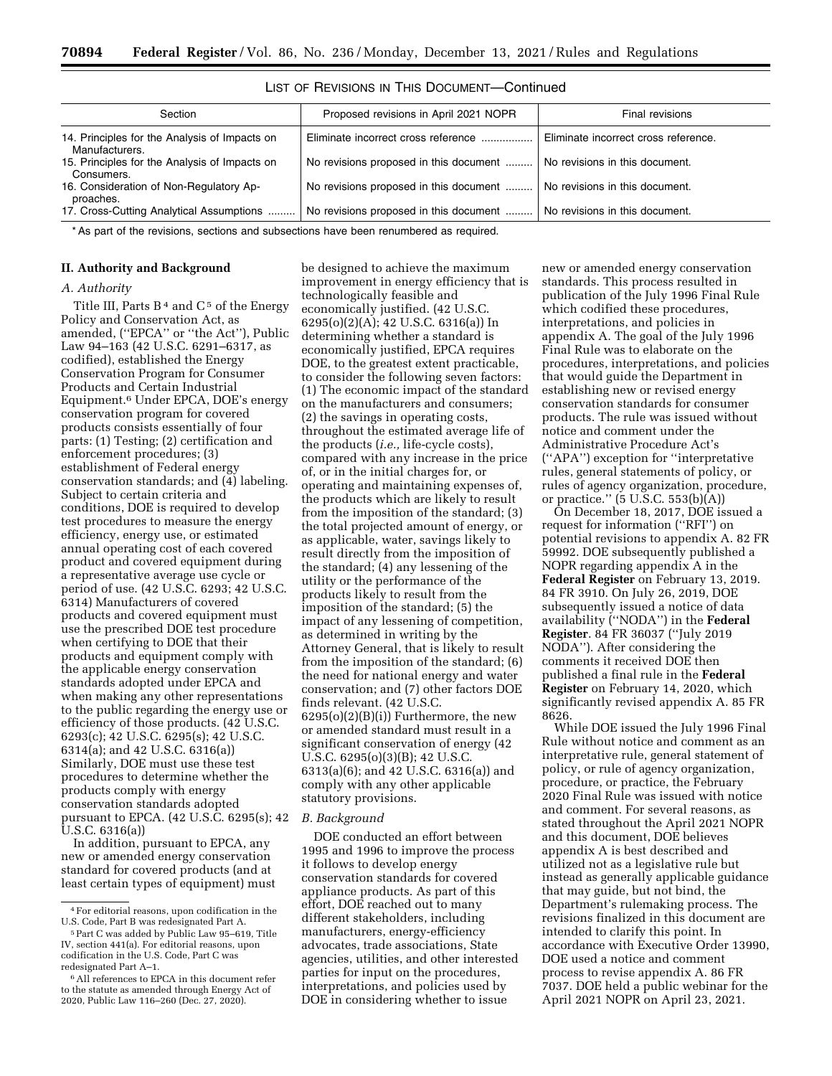| Section                                                         | Proposed revisions in April 2021 NOPR  | Final revisions                      |
|-----------------------------------------------------------------|----------------------------------------|--------------------------------------|
| 14. Principles for the Analysis of Impacts on<br>Manufacturers. | Eliminate incorrect cross reference    | Eliminate incorrect cross reference. |
| 15. Principles for the Analysis of Impacts on<br>Consumers.     | No revisions proposed in this document | No revisions in this document.       |
| 16. Consideration of Non-Regulatory Ap-<br>proaches.            | No revisions proposed in this document | No revisions in this document.       |
| 17. Cross-Cutting Analytical Assumptions                        | No revisions proposed in this document | No revisions in this document.       |

LIST OF REVISIONS IN THIS DOCUMENT—Continued

\* As part of the revisions, sections and subsections have been renumbered as required.

### **II. Authority and Background**

### *A. Authority*

Title III, Parts  $B<sup>4</sup>$  and  $C<sup>5</sup>$  of the Energy Policy and Conservation Act, as amended, (''EPCA'' or ''the Act''), Public Law 94–163 (42 U.S.C. 6291–6317, as codified), established the Energy Conservation Program for Consumer Products and Certain Industrial Equipment.6 Under EPCA, DOE's energy conservation program for covered products consists essentially of four parts: (1) Testing; (2) certification and enforcement procedures; (3) establishment of Federal energy conservation standards; and (4) labeling. Subject to certain criteria and conditions, DOE is required to develop test procedures to measure the energy efficiency, energy use, or estimated annual operating cost of each covered product and covered equipment during a representative average use cycle or period of use. (42 U.S.C. 6293; 42 U.S.C. 6314) Manufacturers of covered products and covered equipment must use the prescribed DOE test procedure when certifying to DOE that their products and equipment comply with the applicable energy conservation standards adopted under EPCA and when making any other representations to the public regarding the energy use or efficiency of those products. (42 U.S.C. 6293(c); 42 U.S.C. 6295(s); 42 U.S.C. 6314(a); and 42 U.S.C. 6316(a)) Similarly, DOE must use these test procedures to determine whether the products comply with energy conservation standards adopted pursuant to EPCA. (42 U.S.C. 6295(s); 42 U.S.C. 6316(a))

In addition, pursuant to EPCA, any new or amended energy conservation standard for covered products (and at least certain types of equipment) must

be designed to achieve the maximum improvement in energy efficiency that is technologically feasible and economically justified. (42 U.S.C. 6295(o)(2)(A); 42 U.S.C. 6316(a)) In determining whether a standard is economically justified, EPCA requires DOE, to the greatest extent practicable, to consider the following seven factors: (1) The economic impact of the standard on the manufacturers and consumers; (2) the savings in operating costs, throughout the estimated average life of the products (*i.e.,* life-cycle costs), compared with any increase in the price of, or in the initial charges for, or operating and maintaining expenses of, the products which are likely to result from the imposition of the standard; (3) the total projected amount of energy, or as applicable, water, savings likely to result directly from the imposition of the standard; (4) any lessening of the utility or the performance of the products likely to result from the imposition of the standard; (5) the impact of any lessening of competition, as determined in writing by the Attorney General, that is likely to result from the imposition of the standard; (6) the need for national energy and water conservation; and (7) other factors DOE finds relevant. (42 U.S.C.  $6295(o)(2)(B(i))$  Furthermore, the new or amended standard must result in a significant conservation of energy (42 U.S.C. 6295(o)(3)(B); 42 U.S.C. 6313(a)(6); and 42 U.S.C. 6316(a)) and comply with any other applicable statutory provisions.

#### *B. Background*

DOE conducted an effort between 1995 and 1996 to improve the process it follows to develop energy conservation standards for covered appliance products. As part of this effort, DOE reached out to many different stakeholders, including manufacturers, energy-efficiency advocates, trade associations, State agencies, utilities, and other interested parties for input on the procedures, interpretations, and policies used by DOE in considering whether to issue

new or amended energy conservation standards. This process resulted in publication of the July 1996 Final Rule which codified these procedures, interpretations, and policies in appendix A. The goal of the July 1996 Final Rule was to elaborate on the procedures, interpretations, and policies that would guide the Department in establishing new or revised energy conservation standards for consumer products. The rule was issued without notice and comment under the Administrative Procedure Act's (''APA'') exception for ''interpretative rules, general statements of policy, or rules of agency organization, procedure, or practice."  $(5 \text{ U.S.C. } 553(b)(A))$ 

On December 18, 2017, DOE issued a request for information (''RFI'') on potential revisions to appendix A. 82 FR 59992. DOE subsequently published a NOPR regarding appendix A in the **Federal Register** on February 13, 2019. 84 FR 3910. On July 26, 2019, DOE subsequently issued a notice of data availability (''NODA'') in the **Federal Register**. 84 FR 36037 (''July 2019 NODA''). After considering the comments it received DOE then published a final rule in the **Federal Register** on February 14, 2020, which significantly revised appendix A. 85 FR 8626.

While DOE issued the July 1996 Final Rule without notice and comment as an interpretative rule, general statement of policy, or rule of agency organization, procedure, or practice, the February 2020 Final Rule was issued with notice and comment. For several reasons, as stated throughout the April 2021 NOPR and this document, DOE believes appendix A is best described and utilized not as a legislative rule but instead as generally applicable guidance that may guide, but not bind, the Department's rulemaking process. The revisions finalized in this document are intended to clarify this point. In accordance with Executive Order 13990, DOE used a notice and comment process to revise appendix A. 86 FR 7037. DOE held a public webinar for the April 2021 NOPR on April 23, 2021.

<sup>4</sup>For editorial reasons, upon codification in the U.S. Code, Part B was redesignated Part A.

<sup>5</sup>Part C was added by Public Law 95–619, Title IV, section 441(a). For editorial reasons, upon codification in the U.S. Code, Part C was redesignated Part A–1.

<sup>6</sup>All references to EPCA in this document refer to the statute as amended through Energy Act of 2020, Public Law 116–260 (Dec. 27, 2020).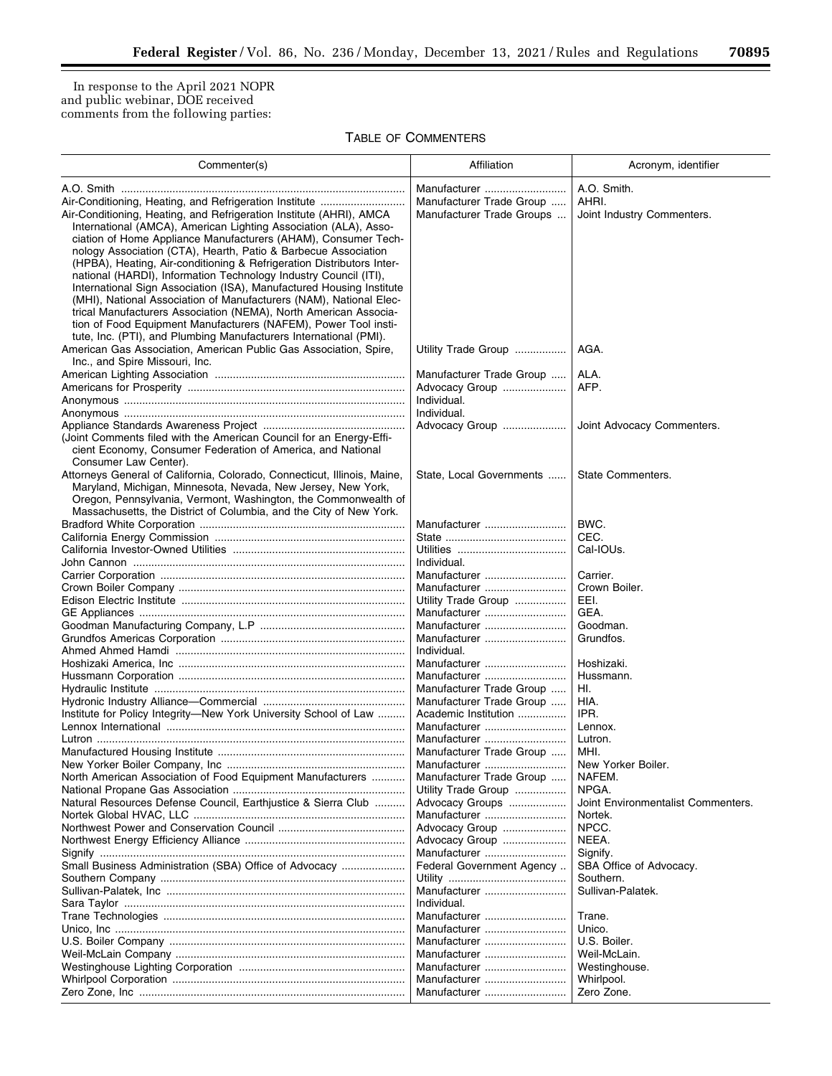▀

In response to the April 2021 NOPR and public webinar, DOE received comments from the following parties:

# TABLE OF COMMENTERS

| Commenter(s)                                                                                                                                                                                                                                                                                                                                                                                                                                                                                                                                                                                                                                                                                                                                                                       | Affiliation                              | Acronym, identifier                  |
|------------------------------------------------------------------------------------------------------------------------------------------------------------------------------------------------------------------------------------------------------------------------------------------------------------------------------------------------------------------------------------------------------------------------------------------------------------------------------------------------------------------------------------------------------------------------------------------------------------------------------------------------------------------------------------------------------------------------------------------------------------------------------------|------------------------------------------|--------------------------------------|
| Air-Conditioning, Heating, and Refrigeration Institute                                                                                                                                                                                                                                                                                                                                                                                                                                                                                                                                                                                                                                                                                                                             | Manufacturer<br>Manufacturer Trade Group | A.O. Smith.<br>AHRI.                 |
| Air-Conditioning, Heating, and Refrigeration Institute (AHRI), AMCA<br>International (AMCA), American Lighting Association (ALA), Asso-<br>ciation of Home Appliance Manufacturers (AHAM), Consumer Tech-<br>nology Association (CTA), Hearth, Patio & Barbecue Association<br>(HPBA), Heating, Air-conditioning & Refrigeration Distributors Inter-<br>national (HARDI), Information Technology Industry Council (ITI),<br>International Sign Association (ISA), Manufactured Housing Institute<br>(MHI), National Association of Manufacturers (NAM), National Elec-<br>trical Manufacturers Association (NEMA), North American Associa-<br>tion of Food Equipment Manufacturers (NAFEM), Power Tool insti-<br>tute, Inc. (PTI), and Plumbing Manufacturers International (PMI). | Manufacturer Trade Groups                | Joint Industry Commenters.           |
| American Gas Association, American Public Gas Association, Spire,<br>Inc., and Spire Missouri, Inc.                                                                                                                                                                                                                                                                                                                                                                                                                                                                                                                                                                                                                                                                                | Utility Trade Group                      | AGA.                                 |
|                                                                                                                                                                                                                                                                                                                                                                                                                                                                                                                                                                                                                                                                                                                                                                                    | Manufacturer Trade Group                 | ALA.                                 |
|                                                                                                                                                                                                                                                                                                                                                                                                                                                                                                                                                                                                                                                                                                                                                                                    | Advocacy Group                           | AFP.                                 |
|                                                                                                                                                                                                                                                                                                                                                                                                                                                                                                                                                                                                                                                                                                                                                                                    | Individual.                              |                                      |
|                                                                                                                                                                                                                                                                                                                                                                                                                                                                                                                                                                                                                                                                                                                                                                                    | Individual.                              |                                      |
|                                                                                                                                                                                                                                                                                                                                                                                                                                                                                                                                                                                                                                                                                                                                                                                    | Advocacy Group                           | Joint Advocacy Commenters.           |
| (Joint Comments filed with the American Council for an Energy-Effi-<br>cient Economy, Consumer Federation of America, and National<br>Consumer Law Center).                                                                                                                                                                                                                                                                                                                                                                                                                                                                                                                                                                                                                        |                                          |                                      |
| Attorneys General of California, Colorado, Connecticut, Illinois, Maine,<br>Maryland, Michigan, Minnesota, Nevada, New Jersey, New York,<br>Oregon, Pennsylvania, Vermont, Washington, the Commonwealth of<br>Massachusetts, the District of Columbia, and the City of New York.                                                                                                                                                                                                                                                                                                                                                                                                                                                                                                   | State, Local Governments                 | State Commenters.                    |
|                                                                                                                                                                                                                                                                                                                                                                                                                                                                                                                                                                                                                                                                                                                                                                                    | Manufacturer                             | BWC.                                 |
|                                                                                                                                                                                                                                                                                                                                                                                                                                                                                                                                                                                                                                                                                                                                                                                    |                                          | CEC.                                 |
|                                                                                                                                                                                                                                                                                                                                                                                                                                                                                                                                                                                                                                                                                                                                                                                    |                                          | Cal-IOUs.                            |
|                                                                                                                                                                                                                                                                                                                                                                                                                                                                                                                                                                                                                                                                                                                                                                                    | Individual.                              |                                      |
|                                                                                                                                                                                                                                                                                                                                                                                                                                                                                                                                                                                                                                                                                                                                                                                    | Manufacturer                             | Carrier.                             |
|                                                                                                                                                                                                                                                                                                                                                                                                                                                                                                                                                                                                                                                                                                                                                                                    |                                          | Crown Boiler.                        |
|                                                                                                                                                                                                                                                                                                                                                                                                                                                                                                                                                                                                                                                                                                                                                                                    | Manufacturer                             |                                      |
|                                                                                                                                                                                                                                                                                                                                                                                                                                                                                                                                                                                                                                                                                                                                                                                    | Utility Trade Group                      | EEI.                                 |
|                                                                                                                                                                                                                                                                                                                                                                                                                                                                                                                                                                                                                                                                                                                                                                                    | Manufacturer                             | GEA.                                 |
|                                                                                                                                                                                                                                                                                                                                                                                                                                                                                                                                                                                                                                                                                                                                                                                    | Manufacturer                             | Goodman.                             |
|                                                                                                                                                                                                                                                                                                                                                                                                                                                                                                                                                                                                                                                                                                                                                                                    | Manufacturer                             | Grundfos.                            |
|                                                                                                                                                                                                                                                                                                                                                                                                                                                                                                                                                                                                                                                                                                                                                                                    | Individual.                              |                                      |
|                                                                                                                                                                                                                                                                                                                                                                                                                                                                                                                                                                                                                                                                                                                                                                                    | Manufacturer                             | Hoshizaki.                           |
|                                                                                                                                                                                                                                                                                                                                                                                                                                                                                                                                                                                                                                                                                                                                                                                    | Manufacturer                             | Hussmann.                            |
|                                                                                                                                                                                                                                                                                                                                                                                                                                                                                                                                                                                                                                                                                                                                                                                    | Manufacturer Trade Group                 | HI.                                  |
|                                                                                                                                                                                                                                                                                                                                                                                                                                                                                                                                                                                                                                                                                                                                                                                    | Manufacturer Trade Group                 | HIA.                                 |
| Institute for Policy Integrity-New York University School of Law                                                                                                                                                                                                                                                                                                                                                                                                                                                                                                                                                                                                                                                                                                                   | Academic Institution                     | IPR.                                 |
|                                                                                                                                                                                                                                                                                                                                                                                                                                                                                                                                                                                                                                                                                                                                                                                    | Manufacturer                             | Lennox.                              |
|                                                                                                                                                                                                                                                                                                                                                                                                                                                                                                                                                                                                                                                                                                                                                                                    | Manufacturer                             | Lutron.                              |
|                                                                                                                                                                                                                                                                                                                                                                                                                                                                                                                                                                                                                                                                                                                                                                                    | Manufacturer Trade Group                 | MHI.                                 |
|                                                                                                                                                                                                                                                                                                                                                                                                                                                                                                                                                                                                                                                                                                                                                                                    | Manufacturer                             | New Yorker Boiler.                   |
| North American Association of Food Equipment Manufacturers                                                                                                                                                                                                                                                                                                                                                                                                                                                                                                                                                                                                                                                                                                                         | Manufacturer Trade Group                 | NAFEM.                               |
|                                                                                                                                                                                                                                                                                                                                                                                                                                                                                                                                                                                                                                                                                                                                                                                    | Utility Trade Group                      | NPGA.                                |
| Natural Resources Defense Council, Earthjustice & Sierra Club                                                                                                                                                                                                                                                                                                                                                                                                                                                                                                                                                                                                                                                                                                                      | Advocacy Groups                          | Joint Environmentalist Commenters.   |
|                                                                                                                                                                                                                                                                                                                                                                                                                                                                                                                                                                                                                                                                                                                                                                                    |                                          | Nortek.                              |
|                                                                                                                                                                                                                                                                                                                                                                                                                                                                                                                                                                                                                                                                                                                                                                                    | Manufacturer                             |                                      |
|                                                                                                                                                                                                                                                                                                                                                                                                                                                                                                                                                                                                                                                                                                                                                                                    | Advocacy Group                           | NPCC.                                |
|                                                                                                                                                                                                                                                                                                                                                                                                                                                                                                                                                                                                                                                                                                                                                                                    | Advocacy Group                           | NEEA.                                |
|                                                                                                                                                                                                                                                                                                                                                                                                                                                                                                                                                                                                                                                                                                                                                                                    | Manufacturer                             | Signify.                             |
| Small Business Administration (SBA) Office of Advocacy                                                                                                                                                                                                                                                                                                                                                                                                                                                                                                                                                                                                                                                                                                                             | Federal Government Agency                | SBA Office of Advocacy.<br>Southern. |
|                                                                                                                                                                                                                                                                                                                                                                                                                                                                                                                                                                                                                                                                                                                                                                                    | Manufacturer                             | Sullivan-Palatek.                    |
|                                                                                                                                                                                                                                                                                                                                                                                                                                                                                                                                                                                                                                                                                                                                                                                    | Individual.                              |                                      |
|                                                                                                                                                                                                                                                                                                                                                                                                                                                                                                                                                                                                                                                                                                                                                                                    | Manufacturer                             | Trane.                               |
|                                                                                                                                                                                                                                                                                                                                                                                                                                                                                                                                                                                                                                                                                                                                                                                    | Manufacturer                             | Unico.                               |
|                                                                                                                                                                                                                                                                                                                                                                                                                                                                                                                                                                                                                                                                                                                                                                                    | Manufacturer                             | U.S. Boiler.                         |
|                                                                                                                                                                                                                                                                                                                                                                                                                                                                                                                                                                                                                                                                                                                                                                                    | Manufacturer                             | Weil-McLain.                         |
|                                                                                                                                                                                                                                                                                                                                                                                                                                                                                                                                                                                                                                                                                                                                                                                    |                                          |                                      |
|                                                                                                                                                                                                                                                                                                                                                                                                                                                                                                                                                                                                                                                                                                                                                                                    | Manufacturer                             | Westinghouse.                        |
|                                                                                                                                                                                                                                                                                                                                                                                                                                                                                                                                                                                                                                                                                                                                                                                    | Manufacturer                             | Whirlpool.                           |
|                                                                                                                                                                                                                                                                                                                                                                                                                                                                                                                                                                                                                                                                                                                                                                                    | Manufacturer                             | Zero Zone.                           |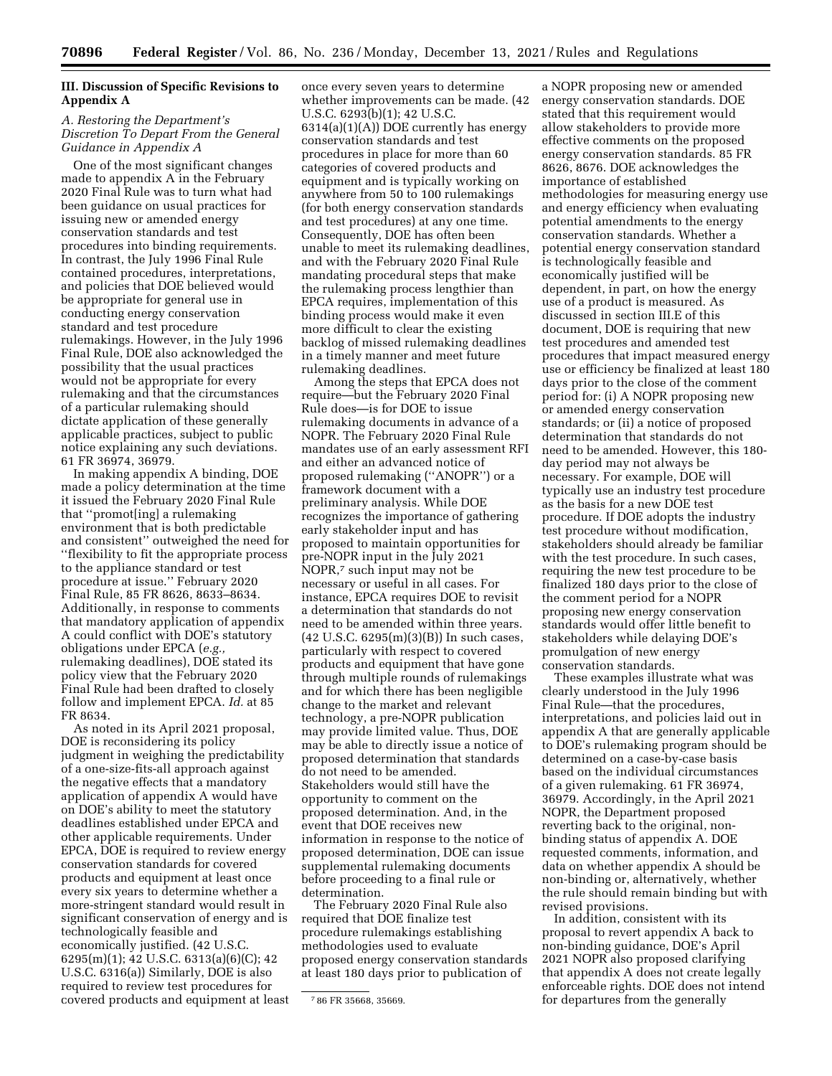## **III. Discussion of Specific Revisions to Appendix A**

## *A. Restoring the Department's Discretion To Depart From the General Guidance in Appendix A*

One of the most significant changes made to appendix A in the February 2020 Final Rule was to turn what had been guidance on usual practices for issuing new or amended energy conservation standards and test procedures into binding requirements. In contrast, the July 1996 Final Rule contained procedures, interpretations, and policies that DOE believed would be appropriate for general use in conducting energy conservation standard and test procedure rulemakings. However, in the July 1996 Final Rule, DOE also acknowledged the possibility that the usual practices would not be appropriate for every rulemaking and that the circumstances of a particular rulemaking should dictate application of these generally applicable practices, subject to public notice explaining any such deviations. 61 FR 36974, 36979.

In making appendix A binding, DOE made a policy determination at the time it issued the February 2020 Final Rule that ''promot[ing] a rulemaking environment that is both predictable and consistent'' outweighed the need for ''flexibility to fit the appropriate process to the appliance standard or test procedure at issue.'' February 2020 Final Rule, 85 FR 8626, 8633–8634. Additionally, in response to comments that mandatory application of appendix A could conflict with DOE's statutory obligations under EPCA (*e.g.,*  rulemaking deadlines), DOE stated its policy view that the February 2020 Final Rule had been drafted to closely follow and implement EPCA. *Id.* at 85 FR 8634.

As noted in its April 2021 proposal, DOE is reconsidering its policy judgment in weighing the predictability of a one-size-fits-all approach against the negative effects that a mandatory application of appendix A would have on DOE's ability to meet the statutory deadlines established under EPCA and other applicable requirements. Under EPCA, DOE is required to review energy conservation standards for covered products and equipment at least once every six years to determine whether a more-stringent standard would result in significant conservation of energy and is technologically feasible and economically justified. (42 U.S.C. 6295(m)(1); 42 U.S.C. 6313(a)(6)(C); 42 U.S.C. 6316(a)) Similarly, DOE is also required to review test procedures for covered products and equipment at least

once every seven years to determine whether improvements can be made. (42 U.S.C. 6293(b)(1); 42 U.S.C. 6314(a)(1)(A)) DOE currently has energy conservation standards and test procedures in place for more than 60 categories of covered products and equipment and is typically working on anywhere from 50 to 100 rulemakings (for both energy conservation standards and test procedures) at any one time. Consequently, DOE has often been unable to meet its rulemaking deadlines, and with the February 2020 Final Rule mandating procedural steps that make the rulemaking process lengthier than EPCA requires, implementation of this binding process would make it even more difficult to clear the existing backlog of missed rulemaking deadlines in a timely manner and meet future rulemaking deadlines.

Among the steps that EPCA does not require—but the February 2020 Final Rule does—is for DOE to issue rulemaking documents in advance of a NOPR. The February 2020 Final Rule mandates use of an early assessment RFI and either an advanced notice of proposed rulemaking (''ANOPR'') or a framework document with a preliminary analysis. While DOE recognizes the importance of gathering early stakeholder input and has proposed to maintain opportunities for pre-NOPR input in the July 2021 NOPR,7 such input may not be necessary or useful in all cases. For instance, EPCA requires DOE to revisit a determination that standards do not need to be amended within three years.  $(42 \text{ U.S.C. } 6295(m)(3)(B))$  In such cases, particularly with respect to covered products and equipment that have gone through multiple rounds of rulemakings and for which there has been negligible change to the market and relevant technology, a pre-NOPR publication may provide limited value. Thus, DOE may be able to directly issue a notice of proposed determination that standards do not need to be amended. Stakeholders would still have the opportunity to comment on the proposed determination. And, in the event that DOE receives new information in response to the notice of proposed determination, DOE can issue supplemental rulemaking documents before proceeding to a final rule or determination.

The February 2020 Final Rule also required that DOE finalize test procedure rulemakings establishing methodologies used to evaluate proposed energy conservation standards at least 180 days prior to publication of

a NOPR proposing new or amended energy conservation standards. DOE stated that this requirement would allow stakeholders to provide more effective comments on the proposed energy conservation standards. 85 FR 8626, 8676. DOE acknowledges the importance of established methodologies for measuring energy use and energy efficiency when evaluating potential amendments to the energy conservation standards. Whether a potential energy conservation standard is technologically feasible and economically justified will be dependent, in part, on how the energy use of a product is measured. As discussed in section III.E of this document, DOE is requiring that new test procedures and amended test procedures that impact measured energy use or efficiency be finalized at least 180 days prior to the close of the comment period for: (i) A NOPR proposing new or amended energy conservation standards; or (ii) a notice of proposed determination that standards do not need to be amended. However, this 180 day period may not always be necessary. For example, DOE will typically use an industry test procedure as the basis for a new DOE test procedure. If DOE adopts the industry test procedure without modification, stakeholders should already be familiar with the test procedure. In such cases, requiring the new test procedure to be finalized 180 days prior to the close of the comment period for a NOPR proposing new energy conservation standards would offer little benefit to stakeholders while delaying DOE's promulgation of new energy conservation standards.

These examples illustrate what was clearly understood in the July 1996 Final Rule—that the procedures, interpretations, and policies laid out in appendix A that are generally applicable to DOE's rulemaking program should be determined on a case-by-case basis based on the individual circumstances of a given rulemaking. 61 FR 36974, 36979. Accordingly, in the April 2021 NOPR, the Department proposed reverting back to the original, nonbinding status of appendix A. DOE requested comments, information, and data on whether appendix A should be non-binding or, alternatively, whether the rule should remain binding but with revised provisions.

In addition, consistent with its proposal to revert appendix A back to non-binding guidance, DOE's April 2021 NOPR also proposed clarifying that appendix A does not create legally enforceable rights. DOE does not intend for departures from the generally

<sup>7</sup> 86 FR 35668, 35669.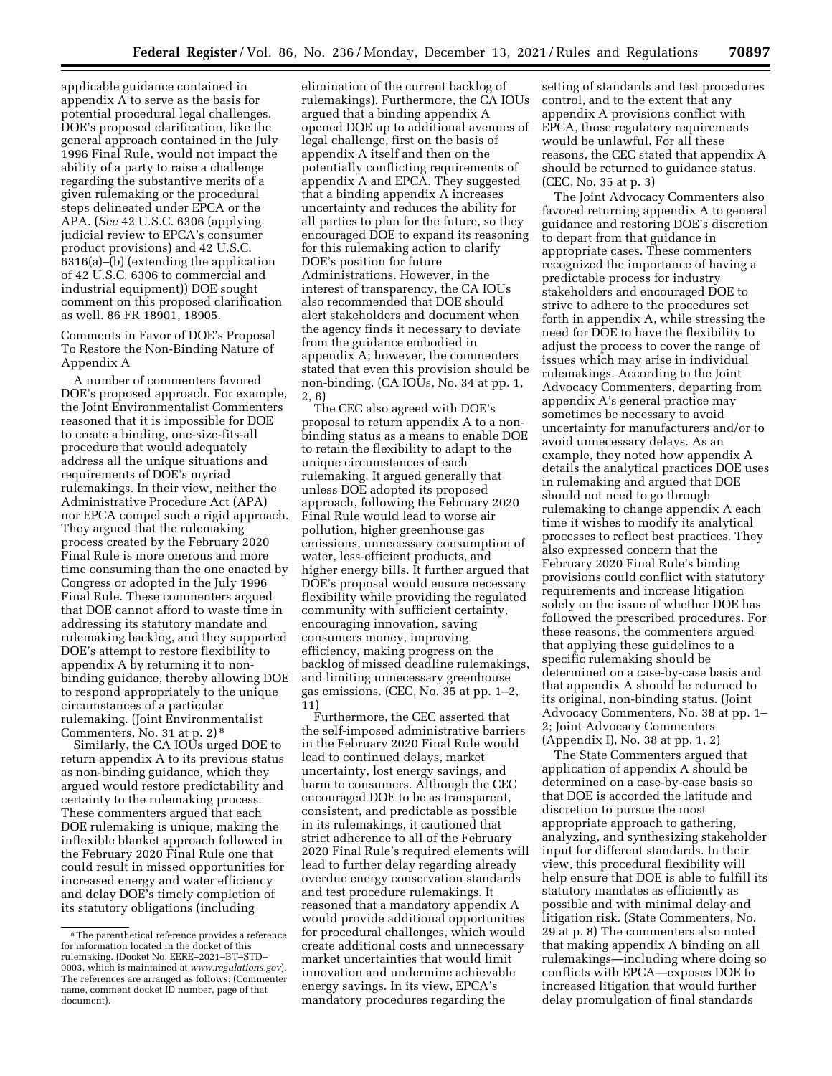applicable guidance contained in appendix A to serve as the basis for potential procedural legal challenges. DOE's proposed clarification, like the general approach contained in the July 1996 Final Rule, would not impact the ability of a party to raise a challenge regarding the substantive merits of a given rulemaking or the procedural steps delineated under EPCA or the APA. (*See* 42 U.S.C. 6306 (applying judicial review to EPCA's consumer product provisions) and 42 U.S.C. 6316(a)–(b) (extending the application of 42 U.S.C. 6306 to commercial and industrial equipment)) DOE sought comment on this proposed clarification as well. 86 FR 18901, 18905.

Comments in Favor of DOE's Proposal To Restore the Non-Binding Nature of Appendix A

A number of commenters favored DOE's proposed approach. For example, the Joint Environmentalist Commenters reasoned that it is impossible for DOE to create a binding, one-size-fits-all procedure that would adequately address all the unique situations and requirements of DOE's myriad rulemakings. In their view, neither the Administrative Procedure Act (APA) nor EPCA compel such a rigid approach. They argued that the rulemaking process created by the February 2020 Final Rule is more onerous and more time consuming than the one enacted by Congress or adopted in the July 1996 Final Rule. These commenters argued that DOE cannot afford to waste time in addressing its statutory mandate and rulemaking backlog, and they supported DOE's attempt to restore flexibility to appendix A by returning it to nonbinding guidance, thereby allowing DOE to respond appropriately to the unique circumstances of a particular rulemaking. (Joint Environmentalist Commenters, No. 31 at p. 2) 8

Similarly, the CA IOUs urged DOE to return appendix A to its previous status as non-binding guidance, which they argued would restore predictability and certainty to the rulemaking process. These commenters argued that each DOE rulemaking is unique, making the inflexible blanket approach followed in the February 2020 Final Rule one that could result in missed opportunities for increased energy and water efficiency and delay DOE's timely completion of its statutory obligations (including

elimination of the current backlog of rulemakings). Furthermore, the CA IOUs argued that a binding appendix A opened DOE up to additional avenues of legal challenge, first on the basis of appendix A itself and then on the potentially conflicting requirements of appendix A and EPCA. They suggested that a binding appendix A increases uncertainty and reduces the ability for all parties to plan for the future, so they encouraged DOE to expand its reasoning for this rulemaking action to clarify DOE's position for future Administrations. However, in the interest of transparency, the CA IOUs also recommended that DOE should alert stakeholders and document when the agency finds it necessary to deviate from the guidance embodied in appendix A; however, the commenters stated that even this provision should be non-binding. (CA IOUs, No. 34 at pp. 1, 2, 6)

The CEC also agreed with DOE's proposal to return appendix A to a nonbinding status as a means to enable DOE to retain the flexibility to adapt to the unique circumstances of each rulemaking. It argued generally that unless DOE adopted its proposed approach, following the February 2020 Final Rule would lead to worse air pollution, higher greenhouse gas emissions, unnecessary consumption of water, less-efficient products, and higher energy bills. It further argued that DOE's proposal would ensure necessary flexibility while providing the regulated community with sufficient certainty, encouraging innovation, saving consumers money, improving efficiency, making progress on the backlog of missed deadline rulemakings, and limiting unnecessary greenhouse gas emissions. (CEC, No. 35 at pp. 1–2, 11)

Furthermore, the CEC asserted that the self-imposed administrative barriers in the February 2020 Final Rule would lead to continued delays, market uncertainty, lost energy savings, and harm to consumers. Although the CEC encouraged DOE to be as transparent, consistent, and predictable as possible in its rulemakings, it cautioned that strict adherence to all of the February 2020 Final Rule's required elements will lead to further delay regarding already overdue energy conservation standards and test procedure rulemakings. It reasoned that a mandatory appendix A would provide additional opportunities for procedural challenges, which would create additional costs and unnecessary market uncertainties that would limit innovation and undermine achievable energy savings. In its view, EPCA's mandatory procedures regarding the

setting of standards and test procedures control, and to the extent that any appendix A provisions conflict with EPCA, those regulatory requirements would be unlawful. For all these reasons, the CEC stated that appendix A should be returned to guidance status. (CEC, No. 35 at p. 3)

The Joint Advocacy Commenters also favored returning appendix A to general guidance and restoring DOE's discretion to depart from that guidance in appropriate cases. These commenters recognized the importance of having a predictable process for industry stakeholders and encouraged DOE to strive to adhere to the procedures set forth in appendix A, while stressing the need for DOE to have the flexibility to adjust the process to cover the range of issues which may arise in individual rulemakings. According to the Joint Advocacy Commenters, departing from appendix A's general practice may sometimes be necessary to avoid uncertainty for manufacturers and/or to avoid unnecessary delays. As an example, they noted how appendix A details the analytical practices DOE uses in rulemaking and argued that DOE should not need to go through rulemaking to change appendix A each time it wishes to modify its analytical processes to reflect best practices. They also expressed concern that the February 2020 Final Rule's binding provisions could conflict with statutory requirements and increase litigation solely on the issue of whether DOE has followed the prescribed procedures. For these reasons, the commenters argued that applying these guidelines to a specific rulemaking should be determined on a case-by-case basis and that appendix A should be returned to its original, non-binding status. (Joint Advocacy Commenters, No. 38 at pp. 1– 2; Joint Advocacy Commenters (Appendix I), No. 38 at pp. 1, 2)

The State Commenters argued that application of appendix A should be determined on a case-by-case basis so that DOE is accorded the latitude and discretion to pursue the most appropriate approach to gathering, analyzing, and synthesizing stakeholder input for different standards. In their view, this procedural flexibility will help ensure that DOE is able to fulfill its statutory mandates as efficiently as possible and with minimal delay and litigation risk. (State Commenters, No. 29 at p. 8) The commenters also noted that making appendix A binding on all rulemakings—including where doing so conflicts with EPCA—exposes DOE to increased litigation that would further delay promulgation of final standards

<sup>8</sup>The parenthetical reference provides a reference for information located in the docket of this rulemaking. (Docket No. EERE–2021–BT–STD– 0003, which is maintained at *[www.regulations.gov](http://www.regulations.gov)*). The references are arranged as follows: (Commenter name, comment docket ID number, page of that document).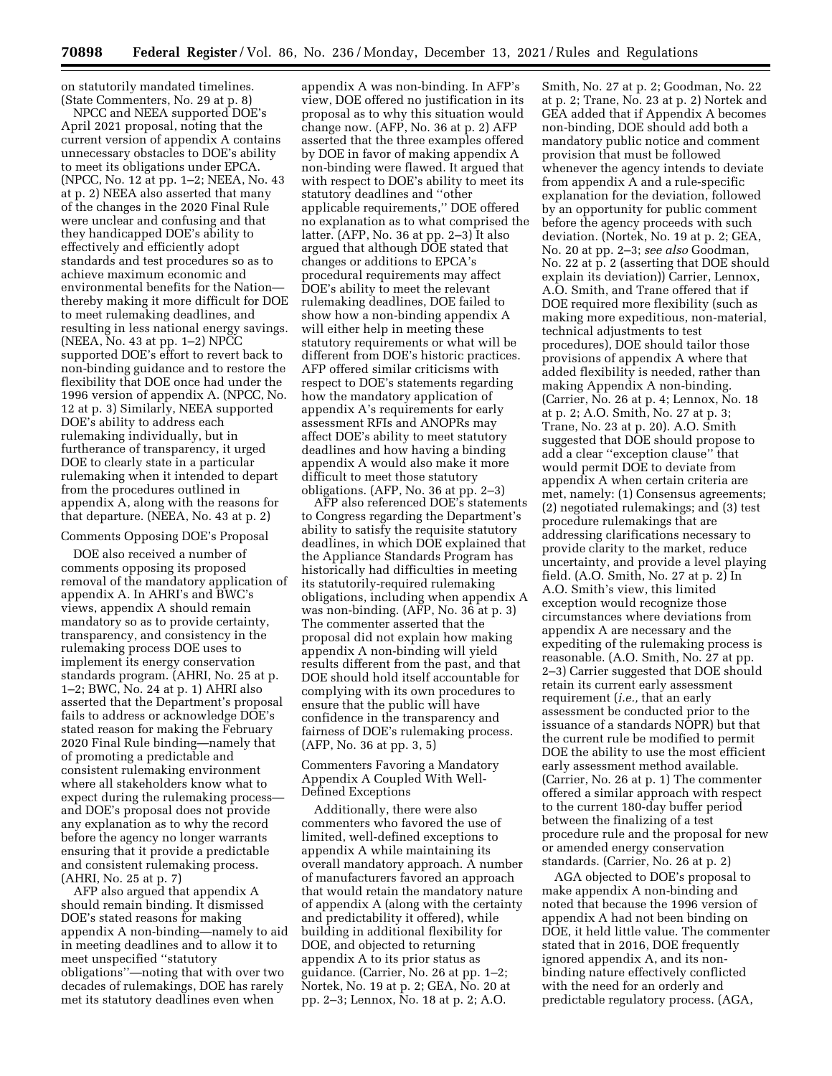on statutorily mandated timelines. (State Commenters, No. 29 at p. 8)

NPCC and NEEA supported DOE's April 2021 proposal, noting that the current version of appendix A contains unnecessary obstacles to DOE's ability to meet its obligations under EPCA. (NPCC, No. 12 at pp. 1–2; NEEA, No. 43 at p. 2) NEEA also asserted that many of the changes in the 2020 Final Rule were unclear and confusing and that they handicapped DOE's ability to effectively and efficiently adopt standards and test procedures so as to achieve maximum economic and environmental benefits for the Nation thereby making it more difficult for DOE to meet rulemaking deadlines, and resulting in less national energy savings. (NEEA, No. 43 at pp. 1–2) NPCC supported DOE's effort to revert back to non-binding guidance and to restore the flexibility that DOE once had under the 1996 version of appendix A. (NPCC, No. 12 at p. 3) Similarly, NEEA supported DOE's ability to address each rulemaking individually, but in furtherance of transparency, it urged DOE to clearly state in a particular rulemaking when it intended to depart from the procedures outlined in appendix A, along with the reasons for that departure. (NEEA, No. 43 at p. 2)

#### Comments Opposing DOE's Proposal

DOE also received a number of comments opposing its proposed removal of the mandatory application of appendix A. In AHRI's and BWC's views, appendix A should remain mandatory so as to provide certainty, transparency, and consistency in the rulemaking process DOE uses to implement its energy conservation standards program. (AHRI, No. 25 at p. 1–2; BWC, No. 24 at p. 1) AHRI also asserted that the Department's proposal fails to address or acknowledge DOE's stated reason for making the February 2020 Final Rule binding—namely that of promoting a predictable and consistent rulemaking environment where all stakeholders know what to expect during the rulemaking process and DOE's proposal does not provide any explanation as to why the record before the agency no longer warrants ensuring that it provide a predictable and consistent rulemaking process. (AHRI, No. 25 at p. 7)

AFP also argued that appendix A should remain binding. It dismissed DOE's stated reasons for making appendix A non-binding—namely to aid in meeting deadlines and to allow it to meet unspecified ''statutory obligations''—noting that with over two decades of rulemakings, DOE has rarely met its statutory deadlines even when

appendix A was non-binding. In AFP's view, DOE offered no justification in its proposal as to why this situation would change now. (AFP, No. 36 at p. 2) AFP asserted that the three examples offered by DOE in favor of making appendix A non-binding were flawed. It argued that with respect to DOE's ability to meet its statutory deadlines and ''other applicable requirements,'' DOE offered no explanation as to what comprised the latter. (AFP, No. 36 at pp. 2–3) It also argued that although DOE stated that changes or additions to EPCA's procedural requirements may affect DOE's ability to meet the relevant rulemaking deadlines, DOE failed to show how a non-binding appendix A will either help in meeting these statutory requirements or what will be different from DOE's historic practices. AFP offered similar criticisms with respect to DOE's statements regarding how the mandatory application of appendix A's requirements for early assessment RFIs and ANOPRs may affect DOE's ability to meet statutory deadlines and how having a binding appendix A would also make it more difficult to meet those statutory obligations. (AFP, No. 36 at pp. 2–3)

AFP also referenced DOE's statements to Congress regarding the Department's ability to satisfy the requisite statutory deadlines, in which DOE explained that the Appliance Standards Program has historically had difficulties in meeting its statutorily-required rulemaking obligations, including when appendix A was non-binding. (AFP, No. 36 at p. 3) The commenter asserted that the proposal did not explain how making appendix A non-binding will yield results different from the past, and that DOE should hold itself accountable for complying with its own procedures to ensure that the public will have confidence in the transparency and fairness of DOE's rulemaking process. (AFP, No. 36 at pp. 3, 5)

### Commenters Favoring a Mandatory Appendix A Coupled With Well-Defined Exceptions

Additionally, there were also commenters who favored the use of limited, well-defined exceptions to appendix A while maintaining its overall mandatory approach. A number of manufacturers favored an approach that would retain the mandatory nature of appendix A (along with the certainty and predictability it offered), while building in additional flexibility for DOE, and objected to returning appendix A to its prior status as guidance. (Carrier, No. 26 at pp. 1–2; Nortek, No. 19 at p. 2; GEA, No. 20 at pp. 2–3; Lennox, No. 18 at p. 2; A.O.

Smith, No. 27 at p. 2; Goodman, No. 22 at p. 2; Trane, No. 23 at p. 2) Nortek and GEA added that if Appendix A becomes non-binding, DOE should add both a mandatory public notice and comment provision that must be followed whenever the agency intends to deviate from appendix A and a rule-specific explanation for the deviation, followed by an opportunity for public comment before the agency proceeds with such deviation. (Nortek, No. 19 at p. 2; GEA, No. 20 at pp. 2–3; *see also* Goodman, No. 22 at p. 2 (asserting that DOE should explain its deviation)) Carrier, Lennox, A.O. Smith, and Trane offered that if DOE required more flexibility (such as making more expeditious, non-material, technical adjustments to test procedures), DOE should tailor those provisions of appendix A where that added flexibility is needed, rather than making Appendix A non-binding. (Carrier, No. 26 at p. 4; Lennox, No. 18 at p. 2; A.O. Smith, No. 27 at p. 3; Trane, No. 23 at p. 20). A.O. Smith suggested that DOE should propose to add a clear ''exception clause'' that would permit DOE to deviate from appendix A when certain criteria are met, namely: (1) Consensus agreements; (2) negotiated rulemakings; and (3) test procedure rulemakings that are addressing clarifications necessary to provide clarity to the market, reduce uncertainty, and provide a level playing field. (A.O. Smith, No. 27 at p. 2) In A.O. Smith's view, this limited exception would recognize those circumstances where deviations from appendix A are necessary and the expediting of the rulemaking process is reasonable. (A.O. Smith, No. 27 at pp. 2–3) Carrier suggested that DOE should retain its current early assessment requirement (*i.e.,* that an early assessment be conducted prior to the issuance of a standards NOPR) but that the current rule be modified to permit DOE the ability to use the most efficient early assessment method available. (Carrier, No. 26 at p. 1) The commenter offered a similar approach with respect to the current 180-day buffer period between the finalizing of a test procedure rule and the proposal for new or amended energy conservation standards. (Carrier, No. 26 at p. 2)

AGA objected to DOE's proposal to make appendix A non-binding and noted that because the 1996 version of appendix A had not been binding on DOE, it held little value. The commenter stated that in 2016, DOE frequently ignored appendix A, and its nonbinding nature effectively conflicted with the need for an orderly and predictable regulatory process. (AGA,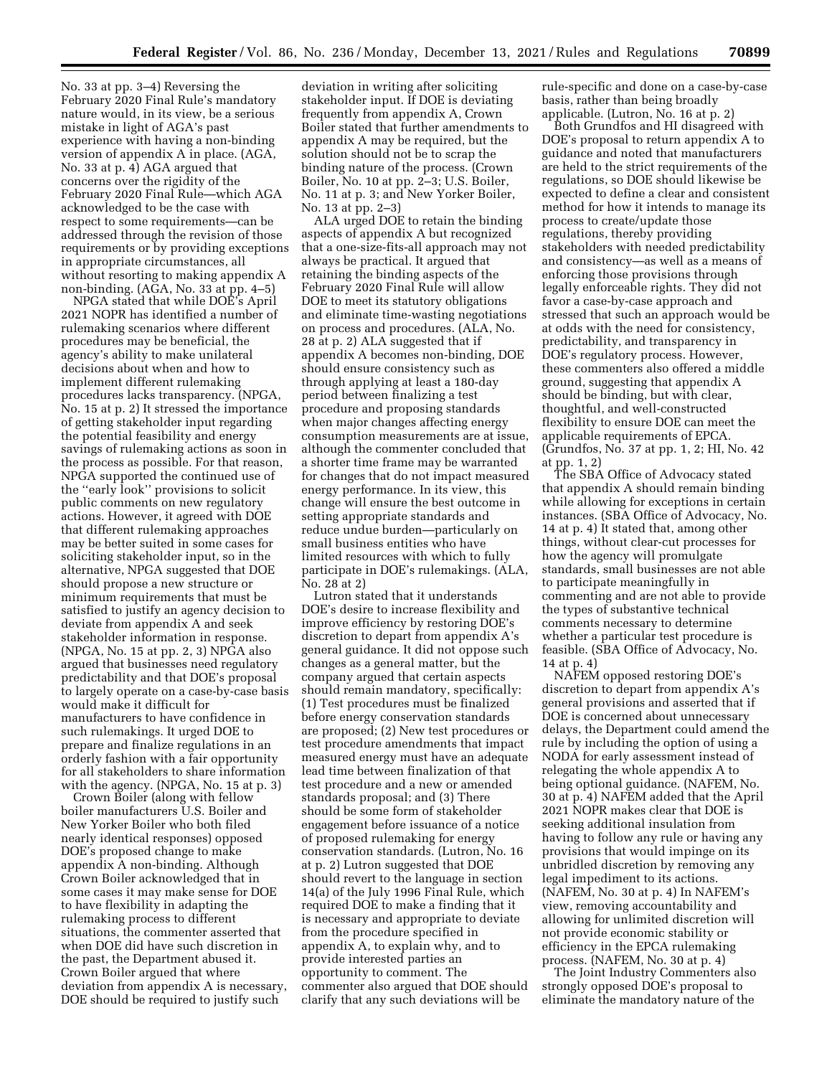No. 33 at pp. 3–4) Reversing the February 2020 Final Rule's mandatory nature would, in its view, be a serious mistake in light of AGA's past experience with having a non-binding version of appendix A in place. (AGA, No. 33 at p. 4) AGA argued that concerns over the rigidity of the February 2020 Final Rule—which AGA acknowledged to be the case with respect to some requirements—can be addressed through the revision of those requirements or by providing exceptions in appropriate circumstances, all without resorting to making appendix A non-binding. (AGA, No. 33 at pp. 4–5)

NPGA stated that while DOE's April 2021 NOPR has identified a number of rulemaking scenarios where different procedures may be beneficial, the agency's ability to make unilateral decisions about when and how to implement different rulemaking procedures lacks transparency. (NPGA, No. 15 at p. 2) It stressed the importance of getting stakeholder input regarding the potential feasibility and energy savings of rulemaking actions as soon in the process as possible. For that reason, NPGA supported the continued use of the ''early look'' provisions to solicit public comments on new regulatory actions. However, it agreed with DOE that different rulemaking approaches may be better suited in some cases for soliciting stakeholder input, so in the alternative, NPGA suggested that DOE should propose a new structure or minimum requirements that must be satisfied to justify an agency decision to deviate from appendix A and seek stakeholder information in response. (NPGA, No. 15 at pp. 2, 3) NPGA also argued that businesses need regulatory predictability and that DOE's proposal to largely operate on a case-by-case basis would make it difficult for manufacturers to have confidence in such rulemakings. It urged DOE to prepare and finalize regulations in an orderly fashion with a fair opportunity for all stakeholders to share information with the agency. (NPGA, No. 15 at p. 3)

Crown Boiler (along with fellow boiler manufacturers U.S. Boiler and New Yorker Boiler who both filed nearly identical responses) opposed DOE's proposed change to make appendix A non-binding. Although Crown Boiler acknowledged that in some cases it may make sense for DOE to have flexibility in adapting the rulemaking process to different situations, the commenter asserted that when DOE did have such discretion in the past, the Department abused it. Crown Boiler argued that where deviation from appendix A is necessary, DOE should be required to justify such

deviation in writing after soliciting stakeholder input. If DOE is deviating frequently from appendix A, Crown Boiler stated that further amendments to appendix A may be required, but the solution should not be to scrap the binding nature of the process. (Crown Boiler, No. 10 at pp. 2–3; U.S. Boiler, No. 11 at p. 3; and New Yorker Boiler, No. 13 at pp. 2–3)

ALA urged DOE to retain the binding aspects of appendix A but recognized that a one-size-fits-all approach may not always be practical. It argued that retaining the binding aspects of the February 2020 Final Rule will allow DOE to meet its statutory obligations and eliminate time-wasting negotiations on process and procedures. (ALA, No. 28 at p. 2) ALA suggested that if appendix A becomes non-binding, DOE should ensure consistency such as through applying at least a 180-day period between finalizing a test procedure and proposing standards when major changes affecting energy consumption measurements are at issue, although the commenter concluded that a shorter time frame may be warranted for changes that do not impact measured energy performance. In its view, this change will ensure the best outcome in setting appropriate standards and reduce undue burden—particularly on small business entities who have limited resources with which to fully participate in DOE's rulemakings. (ALA, No. 28 at 2)

Lutron stated that it understands DOE's desire to increase flexibility and improve efficiency by restoring DOE's discretion to depart from appendix A's general guidance. It did not oppose such changes as a general matter, but the company argued that certain aspects should remain mandatory, specifically: (1) Test procedures must be finalized before energy conservation standards are proposed; (2) New test procedures or test procedure amendments that impact measured energy must have an adequate lead time between finalization of that test procedure and a new or amended standards proposal; and (3) There should be some form of stakeholder engagement before issuance of a notice of proposed rulemaking for energy conservation standards. (Lutron, No. 16 at p. 2) Lutron suggested that DOE should revert to the language in section 14(a) of the July 1996 Final Rule, which required DOE to make a finding that it is necessary and appropriate to deviate from the procedure specified in appendix A, to explain why, and to provide interested parties an opportunity to comment. The commenter also argued that DOE should clarify that any such deviations will be

rule-specific and done on a case-by-case basis, rather than being broadly applicable. (Lutron, No. 16 at p. 2)

Both Grundfos and HI disagreed with DOE's proposal to return appendix A to guidance and noted that manufacturers are held to the strict requirements of the regulations, so DOE should likewise be expected to define a clear and consistent method for how it intends to manage its process to create/update those regulations, thereby providing stakeholders with needed predictability and consistency—as well as a means of enforcing those provisions through legally enforceable rights. They did not favor a case-by-case approach and stressed that such an approach would be at odds with the need for consistency, predictability, and transparency in DOE's regulatory process. However, these commenters also offered a middle ground, suggesting that appendix A should be binding, but with clear, thoughtful, and well-constructed flexibility to ensure DOE can meet the applicable requirements of EPCA. (Grundfos, No. 37 at pp. 1, 2; HI, No. 42 at pp. 1, 2)

The SBA Office of Advocacy stated that appendix A should remain binding while allowing for exceptions in certain instances. (SBA Office of Advocacy, No. 14 at p. 4) It stated that, among other things, without clear-cut processes for how the agency will promulgate standards, small businesses are not able to participate meaningfully in commenting and are not able to provide the types of substantive technical comments necessary to determine whether a particular test procedure is feasible. (SBA Office of Advocacy, No. 14 at p. 4)

NAFEM opposed restoring DOE's discretion to depart from appendix A's general provisions and asserted that if DOE is concerned about unnecessary delays, the Department could amend the rule by including the option of using a NODA for early assessment instead of relegating the whole appendix A to being optional guidance. (NAFEM, No. 30 at p. 4) NAFEM added that the April 2021 NOPR makes clear that DOE is seeking additional insulation from having to follow any rule or having any provisions that would impinge on its unbridled discretion by removing any legal impediment to its actions. (NAFEM, No. 30 at p. 4) In NAFEM's view, removing accountability and allowing for unlimited discretion will not provide economic stability or efficiency in the EPCA rulemaking process. (NAFEM, No. 30 at p. 4)

The Joint Industry Commenters also strongly opposed DOE's proposal to eliminate the mandatory nature of the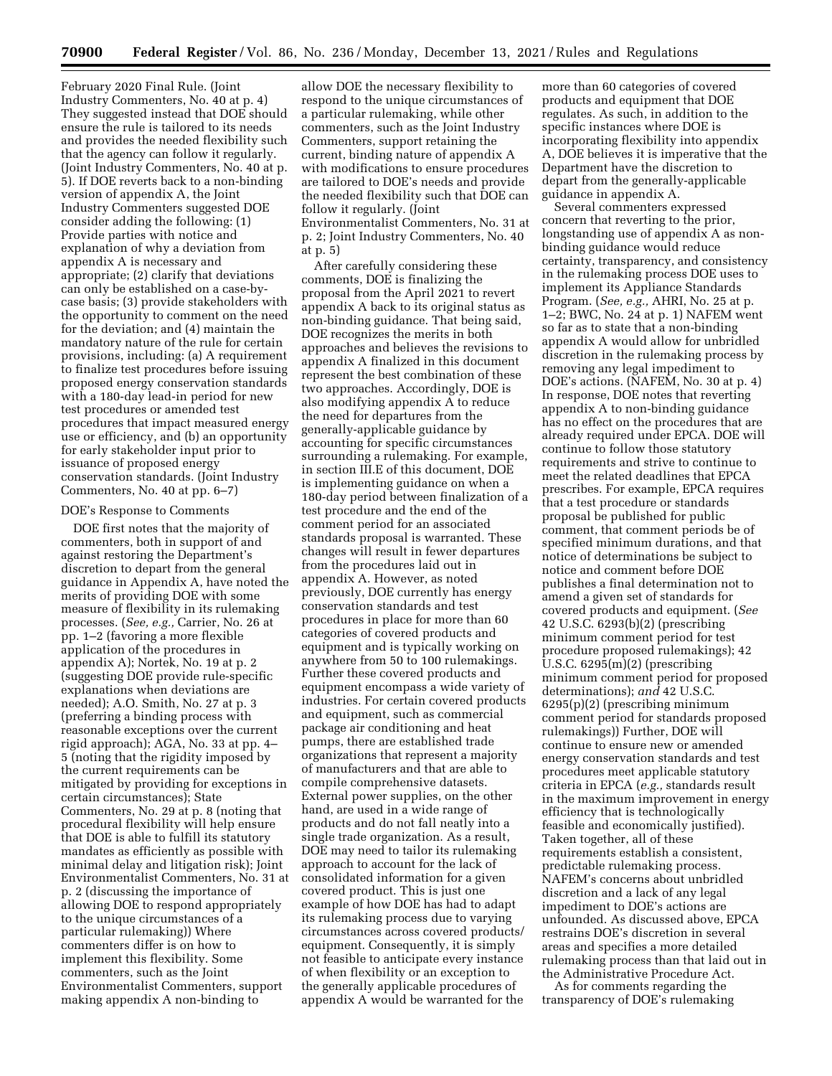February 2020 Final Rule. (Joint Industry Commenters, No. 40 at p. 4) They suggested instead that DOE should ensure the rule is tailored to its needs and provides the needed flexibility such that the agency can follow it regularly. (Joint Industry Commenters, No. 40 at p. 5). If DOE reverts back to a non-binding version of appendix A, the Joint Industry Commenters suggested DOE consider adding the following: (1) Provide parties with notice and explanation of why a deviation from appendix A is necessary and appropriate; (2) clarify that deviations can only be established on a case-bycase basis; (3) provide stakeholders with the opportunity to comment on the need for the deviation; and (4) maintain the mandatory nature of the rule for certain provisions, including: (a) A requirement to finalize test procedures before issuing proposed energy conservation standards with a 180-day lead-in period for new test procedures or amended test procedures that impact measured energy use or efficiency, and (b) an opportunity for early stakeholder input prior to issuance of proposed energy conservation standards. (Joint Industry Commenters, No. 40 at pp. 6–7)

#### DOE's Response to Comments

DOE first notes that the majority of commenters, both in support of and against restoring the Department's discretion to depart from the general guidance in Appendix A, have noted the merits of providing DOE with some measure of flexibility in its rulemaking processes. (*See, e.g.,* Carrier, No. 26 at pp. 1–2 (favoring a more flexible application of the procedures in appendix A); Nortek, No. 19 at p. 2 (suggesting DOE provide rule-specific explanations when deviations are needed); A.O. Smith, No. 27 at p. 3 (preferring a binding process with reasonable exceptions over the current rigid approach); AGA, No. 33 at pp. 4– 5 (noting that the rigidity imposed by the current requirements can be mitigated by providing for exceptions in certain circumstances); State Commenters, No. 29 at p. 8 (noting that procedural flexibility will help ensure that DOE is able to fulfill its statutory mandates as efficiently as possible with minimal delay and litigation risk); Joint Environmentalist Commenters, No. 31 at p. 2 (discussing the importance of allowing DOE to respond appropriately to the unique circumstances of a particular rulemaking)) Where commenters differ is on how to implement this flexibility. Some commenters, such as the Joint Environmentalist Commenters, support making appendix A non-binding to

allow DOE the necessary flexibility to respond to the unique circumstances of a particular rulemaking, while other commenters, such as the Joint Industry Commenters, support retaining the current, binding nature of appendix A with modifications to ensure procedures are tailored to DOE's needs and provide the needed flexibility such that DOE can follow it regularly. (Joint Environmentalist Commenters, No. 31 at p. 2; Joint Industry Commenters, No. 40 at p. 5)

After carefully considering these comments, DOE is finalizing the proposal from the April 2021 to revert appendix A back to its original status as non-binding guidance. That being said, DOE recognizes the merits in both approaches and believes the revisions to appendix A finalized in this document represent the best combination of these two approaches. Accordingly, DOE is also modifying appendix A to reduce the need for departures from the generally-applicable guidance by accounting for specific circumstances surrounding a rulemaking. For example, in section III.E of this document, DOE is implementing guidance on when a 180-day period between finalization of a test procedure and the end of the comment period for an associated standards proposal is warranted. These changes will result in fewer departures from the procedures laid out in appendix A. However, as noted previously, DOE currently has energy conservation standards and test procedures in place for more than 60 categories of covered products and equipment and is typically working on anywhere from 50 to 100 rulemakings. Further these covered products and equipment encompass a wide variety of industries. For certain covered products and equipment, such as commercial package air conditioning and heat pumps, there are established trade organizations that represent a majority of manufacturers and that are able to compile comprehensive datasets. External power supplies, on the other hand, are used in a wide range of products and do not fall neatly into a single trade organization. As a result, DOE may need to tailor its rulemaking approach to account for the lack of consolidated information for a given covered product. This is just one example of how DOE has had to adapt its rulemaking process due to varying circumstances across covered products/ equipment. Consequently, it is simply not feasible to anticipate every instance of when flexibility or an exception to the generally applicable procedures of appendix A would be warranted for the

more than 60 categories of covered products and equipment that DOE regulates. As such, in addition to the specific instances where DOE is incorporating flexibility into appendix A, DOE believes it is imperative that the Department have the discretion to depart from the generally-applicable guidance in appendix A.

Several commenters expressed concern that reverting to the prior, longstanding use of appendix A as nonbinding guidance would reduce certainty, transparency, and consistency in the rulemaking process DOE uses to implement its Appliance Standards Program. (*See, e.g.,* AHRI, No. 25 at p. 1–2; BWC, No. 24 at p. 1) NAFEM went so far as to state that a non-binding appendix A would allow for unbridled discretion in the rulemaking process by removing any legal impediment to DOE's actions. (NAFEM, No. 30 at p. 4) In response, DOE notes that reverting appendix A to non-binding guidance has no effect on the procedures that are already required under EPCA. DOE will continue to follow those statutory requirements and strive to continue to meet the related deadlines that EPCA prescribes. For example, EPCA requires that a test procedure or standards proposal be published for public comment, that comment periods be of specified minimum durations, and that notice of determinations be subject to notice and comment before DOE publishes a final determination not to amend a given set of standards for covered products and equipment. (*See*  42 U.S.C. 6293(b)(2) (prescribing minimum comment period for test procedure proposed rulemakings); 42 U.S.C. 6295(m)(2) (prescribing minimum comment period for proposed determinations); *and* 42 U.S.C. 6295(p)(2) (prescribing minimum comment period for standards proposed rulemakings)) Further, DOE will continue to ensure new or amended energy conservation standards and test procedures meet applicable statutory criteria in EPCA (*e.g.,* standards result in the maximum improvement in energy efficiency that is technologically feasible and economically justified). Taken together, all of these requirements establish a consistent, predictable rulemaking process. NAFEM's concerns about unbridled discretion and a lack of any legal impediment to DOE's actions are unfounded. As discussed above, EPCA restrains DOE's discretion in several areas and specifies a more detailed rulemaking process than that laid out in the Administrative Procedure Act.

As for comments regarding the transparency of DOE's rulemaking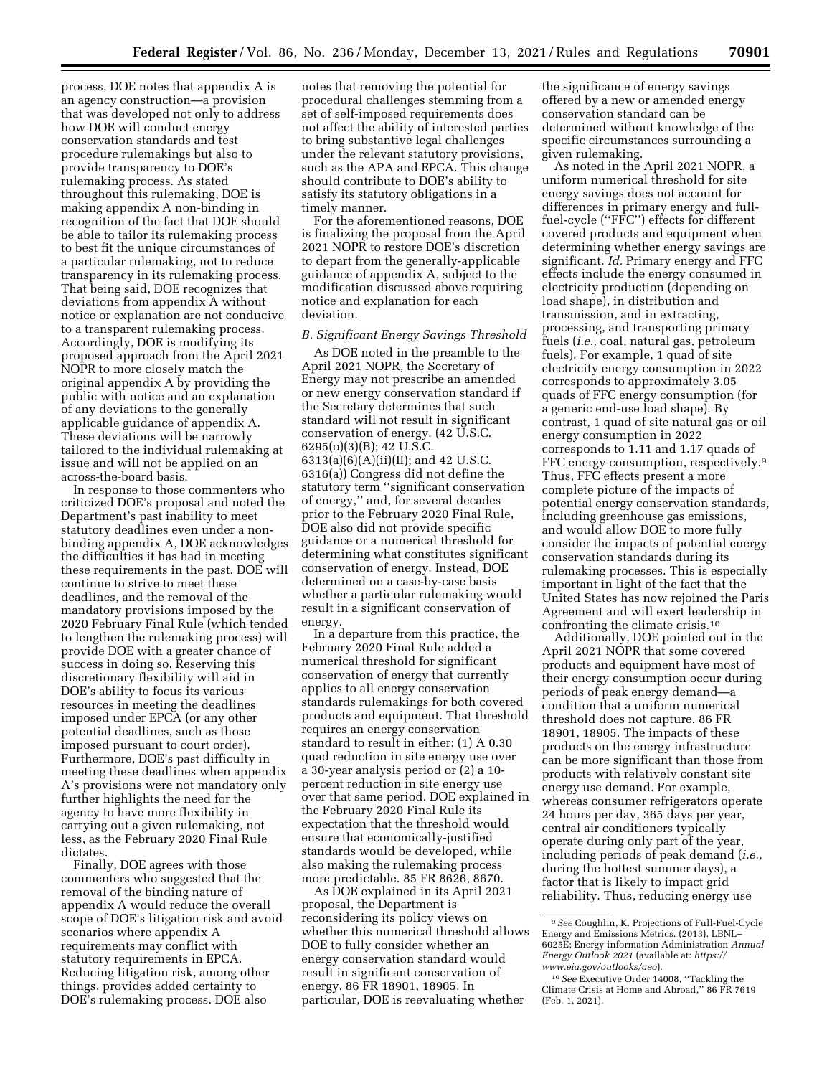process, DOE notes that appendix A is an agency construction—a provision that was developed not only to address how DOE will conduct energy conservation standards and test procedure rulemakings but also to provide transparency to DOE's rulemaking process. As stated throughout this rulemaking, DOE is making appendix A non-binding in recognition of the fact that DOE should be able to tailor its rulemaking process to best fit the unique circumstances of a particular rulemaking, not to reduce transparency in its rulemaking process. That being said, DOE recognizes that deviations from appendix A without notice or explanation are not conducive to a transparent rulemaking process. Accordingly, DOE is modifying its proposed approach from the April 2021 NOPR to more closely match the original appendix A by providing the public with notice and an explanation of any deviations to the generally applicable guidance of appendix A. These deviations will be narrowly tailored to the individual rulemaking at issue and will not be applied on an across-the-board basis.

In response to those commenters who criticized DOE's proposal and noted the Department's past inability to meet statutory deadlines even under a nonbinding appendix A, DOE acknowledges the difficulties it has had in meeting these requirements in the past. DOE will continue to strive to meet these deadlines, and the removal of the mandatory provisions imposed by the 2020 February Final Rule (which tended to lengthen the rulemaking process) will provide DOE with a greater chance of success in doing so. Reserving this discretionary flexibility will aid in DOE's ability to focus its various resources in meeting the deadlines imposed under EPCA (or any other potential deadlines, such as those imposed pursuant to court order). Furthermore, DOE's past difficulty in meeting these deadlines when appendix A's provisions were not mandatory only further highlights the need for the agency to have more flexibility in carrying out a given rulemaking, not less, as the February 2020 Final Rule dictates.

Finally, DOE agrees with those commenters who suggested that the removal of the binding nature of appendix A would reduce the overall scope of DOE's litigation risk and avoid scenarios where appendix A requirements may conflict with statutory requirements in EPCA. Reducing litigation risk, among other things, provides added certainty to DOE's rulemaking process. DOE also

notes that removing the potential for procedural challenges stemming from a set of self-imposed requirements does not affect the ability of interested parties to bring substantive legal challenges under the relevant statutory provisions, such as the APA and EPCA. This change should contribute to DOE's ability to satisfy its statutory obligations in a timely manner.

For the aforementioned reasons, DOE is finalizing the proposal from the April 2021 NOPR to restore DOE's discretion to depart from the generally-applicable guidance of appendix A, subject to the modification discussed above requiring notice and explanation for each deviation.

#### *B. Significant Energy Savings Threshold*

As DOE noted in the preamble to the April 2021 NOPR, the Secretary of Energy may not prescribe an amended or new energy conservation standard if the Secretary determines that such standard will not result in significant conservation of energy. (42 U.S.C. 6295(o)(3)(B); 42 U.S.C. 6313(a)(6)(A)(ii)(II); and 42 U.S.C. 6316(a)) Congress did not define the statutory term ''significant conservation of energy,'' and, for several decades prior to the February 2020 Final Rule, DOE also did not provide specific guidance or a numerical threshold for determining what constitutes significant conservation of energy. Instead, DOE determined on a case-by-case basis whether a particular rulemaking would result in a significant conservation of energy.

In a departure from this practice, the February 2020 Final Rule added a numerical threshold for significant conservation of energy that currently applies to all energy conservation standards rulemakings for both covered products and equipment. That threshold requires an energy conservation standard to result in either: (1) A 0.30 quad reduction in site energy use over a 30-year analysis period or (2) a 10 percent reduction in site energy use over that same period. DOE explained in the February 2020 Final Rule its expectation that the threshold would ensure that economically-justified standards would be developed, while also making the rulemaking process more predictable. 85 FR 8626, 8670.

As DOE explained in its April 2021 proposal, the Department is reconsidering its policy views on whether this numerical threshold allows DOE to fully consider whether an energy conservation standard would result in significant conservation of energy. 86 FR 18901, 18905. In particular, DOE is reevaluating whether

the significance of energy savings offered by a new or amended energy conservation standard can be determined without knowledge of the specific circumstances surrounding a given rulemaking.

As noted in the April 2021 NOPR, a uniform numerical threshold for site energy savings does not account for differences in primary energy and fullfuel-cycle (''FFC'') effects for different covered products and equipment when determining whether energy savings are significant. *Id.* Primary energy and FFC effects include the energy consumed in electricity production (depending on load shape), in distribution and transmission, and in extracting, processing, and transporting primary fuels (*i.e.,* coal, natural gas, petroleum fuels). For example, 1 quad of site electricity energy consumption in 2022 corresponds to approximately 3.05 quads of FFC energy consumption (for a generic end-use load shape). By contrast, 1 quad of site natural gas or oil energy consumption in 2022 corresponds to 1.11 and 1.17 quads of FFC energy consumption, respectively.9 Thus, FFC effects present a more complete picture of the impacts of potential energy conservation standards, including greenhouse gas emissions, and would allow DOE to more fully consider the impacts of potential energy conservation standards during its rulemaking processes. This is especially important in light of the fact that the United States has now rejoined the Paris Agreement and will exert leadership in confronting the climate crisis.10

Additionally, DOE pointed out in the April 2021 NOPR that some covered products and equipment have most of their energy consumption occur during periods of peak energy demand—a condition that a uniform numerical threshold does not capture. 86 FR 18901, 18905. The impacts of these products on the energy infrastructure can be more significant than those from products with relatively constant site energy use demand. For example, whereas consumer refrigerators operate 24 hours per day, 365 days per year, central air conditioners typically operate during only part of the year, including periods of peak demand (*i.e.,*  during the hottest summer days), a factor that is likely to impact grid reliability. Thus, reducing energy use

<sup>9</sup>*See* Coughlin, K. Projections of Full-Fuel-Cycle Energy and Emissions Metrics. (2013). LBNL– 6025E; Energy information Administration *Annual Energy Outlook 2021* (available at: *[https://](https://www.eia.gov/outlooks/aeo) [www.eia.gov/outlooks/aeo](https://www.eia.gov/outlooks/aeo)*).

<sup>10</sup>*See* Executive Order 14008, ''Tackling the Climate Crisis at Home and Abroad,'' 86 FR 7619 (Feb. 1, 2021).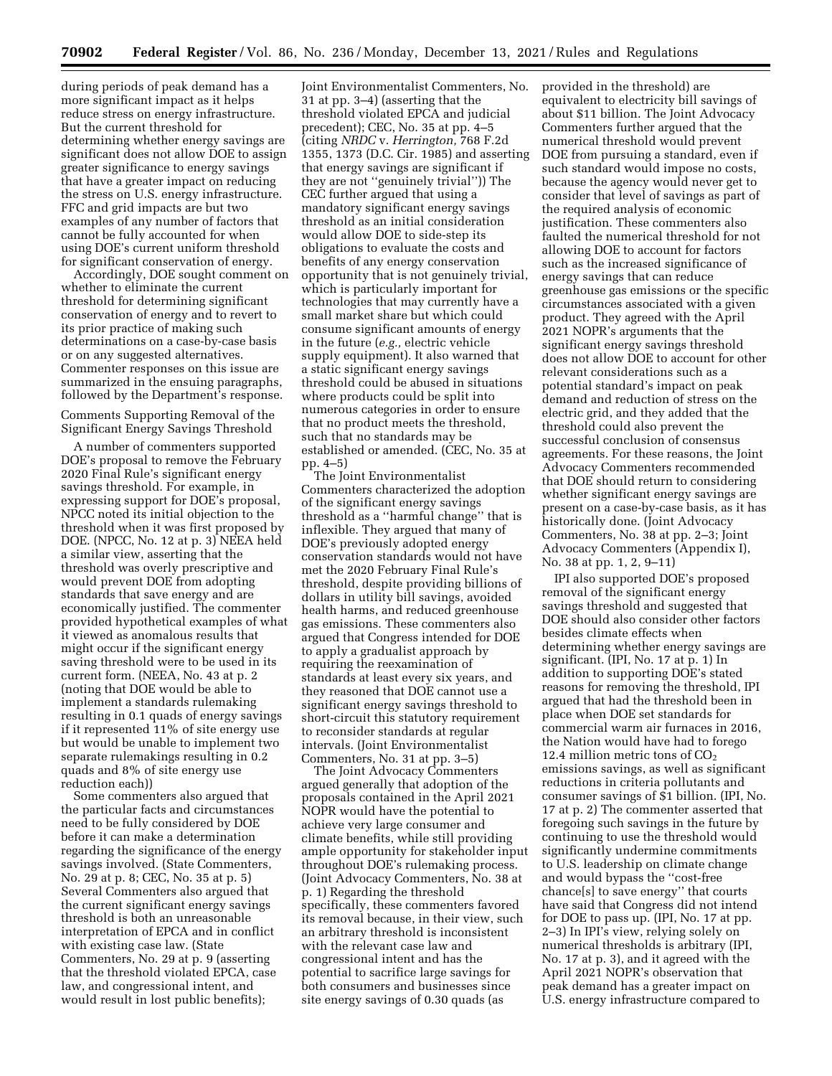during periods of peak demand has a more significant impact as it helps reduce stress on energy infrastructure. But the current threshold for determining whether energy savings are significant does not allow DOE to assign greater significance to energy savings that have a greater impact on reducing the stress on U.S. energy infrastructure. FFC and grid impacts are but two examples of any number of factors that cannot be fully accounted for when using DOE's current uniform threshold for significant conservation of energy.

Accordingly, DOE sought comment on whether to eliminate the current threshold for determining significant conservation of energy and to revert to its prior practice of making such determinations on a case-by-case basis or on any suggested alternatives. Commenter responses on this issue are summarized in the ensuing paragraphs, followed by the Department's response.

Comments Supporting Removal of the Significant Energy Savings Threshold

A number of commenters supported DOE's proposal to remove the February 2020 Final Rule's significant energy savings threshold. For example, in expressing support for DOE's proposal, NPCC noted its initial objection to the threshold when it was first proposed by DOE. (NPCC, No. 12 at p. 3) NEEA held a similar view, asserting that the threshold was overly prescriptive and would prevent DOE from adopting standards that save energy and are economically justified. The commenter provided hypothetical examples of what it viewed as anomalous results that might occur if the significant energy saving threshold were to be used in its current form. (NEEA, No. 43 at p. 2 (noting that DOE would be able to implement a standards rulemaking resulting in 0.1 quads of energy savings if it represented 11% of site energy use but would be unable to implement two separate rulemakings resulting in 0.2 quads and 8% of site energy use reduction each))

Some commenters also argued that the particular facts and circumstances need to be fully considered by DOE before it can make a determination regarding the significance of the energy savings involved. (State Commenters, No. 29 at p. 8; CEC, No. 35 at p. 5) Several Commenters also argued that the current significant energy savings threshold is both an unreasonable interpretation of EPCA and in conflict with existing case law. (State Commenters, No. 29 at p. 9 (asserting that the threshold violated EPCA, case law, and congressional intent, and would result in lost public benefits);

Joint Environmentalist Commenters, No. 31 at pp. 3–4) (asserting that the threshold violated EPCA and judicial precedent); CEC, No. 35 at pp. 4–5 (citing *NRDC* v. *Herrington,* 768 F.2d 1355, 1373 (D.C. Cir. 1985) and asserting that energy savings are significant if they are not ''genuinely trivial'')) The CEC further argued that using a mandatory significant energy savings threshold as an initial consideration would allow DOE to side-step its obligations to evaluate the costs and benefits of any energy conservation opportunity that is not genuinely trivial, which is particularly important for technologies that may currently have a small market share but which could consume significant amounts of energy in the future (*e.g.,* electric vehicle supply equipment). It also warned that a static significant energy savings threshold could be abused in situations where products could be split into numerous categories in order to ensure that no product meets the threshold, such that no standards may be established or amended. (CEC, No. 35 at pp. 4–5)

The Joint Environmentalist Commenters characterized the adoption of the significant energy savings threshold as a ''harmful change'' that is inflexible. They argued that many of DOE's previously adopted energy conservation standards would not have met the 2020 February Final Rule's threshold, despite providing billions of dollars in utility bill savings, avoided health harms, and reduced greenhouse gas emissions. These commenters also argued that Congress intended for DOE to apply a gradualist approach by requiring the reexamination of standards at least every six years, and they reasoned that DOE cannot use a significant energy savings threshold to short-circuit this statutory requirement to reconsider standards at regular intervals. (Joint Environmentalist Commenters, No. 31 at pp. 3–5)

The Joint Advocacy Commenters argued generally that adoption of the proposals contained in the April 2021 NOPR would have the potential to achieve very large consumer and climate benefits, while still providing ample opportunity for stakeholder input throughout DOE's rulemaking process. (Joint Advocacy Commenters, No. 38 at p. 1) Regarding the threshold specifically, these commenters favored its removal because, in their view, such an arbitrary threshold is inconsistent with the relevant case law and congressional intent and has the potential to sacrifice large savings for both consumers and businesses since site energy savings of 0.30 quads (as

provided in the threshold) are equivalent to electricity bill savings of about \$11 billion. The Joint Advocacy Commenters further argued that the numerical threshold would prevent DOE from pursuing a standard, even if such standard would impose no costs, because the agency would never get to consider that level of savings as part of the required analysis of economic justification. These commenters also faulted the numerical threshold for not allowing DOE to account for factors such as the increased significance of energy savings that can reduce greenhouse gas emissions or the specific circumstances associated with a given product. They agreed with the April 2021 NOPR's arguments that the significant energy savings threshold does not allow DOE to account for other relevant considerations such as a potential standard's impact on peak demand and reduction of stress on the electric grid, and they added that the threshold could also prevent the successful conclusion of consensus agreements. For these reasons, the Joint Advocacy Commenters recommended that DOE should return to considering whether significant energy savings are present on a case-by-case basis, as it has historically done. (Joint Advocacy Commenters, No. 38 at pp. 2–3; Joint Advocacy Commenters (Appendix I), No. 38 at pp. 1, 2, 9–11)

IPI also supported DOE's proposed removal of the significant energy savings threshold and suggested that DOE should also consider other factors besides climate effects when determining whether energy savings are significant. (IPI, No. 17 at p. 1) In addition to supporting DOE's stated reasons for removing the threshold, IPI argued that had the threshold been in place when DOE set standards for commercial warm air furnaces in 2016, the Nation would have had to forego 12.4 million metric tons of  $CO<sub>2</sub>$ emissions savings, as well as significant reductions in criteria pollutants and consumer savings of \$1 billion. (IPI, No. 17 at p. 2) The commenter asserted that foregoing such savings in the future by continuing to use the threshold would significantly undermine commitments to U.S. leadership on climate change and would bypass the ''cost-free chance[s] to save energy'' that courts have said that Congress did not intend for DOE to pass up. (IPI, No. 17 at pp. 2–3) In IPI's view, relying solely on numerical thresholds is arbitrary (IPI, No. 17 at p. 3), and it agreed with the April 2021 NOPR's observation that peak demand has a greater impact on U.S. energy infrastructure compared to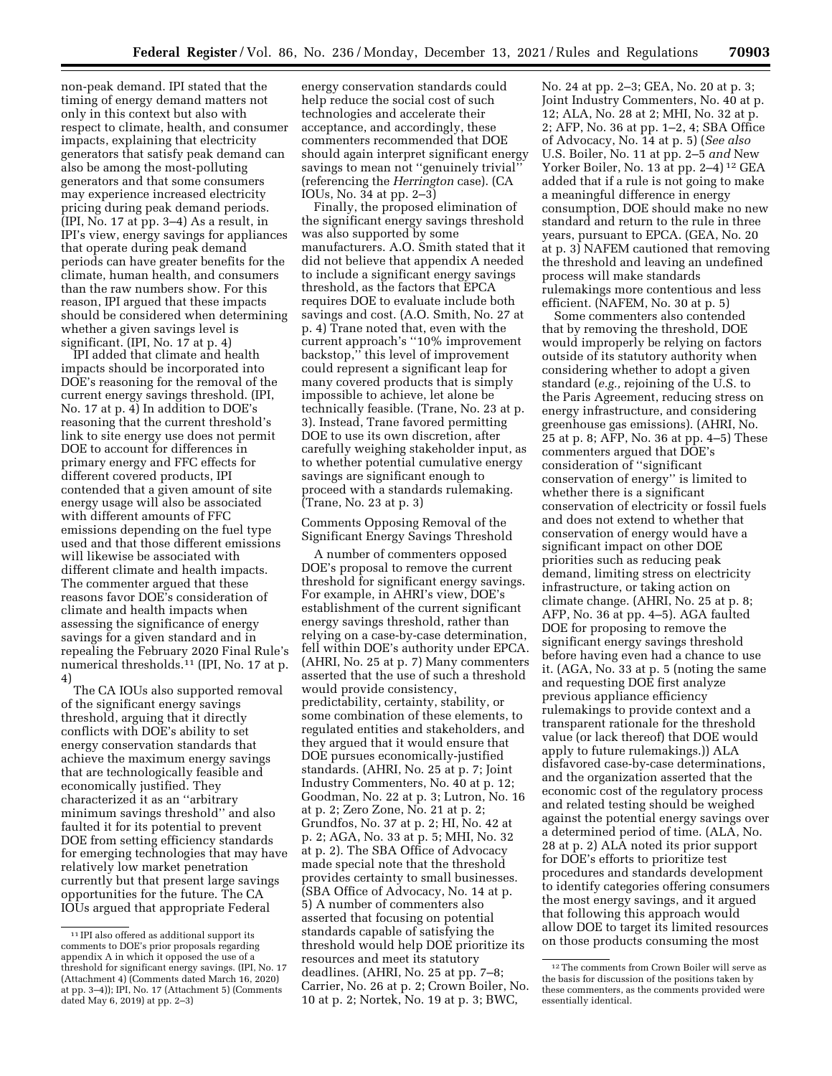non-peak demand. IPI stated that the timing of energy demand matters not only in this context but also with respect to climate, health, and consumer impacts, explaining that electricity generators that satisfy peak demand can also be among the most-polluting generators and that some consumers may experience increased electricity pricing during peak demand periods. (IPI, No. 17 at pp. 3–4) As a result, in IPI's view, energy savings for appliances that operate during peak demand periods can have greater benefits for the climate, human health, and consumers than the raw numbers show. For this reason, IPI argued that these impacts should be considered when determining whether a given savings level is significant. (IPI, No. 17 at p. 4)

IPI added that climate and health impacts should be incorporated into DOE's reasoning for the removal of the current energy savings threshold. (IPI, No. 17 at p. 4) In addition to DOE's reasoning that the current threshold's link to site energy use does not permit DOE to account for differences in primary energy and FFC effects for different covered products, IPI contended that a given amount of site energy usage will also be associated with different amounts of FFC emissions depending on the fuel type used and that those different emissions will likewise be associated with different climate and health impacts. The commenter argued that these reasons favor DOE's consideration of climate and health impacts when assessing the significance of energy savings for a given standard and in repealing the February 2020 Final Rule's numerical thresholds.11 (IPI, No. 17 at p. 4)

The CA IOUs also supported removal of the significant energy savings threshold, arguing that it directly conflicts with DOE's ability to set energy conservation standards that achieve the maximum energy savings that are technologically feasible and economically justified. They characterized it as an ''arbitrary minimum savings threshold'' and also faulted it for its potential to prevent DOE from setting efficiency standards for emerging technologies that may have relatively low market penetration currently but that present large savings opportunities for the future. The CA IOUs argued that appropriate Federal

energy conservation standards could help reduce the social cost of such technologies and accelerate their acceptance, and accordingly, these commenters recommended that DOE should again interpret significant energy savings to mean not ''genuinely trivial'' (referencing the *Herrington* case). (CA IOUs, No. 34 at pp. 2–3)

Finally, the proposed elimination of the significant energy savings threshold was also supported by some manufacturers. A.O. Smith stated that it did not believe that appendix A needed to include a significant energy savings threshold, as the factors that EPCA requires DOE to evaluate include both savings and cost. (A.O. Smith, No. 27 at p. 4) Trane noted that, even with the current approach's ''10% improvement backstop,'' this level of improvement could represent a significant leap for many covered products that is simply impossible to achieve, let alone be technically feasible. (Trane, No. 23 at p. 3). Instead, Trane favored permitting DOE to use its own discretion, after carefully weighing stakeholder input, as to whether potential cumulative energy savings are significant enough to proceed with a standards rulemaking. (Trane, No. 23 at p. 3)

Comments Opposing Removal of the Significant Energy Savings Threshold

A number of commenters opposed DOE's proposal to remove the current threshold for significant energy savings. For example, in AHRI's view, DOE's establishment of the current significant energy savings threshold, rather than relying on a case-by-case determination, fell within DOE's authority under EPCA. (AHRI, No. 25 at p. 7) Many commenters asserted that the use of such a threshold would provide consistency, predictability, certainty, stability, or some combination of these elements, to regulated entities and stakeholders, and they argued that it would ensure that DOE pursues economically-justified standards. (AHRI, No. 25 at p. 7; Joint Industry Commenters, No. 40 at p. 12; Goodman, No. 22 at p. 3; Lutron, No. 16 at p. 2; Zero Zone, No. 21 at p. 2; Grundfos, No. 37 at p. 2; HI, No. 42 at p. 2; AGA, No. 33 at p. 5; MHI, No. 32 at p. 2). The SBA Office of Advocacy made special note that the threshold provides certainty to small businesses. (SBA Office of Advocacy, No. 14 at p. 5) A number of commenters also asserted that focusing on potential standards capable of satisfying the threshold would help DOE prioritize its resources and meet its statutory deadlines. (AHRI, No. 25 at pp. 7–8; Carrier, No. 26 at p. 2; Crown Boiler, No. 10 at p. 2; Nortek, No. 19 at p. 3; BWC,

No. 24 at pp. 2–3; GEA, No. 20 at p. 3; Joint Industry Commenters, No. 40 at p. 12; ALA, No. 28 at 2; MHI, No. 32 at p. 2; AFP, No. 36 at pp. 1–2, 4; SBA Office of Advocacy, No. 14 at p. 5) (*See also*  U.S. Boiler, No. 11 at pp. 2–5 *and* New Yorker Boiler, No. 13 at pp. 2–4)<sup>12</sup> GEA added that if a rule is not going to make a meaningful difference in energy consumption, DOE should make no new standard and return to the rule in three years, pursuant to EPCA. (GEA, No. 20 at p. 3) NAFEM cautioned that removing the threshold and leaving an undefined process will make standards rulemakings more contentious and less efficient. (NAFEM, No. 30 at p. 5)

Some commenters also contended that by removing the threshold, DOE would improperly be relying on factors outside of its statutory authority when considering whether to adopt a given standard (*e.g.,* rejoining of the U.S. to the Paris Agreement, reducing stress on energy infrastructure, and considering greenhouse gas emissions). (AHRI, No. 25 at p. 8; AFP, No. 36 at pp. 4–5) These commenters argued that DOE's consideration of ''significant conservation of energy'' is limited to whether there is a significant conservation of electricity or fossil fuels and does not extend to whether that conservation of energy would have a significant impact on other DOE priorities such as reducing peak demand, limiting stress on electricity infrastructure, or taking action on climate change. (AHRI, No. 25 at p. 8; AFP, No. 36 at pp. 4–5). AGA faulted DOE for proposing to remove the significant energy savings threshold before having even had a chance to use it. (AGA, No. 33 at p. 5 (noting the same and requesting DOE first analyze previous appliance efficiency rulemakings to provide context and a transparent rationale for the threshold value (or lack thereof) that DOE would apply to future rulemakings.)) ALA disfavored case-by-case determinations, and the organization asserted that the economic cost of the regulatory process and related testing should be weighed against the potential energy savings over a determined period of time. (ALA, No. 28 at p. 2) ALA noted its prior support for DOE's efforts to prioritize test procedures and standards development to identify categories offering consumers the most energy savings, and it argued that following this approach would allow DOE to target its limited resources on those products consuming the most

<sup>11</sup> IPI also offered as additional support its comments to DOE's prior proposals regarding appendix A in which it opposed the use of a threshold for significant energy savings. (IPI, No. 17 (Attachment 4) (Comments dated March 16, 2020) at pp. 3–4)); IPI, No. 17 (Attachment 5) (Comments dated May 6, 2019) at pp. 2–3)

<sup>12</sup>The comments from Crown Boiler will serve as the basis for discussion of the positions taken by these commenters, as the comments provided were essentially identical.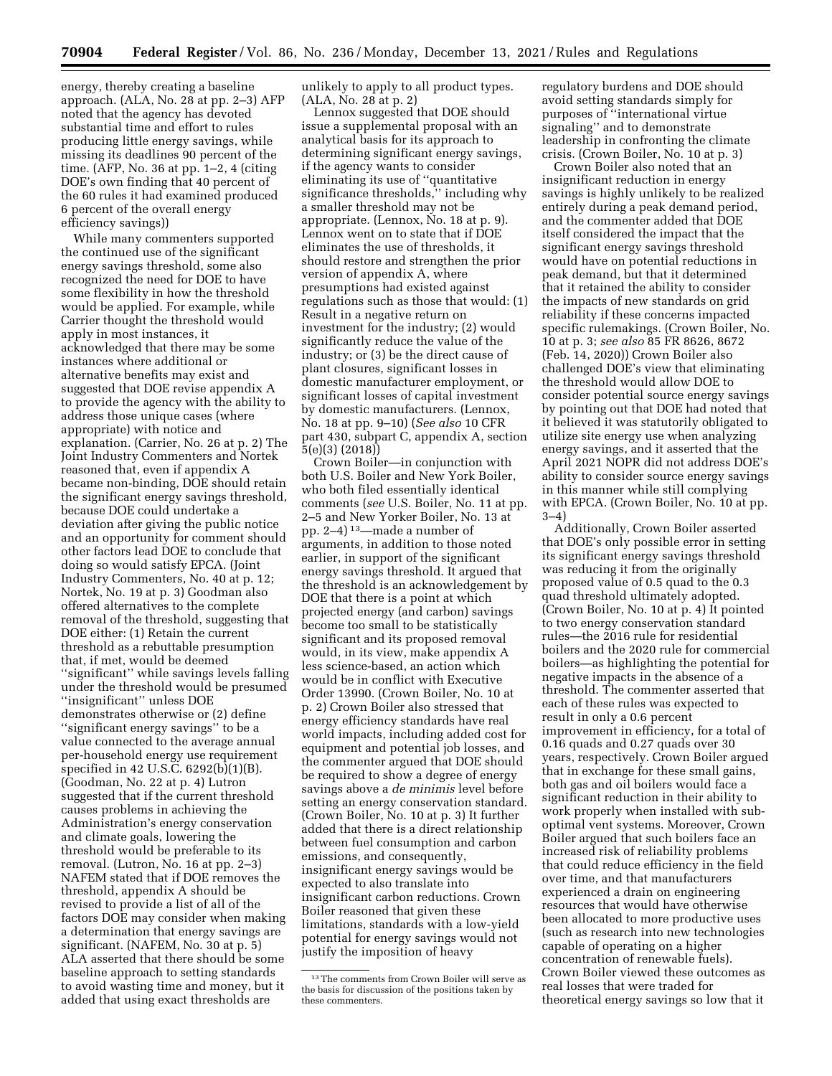energy, thereby creating a baseline approach. (ALA, No. 28 at pp. 2–3) AFP noted that the agency has devoted substantial time and effort to rules producing little energy savings, while missing its deadlines 90 percent of the time. (AFP, No. 36 at pp. 1–2, 4 (citing DOE's own finding that 40 percent of the 60 rules it had examined produced 6 percent of the overall energy efficiency savings))

While many commenters supported the continued use of the significant energy savings threshold, some also recognized the need for DOE to have some flexibility in how the threshold would be applied. For example, while Carrier thought the threshold would apply in most instances, it acknowledged that there may be some instances where additional or alternative benefits may exist and suggested that DOE revise appendix A to provide the agency with the ability to address those unique cases (where appropriate) with notice and explanation. (Carrier, No. 26 at p. 2) The Joint Industry Commenters and Nortek reasoned that, even if appendix A became non-binding, DOE should retain the significant energy savings threshold, because DOE could undertake a deviation after giving the public notice and an opportunity for comment should other factors lead DOE to conclude that doing so would satisfy EPCA. (Joint Industry Commenters, No. 40 at p. 12; Nortek, No. 19 at p. 3) Goodman also offered alternatives to the complete removal of the threshold, suggesting that DOE either: (1) Retain the current threshold as a rebuttable presumption that, if met, would be deemed ''significant'' while savings levels falling under the threshold would be presumed ''insignificant'' unless DOE demonstrates otherwise or (2) define ''significant energy savings'' to be a value connected to the average annual per-household energy use requirement specified in 42 U.S.C. 6292(b)(1)(B). (Goodman, No. 22 at p. 4) Lutron suggested that if the current threshold causes problems in achieving the Administration's energy conservation and climate goals, lowering the threshold would be preferable to its removal. (Lutron, No. 16 at pp. 2–3) NAFEM stated that if DOE removes the threshold, appendix A should be revised to provide a list of all of the factors DOE may consider when making a determination that energy savings are significant. (NAFEM, No. 30 at p. 5) ALA asserted that there should be some baseline approach to setting standards to avoid wasting time and money, but it added that using exact thresholds are

unlikely to apply to all product types. (ALA, No. 28 at p. 2)

Lennox suggested that DOE should issue a supplemental proposal with an analytical basis for its approach to determining significant energy savings, if the agency wants to consider eliminating its use of ''quantitative significance thresholds,'' including why a smaller threshold may not be appropriate. (Lennox, No. 18 at p. 9). Lennox went on to state that if DOE eliminates the use of thresholds, it should restore and strengthen the prior version of appendix A, where presumptions had existed against regulations such as those that would: (1) Result in a negative return on investment for the industry; (2) would significantly reduce the value of the industry; or (3) be the direct cause of plant closures, significant losses in domestic manufacturer employment, or significant losses of capital investment by domestic manufacturers. (Lennox, No. 18 at pp. 9–10) (*See also* 10 CFR part 430, subpart C, appendix A, section 5(e)(3) (2018))

Crown Boiler—in conjunction with both U.S. Boiler and New York Boiler, who both filed essentially identical comments (*see* U.S. Boiler, No. 11 at pp. 2–5 and New Yorker Boiler, No. 13 at pp. 2–4) 13—made a number of arguments, in addition to those noted earlier, in support of the significant energy savings threshold. It argued that the threshold is an acknowledgement by DOE that there is a point at which projected energy (and carbon) savings become too small to be statistically significant and its proposed removal would, in its view, make appendix A less science-based, an action which would be in conflict with Executive Order 13990. (Crown Boiler, No. 10 at p. 2) Crown Boiler also stressed that energy efficiency standards have real world impacts, including added cost for equipment and potential job losses, and the commenter argued that DOE should be required to show a degree of energy savings above a *de minimis* level before setting an energy conservation standard. (Crown Boiler, No. 10 at p. 3) It further added that there is a direct relationship between fuel consumption and carbon emissions, and consequently, insignificant energy savings would be expected to also translate into insignificant carbon reductions. Crown Boiler reasoned that given these limitations, standards with a low-yield potential for energy savings would not justify the imposition of heavy

regulatory burdens and DOE should avoid setting standards simply for purposes of ''international virtue signaling'' and to demonstrate leadership in confronting the climate crisis. (Crown Boiler, No. 10 at p. 3)

Crown Boiler also noted that an insignificant reduction in energy savings is highly unlikely to be realized entirely during a peak demand period, and the commenter added that DOE itself considered the impact that the significant energy savings threshold would have on potential reductions in peak demand, but that it determined that it retained the ability to consider the impacts of new standards on grid reliability if these concerns impacted specific rulemakings. (Crown Boiler, No. 10 at p. 3; *see also* 85 FR 8626, 8672 (Feb. 14, 2020)) Crown Boiler also challenged DOE's view that eliminating the threshold would allow DOE to consider potential source energy savings by pointing out that DOE had noted that it believed it was statutorily obligated to utilize site energy use when analyzing energy savings, and it asserted that the April 2021 NOPR did not address DOE's ability to consider source energy savings in this manner while still complying with EPCA. (Crown Boiler, No. 10 at pp. 3–4)

Additionally, Crown Boiler asserted that DOE's only possible error in setting its significant energy savings threshold was reducing it from the originally proposed value of 0.5 quad to the 0.3 quad threshold ultimately adopted. (Crown Boiler, No. 10 at p. 4) It pointed to two energy conservation standard rules—the 2016 rule for residential boilers and the 2020 rule for commercial boilers—as highlighting the potential for negative impacts in the absence of a threshold. The commenter asserted that each of these rules was expected to result in only a 0.6 percent improvement in efficiency, for a total of 0.16 quads and 0.27 quads over 30 years, respectively. Crown Boiler argued that in exchange for these small gains, both gas and oil boilers would face a significant reduction in their ability to work properly when installed with suboptimal vent systems. Moreover, Crown Boiler argued that such boilers face an increased risk of reliability problems that could reduce efficiency in the field over time, and that manufacturers experienced a drain on engineering resources that would have otherwise been allocated to more productive uses (such as research into new technologies capable of operating on a higher concentration of renewable fuels). Crown Boiler viewed these outcomes as real losses that were traded for theoretical energy savings so low that it

<sup>13</sup>The comments from Crown Boiler will serve as the basis for discussion of the positions taken by these commenters.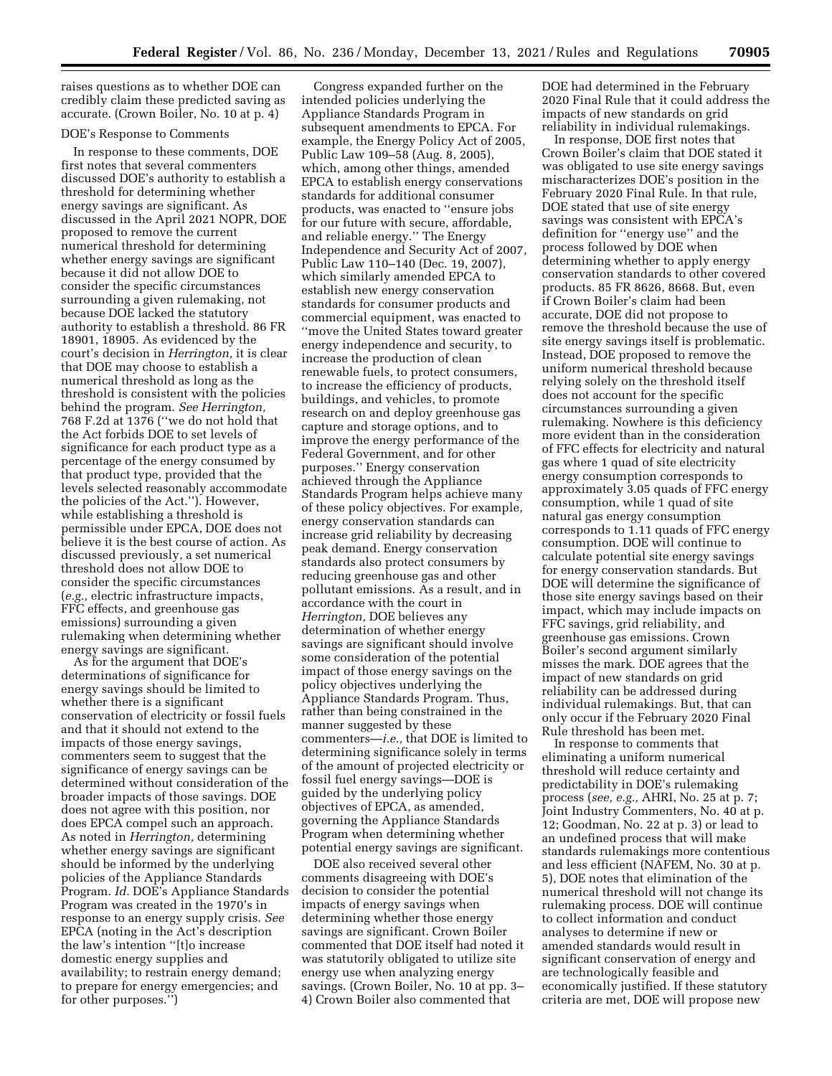raises questions as to whether DOE can credibly claim these predicted saving as accurate. (Crown Boiler, No. 10 at p. 4)

#### DOE's Response to Comments

In response to these comments, DOE first notes that several commenters discussed DOE's authority to establish a threshold for determining whether energy savings are significant. As discussed in the April 2021 NOPR, DOE proposed to remove the current numerical threshold for determining whether energy savings are significant because it did not allow DOE to consider the specific circumstances surrounding a given rulemaking, not because DOE lacked the statutory authority to establish a threshold. 86 FR 18901, 18905. As evidenced by the court's decision in *Herrington,* it is clear that DOE may choose to establish a numerical threshold as long as the threshold is consistent with the policies behind the program. *See Herrington,*  768 F.2d at 1376 (''we do not hold that the Act forbids DOE to set levels of significance for each product type as a percentage of the energy consumed by that product type, provided that the levels selected reasonably accommodate the policies of the Act.''). However, while establishing a threshold is permissible under EPCA, DOE does not believe it is the best course of action. As discussed previously, a set numerical threshold does not allow DOE to consider the specific circumstances (*e.g.,* electric infrastructure impacts, FFC effects, and greenhouse gas emissions) surrounding a given rulemaking when determining whether energy savings are significant.

As for the argument that DOE's determinations of significance for energy savings should be limited to whether there is a significant conservation of electricity or fossil fuels and that it should not extend to the impacts of those energy savings, commenters seem to suggest that the significance of energy savings can be determined without consideration of the broader impacts of those savings. DOE does not agree with this position, nor does EPCA compel such an approach. As noted in *Herrington,* determining whether energy savings are significant should be informed by the underlying policies of the Appliance Standards Program. *Id.* DOE's Appliance Standards Program was created in the 1970's in response to an energy supply crisis. *See*  EPCA (noting in the Act's description the law's intention ''[t]o increase domestic energy supplies and availability; to restrain energy demand; to prepare for energy emergencies; and for other purposes.'')

Congress expanded further on the intended policies underlying the Appliance Standards Program in subsequent amendments to EPCA. For example, the Energy Policy Act of 2005, Public Law 109–58 (Aug. 8, 2005), which, among other things, amended EPCA to establish energy conservations standards for additional consumer products, was enacted to ''ensure jobs for our future with secure, affordable, and reliable energy.'' The Energy Independence and Security Act of 2007, Public Law 110–140 (Dec. 19, 2007), which similarly amended EPCA to establish new energy conservation standards for consumer products and commercial equipment, was enacted to ''move the United States toward greater energy independence and security, to increase the production of clean renewable fuels, to protect consumers, to increase the efficiency of products, buildings, and vehicles, to promote research on and deploy greenhouse gas capture and storage options, and to improve the energy performance of the Federal Government, and for other purposes.'' Energy conservation achieved through the Appliance Standards Program helps achieve many of these policy objectives. For example, energy conservation standards can increase grid reliability by decreasing peak demand. Energy conservation standards also protect consumers by reducing greenhouse gas and other pollutant emissions. As a result, and in accordance with the court in *Herrington,* DOE believes any determination of whether energy savings are significant should involve some consideration of the potential impact of those energy savings on the policy objectives underlying the Appliance Standards Program. Thus, rather than being constrained in the manner suggested by these commenters—*i.e.,* that DOE is limited to determining significance solely in terms of the amount of projected electricity or fossil fuel energy savings—DOE is guided by the underlying policy objectives of EPCA, as amended, governing the Appliance Standards Program when determining whether potential energy savings are significant.

DOE also received several other comments disagreeing with DOE's decision to consider the potential impacts of energy savings when determining whether those energy savings are significant. Crown Boiler commented that DOE itself had noted it was statutorily obligated to utilize site energy use when analyzing energy savings. (Crown Boiler, No. 10 at pp. 3– 4) Crown Boiler also commented that

DOE had determined in the February 2020 Final Rule that it could address the impacts of new standards on grid reliability in individual rulemakings.

In response, DOE first notes that Crown Boiler's claim that DOE stated it was obligated to use site energy savings mischaracterizes DOE's position in the February 2020 Final Rule. In that rule, DOE stated that use of site energy savings was consistent with EPCA's definition for ''energy use'' and the process followed by DOE when determining whether to apply energy conservation standards to other covered products. 85 FR 8626, 8668. But, even if Crown Boiler's claim had been accurate, DOE did not propose to remove the threshold because the use of site energy savings itself is problematic. Instead, DOE proposed to remove the uniform numerical threshold because relying solely on the threshold itself does not account for the specific circumstances surrounding a given rulemaking. Nowhere is this deficiency more evident than in the consideration of FFC effects for electricity and natural gas where 1 quad of site electricity energy consumption corresponds to approximately 3.05 quads of FFC energy consumption, while 1 quad of site natural gas energy consumption corresponds to 1.11 quads of FFC energy consumption. DOE will continue to calculate potential site energy savings for energy conservation standards. But DOE will determine the significance of those site energy savings based on their impact, which may include impacts on FFC savings, grid reliability, and greenhouse gas emissions. Crown Boiler's second argument similarly misses the mark. DOE agrees that the impact of new standards on grid reliability can be addressed during individual rulemakings. But, that can only occur if the February 2020 Final Rule threshold has been met.

In response to comments that eliminating a uniform numerical threshold will reduce certainty and predictability in DOE's rulemaking process (*see, e.g.,* AHRI, No. 25 at p. 7; Joint Industry Commenters, No. 40 at p. 12; Goodman, No. 22 at p. 3) or lead to an undefined process that will make standards rulemakings more contentious and less efficient (NAFEM, No. 30 at p. 5), DOE notes that elimination of the numerical threshold will not change its rulemaking process. DOE will continue to collect information and conduct analyses to determine if new or amended standards would result in significant conservation of energy and are technologically feasible and economically justified. If these statutory criteria are met, DOE will propose new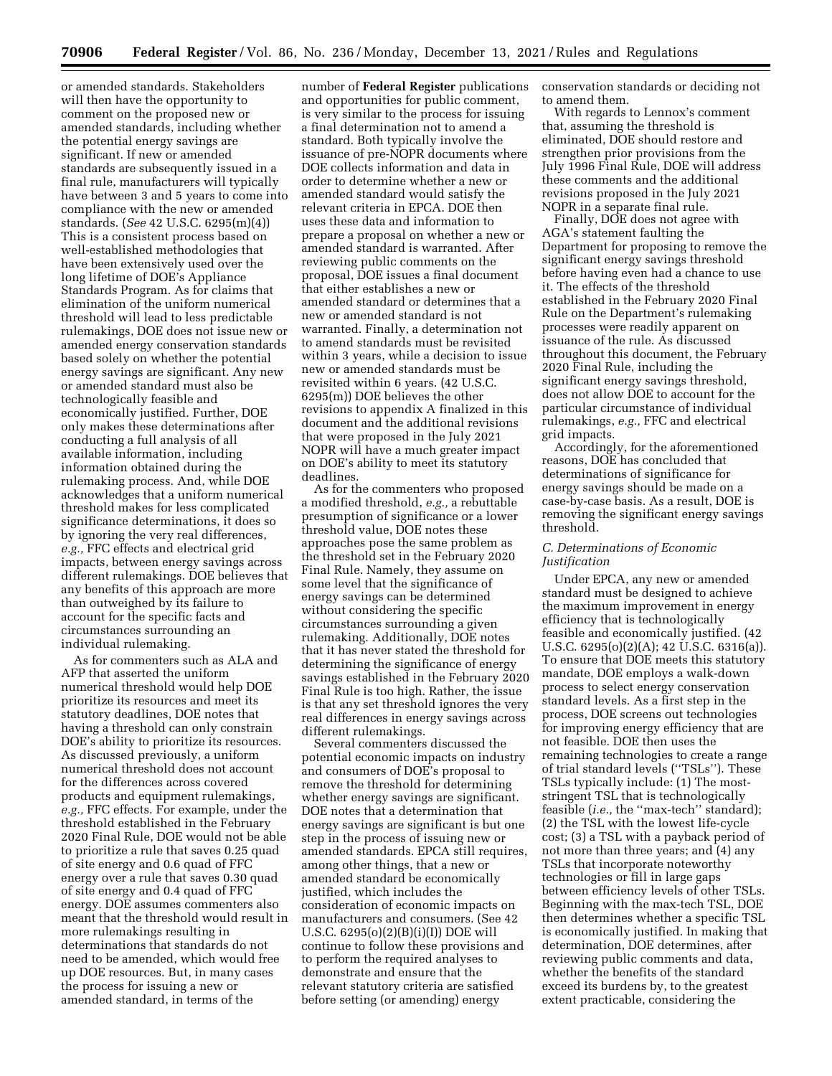or amended standards. Stakeholders will then have the opportunity to comment on the proposed new or amended standards, including whether the potential energy savings are significant. If new or amended standards are subsequently issued in a final rule, manufacturers will typically have between 3 and 5 years to come into compliance with the new or amended standards. (*See* 42 U.S.C. 6295(m)(4)) This is a consistent process based on well-established methodologies that have been extensively used over the long lifetime of DOE's Appliance Standards Program. As for claims that elimination of the uniform numerical threshold will lead to less predictable rulemakings, DOE does not issue new or amended energy conservation standards based solely on whether the potential energy savings are significant. Any new or amended standard must also be technologically feasible and economically justified. Further, DOE only makes these determinations after conducting a full analysis of all available information, including information obtained during the rulemaking process. And, while DOE acknowledges that a uniform numerical threshold makes for less complicated significance determinations, it does so by ignoring the very real differences, *e.g.,* FFC effects and electrical grid impacts, between energy savings across different rulemakings. DOE believes that any benefits of this approach are more than outweighed by its failure to account for the specific facts and circumstances surrounding an individual rulemaking.

As for commenters such as ALA and AFP that asserted the uniform numerical threshold would help DOE prioritize its resources and meet its statutory deadlines, DOE notes that having a threshold can only constrain DOE's ability to prioritize its resources. As discussed previously, a uniform numerical threshold does not account for the differences across covered products and equipment rulemakings, *e.g.,* FFC effects. For example, under the threshold established in the February 2020 Final Rule, DOE would not be able to prioritize a rule that saves 0.25 quad of site energy and 0.6 quad of FFC energy over a rule that saves 0.30 quad of site energy and 0.4 quad of FFC energy. DOE assumes commenters also meant that the threshold would result in more rulemakings resulting in determinations that standards do not need to be amended, which would free up DOE resources. But, in many cases the process for issuing a new or amended standard, in terms of the

number of **Federal Register** publications and opportunities for public comment, is very similar to the process for issuing a final determination not to amend a standard. Both typically involve the issuance of pre-NOPR documents where DOE collects information and data in order to determine whether a new or amended standard would satisfy the relevant criteria in EPCA. DOE then uses these data and information to prepare a proposal on whether a new or amended standard is warranted. After reviewing public comments on the proposal, DOE issues a final document that either establishes a new or amended standard or determines that a new or amended standard is not warranted. Finally, a determination not to amend standards must be revisited within 3 years, while a decision to issue new or amended standards must be revisited within 6 years. (42 U.S.C. 6295(m)) DOE believes the other revisions to appendix A finalized in this document and the additional revisions that were proposed in the July 2021 NOPR will have a much greater impact on DOE's ability to meet its statutory deadlines.

As for the commenters who proposed a modified threshold, *e.g.,* a rebuttable presumption of significance or a lower threshold value, DOE notes these approaches pose the same problem as the threshold set in the February 2020 Final Rule. Namely, they assume on some level that the significance of energy savings can be determined without considering the specific circumstances surrounding a given rulemaking. Additionally, DOE notes that it has never stated the threshold for determining the significance of energy savings established in the February 2020 Final Rule is too high. Rather, the issue is that any set threshold ignores the very real differences in energy savings across different rulemakings.

Several commenters discussed the potential economic impacts on industry and consumers of DOE's proposal to remove the threshold for determining whether energy savings are significant. DOE notes that a determination that energy savings are significant is but one step in the process of issuing new or amended standards. EPCA still requires, among other things, that a new or amended standard be economically justified, which includes the consideration of economic impacts on manufacturers and consumers. (See 42 U.S.C. 6295(o)(2)(B)(i)(I)) DOE will continue to follow these provisions and to perform the required analyses to demonstrate and ensure that the relevant statutory criteria are satisfied before setting (or amending) energy

conservation standards or deciding not to amend them.

With regards to Lennox's comment that, assuming the threshold is eliminated, DOE should restore and strengthen prior provisions from the July 1996 Final Rule, DOE will address these comments and the additional revisions proposed in the July 2021 NOPR in a separate final rule.

Finally, DOE does not agree with AGA's statement faulting the Department for proposing to remove the significant energy savings threshold before having even had a chance to use it. The effects of the threshold established in the February 2020 Final Rule on the Department's rulemaking processes were readily apparent on issuance of the rule. As discussed throughout this document, the February 2020 Final Rule, including the significant energy savings threshold, does not allow DOE to account for the particular circumstance of individual rulemakings, *e.g.,* FFC and electrical grid impacts.

Accordingly, for the aforementioned reasons, DOE has concluded that determinations of significance for energy savings should be made on a case-by-case basis. As a result, DOE is removing the significant energy savings threshold.

### *C. Determinations of Economic Justification*

Under EPCA, any new or amended standard must be designed to achieve the maximum improvement in energy efficiency that is technologically feasible and economically justified. (42 U.S.C. 6295(o)(2)(A); 42 U.S.C. 6316(a)). To ensure that DOE meets this statutory mandate, DOE employs a walk-down process to select energy conservation standard levels. As a first step in the process, DOE screens out technologies for improving energy efficiency that are not feasible. DOE then uses the remaining technologies to create a range of trial standard levels (''TSLs''). These TSLs typically include: (1) The moststringent TSL that is technologically feasible (*i.e.,* the ''max-tech'' standard); (2) the TSL with the lowest life-cycle cost; (3) a TSL with a payback period of not more than three years; and (4) any TSLs that incorporate noteworthy technologies or fill in large gaps between efficiency levels of other TSLs. Beginning with the max-tech TSL, DOE then determines whether a specific TSL is economically justified. In making that determination, DOE determines, after reviewing public comments and data, whether the benefits of the standard exceed its burdens by, to the greatest extent practicable, considering the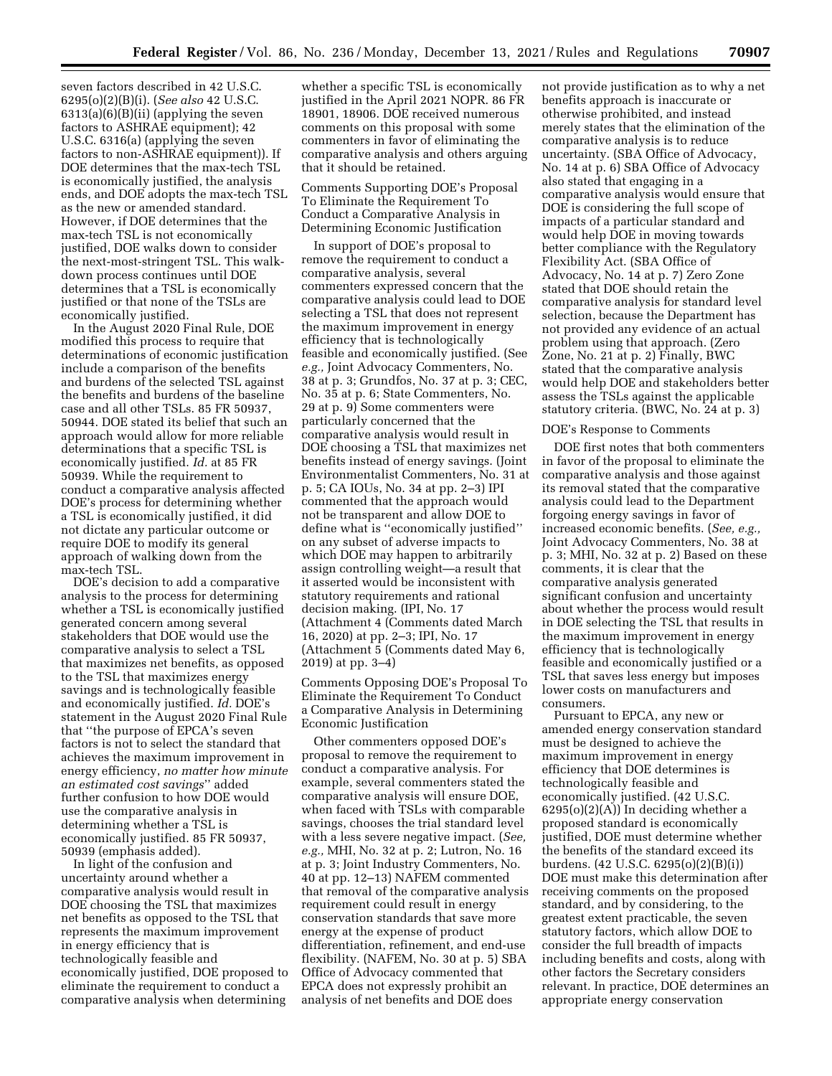seven factors described in 42 U.S.C. 6295(o)(2)(B)(i). (*See also* 42 U.S.C. 6313(a)(6)(B)(ii) (applying the seven factors to ASHRAE equipment); 42 U.S.C. 6316(a) (applying the seven factors to non-ASHRAE equipment)). If DOE determines that the max-tech TSL is economically justified, the analysis ends, and DOE adopts the max-tech TSL as the new or amended standard. However, if DOE determines that the max-tech TSL is not economically justified, DOE walks down to consider the next-most-stringent TSL. This walkdown process continues until DOE determines that a TSL is economically justified or that none of the TSLs are economically justified.

In the August 2020 Final Rule, DOE modified this process to require that determinations of economic justification include a comparison of the benefits and burdens of the selected TSL against the benefits and burdens of the baseline case and all other TSLs. 85 FR 50937, 50944. DOE stated its belief that such an approach would allow for more reliable determinations that a specific TSL is economically justified. *Id.* at 85 FR 50939. While the requirement to conduct a comparative analysis affected DOE's process for determining whether a TSL is economically justified, it did not dictate any particular outcome or require DOE to modify its general approach of walking down from the max-tech TSL.

DOE's decision to add a comparative analysis to the process for determining whether a TSL is economically justified generated concern among several stakeholders that DOE would use the comparative analysis to select a TSL that maximizes net benefits, as opposed to the TSL that maximizes energy savings and is technologically feasible and economically justified. *Id.* DOE's statement in the August 2020 Final Rule that ''the purpose of EPCA's seven factors is not to select the standard that achieves the maximum improvement in energy efficiency, *no matter how minute an estimated cost savings*'' added further confusion to how DOE would use the comparative analysis in determining whether a TSL is economically justified. 85 FR 50937, 50939 (emphasis added).

In light of the confusion and uncertainty around whether a comparative analysis would result in DOE choosing the TSL that maximizes net benefits as opposed to the TSL that represents the maximum improvement in energy efficiency that is technologically feasible and economically justified, DOE proposed to eliminate the requirement to conduct a comparative analysis when determining

whether a specific TSL is economically justified in the April 2021 NOPR. 86 FR 18901, 18906. DOE received numerous comments on this proposal with some commenters in favor of eliminating the comparative analysis and others arguing that it should be retained.

Comments Supporting DOE's Proposal To Eliminate the Requirement To Conduct a Comparative Analysis in Determining Economic Justification

In support of DOE's proposal to remove the requirement to conduct a comparative analysis, several commenters expressed concern that the comparative analysis could lead to DOE selecting a TSL that does not represent the maximum improvement in energy efficiency that is technologically feasible and economically justified. (See *e.g.,* Joint Advocacy Commenters, No. 38 at p. 3; Grundfos, No. 37 at p. 3; CEC, No. 35 at p. 6; State Commenters, No. 29 at p. 9) Some commenters were particularly concerned that the comparative analysis would result in DOE choosing a TSL that maximizes net benefits instead of energy savings. (Joint Environmentalist Commenters, No. 31 at p. 5; CA IOUs, No. 34 at pp. 2–3) IPI commented that the approach would not be transparent and allow DOE to define what is ''economically justified'' on any subset of adverse impacts to which DOE may happen to arbitrarily assign controlling weight—a result that it asserted would be inconsistent with statutory requirements and rational decision making. (IPI, No. 17 (Attachment 4 (Comments dated March 16, 2020) at pp. 2–3; IPI, No. 17 (Attachment 5 (Comments dated May 6, 2019) at pp. 3–4)

Comments Opposing DOE's Proposal To Eliminate the Requirement To Conduct a Comparative Analysis in Determining Economic Justification

Other commenters opposed DOE's proposal to remove the requirement to conduct a comparative analysis. For example, several commenters stated the comparative analysis will ensure DOE, when faced with TSLs with comparable savings, chooses the trial standard level with a less severe negative impact. (*See, e.g.,* MHI, No. 32 at p. 2; Lutron, No. 16 at p. 3; Joint Industry Commenters, No. 40 at pp. 12–13) NAFEM commented that removal of the comparative analysis requirement could result in energy conservation standards that save more energy at the expense of product differentiation, refinement, and end-use flexibility. (NAFEM, No. 30 at p. 5) SBA Office of Advocacy commented that EPCA does not expressly prohibit an analysis of net benefits and DOE does

not provide justification as to why a net benefits approach is inaccurate or otherwise prohibited, and instead merely states that the elimination of the comparative analysis is to reduce uncertainty. (SBA Office of Advocacy, No. 14 at p. 6) SBA Office of Advocacy also stated that engaging in a comparative analysis would ensure that DOE is considering the full scope of impacts of a particular standard and would help DOE in moving towards better compliance with the Regulatory Flexibility Act. (SBA Office of Advocacy, No. 14 at p. 7) Zero Zone stated that DOE should retain the comparative analysis for standard level selection, because the Department has not provided any evidence of an actual problem using that approach. (Zero Zone, No. 21 at p. 2) Finally, BWC stated that the comparative analysis would help DOE and stakeholders better assess the TSLs against the applicable statutory criteria. (BWC, No. 24 at p. 3)

#### DOE's Response to Comments

DOE first notes that both commenters in favor of the proposal to eliminate the comparative analysis and those against its removal stated that the comparative analysis could lead to the Department forgoing energy savings in favor of increased economic benefits. (*See, e.g.,*  Joint Advocacy Commenters, No. 38 at p. 3; MHI, No. 32 at p. 2) Based on these comments, it is clear that the comparative analysis generated significant confusion and uncertainty about whether the process would result in DOE selecting the TSL that results in the maximum improvement in energy efficiency that is technologically feasible and economically justified or a TSL that saves less energy but imposes lower costs on manufacturers and consumers.

Pursuant to EPCA, any new or amended energy conservation standard must be designed to achieve the maximum improvement in energy efficiency that DOE determines is technologically feasible and economically justified. (42 U.S.C.  $6295(o)(2)(A)$  In deciding whether a proposed standard is economically justified, DOE must determine whether the benefits of the standard exceed its burdens. (42 U.S.C. 6295(o)(2)(B)(i)) DOE must make this determination after receiving comments on the proposed standard, and by considering, to the greatest extent practicable, the seven statutory factors, which allow DOE to consider the full breadth of impacts including benefits and costs, along with other factors the Secretary considers relevant. In practice, DOE determines an appropriate energy conservation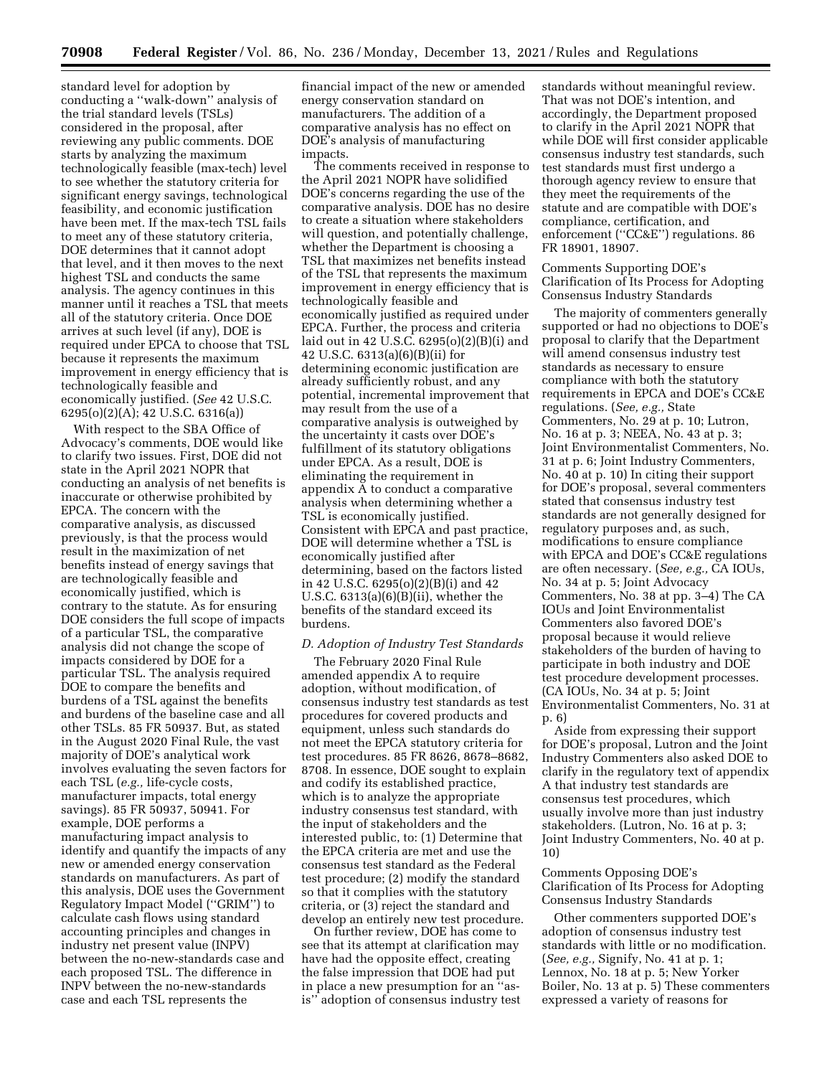standard level for adoption by conducting a ''walk-down'' analysis of the trial standard levels (TSLs) considered in the proposal, after reviewing any public comments. DOE starts by analyzing the maximum technologically feasible (max-tech) level to see whether the statutory criteria for significant energy savings, technological feasibility, and economic justification have been met. If the max-tech TSL fails to meet any of these statutory criteria, DOE determines that it cannot adopt that level, and it then moves to the next highest TSL and conducts the same analysis. The agency continues in this manner until it reaches a TSL that meets all of the statutory criteria. Once DOE arrives at such level (if any), DOE is required under EPCA to choose that TSL because it represents the maximum improvement in energy efficiency that is technologically feasible and economically justified. (*See* 42 U.S.C. 6295(o)(2)(A); 42 U.S.C. 6316(a))

With respect to the SBA Office of Advocacy's comments, DOE would like to clarify two issues. First, DOE did not state in the April 2021 NOPR that conducting an analysis of net benefits is inaccurate or otherwise prohibited by EPCA. The concern with the comparative analysis, as discussed previously, is that the process would result in the maximization of net benefits instead of energy savings that are technologically feasible and economically justified, which is contrary to the statute. As for ensuring DOE considers the full scope of impacts of a particular TSL, the comparative analysis did not change the scope of impacts considered by DOE for a particular TSL. The analysis required DOE to compare the benefits and burdens of a TSL against the benefits and burdens of the baseline case and all other TSLs. 85 FR 50937. But, as stated in the August 2020 Final Rule, the vast majority of DOE's analytical work involves evaluating the seven factors for each TSL (*e.g.,* life-cycle costs, manufacturer impacts, total energy savings). 85 FR 50937, 50941. For example, DOE performs a manufacturing impact analysis to identify and quantify the impacts of any new or amended energy conservation standards on manufacturers. As part of this analysis, DOE uses the Government Regulatory Impact Model (''GRIM'') to calculate cash flows using standard accounting principles and changes in industry net present value (INPV) between the no-new-standards case and each proposed TSL. The difference in INPV between the no-new-standards case and each TSL represents the

financial impact of the new or amended energy conservation standard on manufacturers. The addition of a comparative analysis has no effect on DOE's analysis of manufacturing impacts.

The comments received in response to the April 2021 NOPR have solidified DOE's concerns regarding the use of the comparative analysis. DOE has no desire to create a situation where stakeholders will question, and potentially challenge, whether the Department is choosing a TSL that maximizes net benefits instead of the TSL that represents the maximum improvement in energy efficiency that is technologically feasible and economically justified as required under EPCA. Further, the process and criteria laid out in 42 U.S.C. 6295(o)(2)(B)(i) and 42 U.S.C. 6313(a)(6)(B)(ii) for determining economic justification are already sufficiently robust, and any potential, incremental improvement that may result from the use of a comparative analysis is outweighed by the uncertainty it casts over DOE's fulfillment of its statutory obligations under EPCA. As a result, DOE is eliminating the requirement in appendix A to conduct a comparative analysis when determining whether a TSL is economically justified. Consistent with EPCA and past practice, DOE will determine whether a TSL is economically justified after determining, based on the factors listed in 42 U.S.C. 6295(o)(2)(B)(i) and 42 U.S.C.  $6313(a)(6)(B)(ii)$ , whether the benefits of the standard exceed its burdens.

#### *D. Adoption of Industry Test Standards*

The February 2020 Final Rule amended appendix A to require adoption, without modification, of consensus industry test standards as test procedures for covered products and equipment, unless such standards do not meet the EPCA statutory criteria for test procedures. 85 FR 8626, 8678–8682, 8708. In essence, DOE sought to explain and codify its established practice, which is to analyze the appropriate industry consensus test standard, with the input of stakeholders and the interested public, to: (1) Determine that the EPCA criteria are met and use the consensus test standard as the Federal test procedure; (2) modify the standard so that it complies with the statutory criteria, or (3) reject the standard and develop an entirely new test procedure.

On further review, DOE has come to see that its attempt at clarification may have had the opposite effect, creating the false impression that DOE had put in place a new presumption for an ''asis'' adoption of consensus industry test

standards without meaningful review. That was not DOE's intention, and accordingly, the Department proposed to clarify in the April 2021 NOPR that while DOE will first consider applicable consensus industry test standards, such test standards must first undergo a thorough agency review to ensure that they meet the requirements of the statute and are compatible with DOE's compliance, certification, and enforcement (''CC&E'') regulations. 86 FR 18901, 18907.

Comments Supporting DOE's Clarification of Its Process for Adopting Consensus Industry Standards

The majority of commenters generally supported or had no objections to DOE's proposal to clarify that the Department will amend consensus industry test standards as necessary to ensure compliance with both the statutory requirements in EPCA and DOE's CC&E regulations. (*See, e.g.,* State Commenters, No. 29 at p. 10; Lutron, No. 16 at p. 3; NEEA, No. 43 at p. 3; Joint Environmentalist Commenters, No. 31 at p. 6; Joint Industry Commenters, No. 40 at p. 10) In citing their support for DOE's proposal, several commenters stated that consensus industry test standards are not generally designed for regulatory purposes and, as such, modifications to ensure compliance with EPCA and DOE's CC&E regulations are often necessary. (*See, e.g.,* CA IOUs, No. 34 at p. 5; Joint Advocacy Commenters, No. 38 at pp. 3–4) The CA IOUs and Joint Environmentalist Commenters also favored DOE's proposal because it would relieve stakeholders of the burden of having to participate in both industry and DOE test procedure development processes. (CA IOUs, No. 34 at p. 5; Joint Environmentalist Commenters, No. 31 at p. 6)

Aside from expressing their support for DOE's proposal, Lutron and the Joint Industry Commenters also asked DOE to clarify in the regulatory text of appendix A that industry test standards are consensus test procedures, which usually involve more than just industry stakeholders. (Lutron, No. 16 at p. 3; Joint Industry Commenters, No. 40 at p. 10)

Comments Opposing DOE's Clarification of Its Process for Adopting Consensus Industry Standards

Other commenters supported DOE's adoption of consensus industry test standards with little or no modification. (*See, e.g.,* Signify, No. 41 at p. 1; Lennox, No. 18 at p. 5; New Yorker Boiler, No. 13 at p. 5) These commenters expressed a variety of reasons for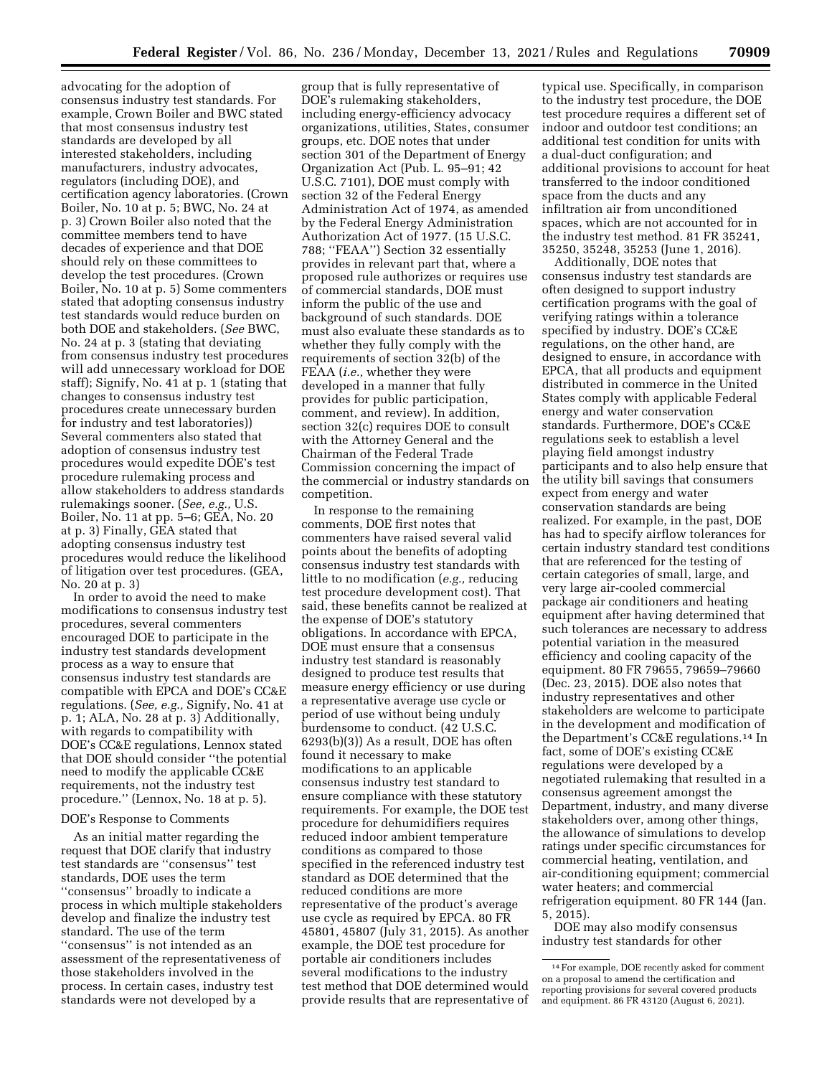advocating for the adoption of consensus industry test standards. For example, Crown Boiler and BWC stated that most consensus industry test standards are developed by all interested stakeholders, including manufacturers, industry advocates, regulators (including DOE), and certification agency laboratories. (Crown Boiler, No. 10 at p. 5; BWC, No. 24 at p. 3) Crown Boiler also noted that the committee members tend to have decades of experience and that DOE should rely on these committees to develop the test procedures. (Crown Boiler, No. 10 at p. 5) Some commenters stated that adopting consensus industry test standards would reduce burden on both DOE and stakeholders. (*See* BWC, No. 24 at p. 3 (stating that deviating from consensus industry test procedures will add unnecessary workload for DOE staff); Signify, No. 41 at p. 1 (stating that changes to consensus industry test procedures create unnecessary burden for industry and test laboratories)) Several commenters also stated that adoption of consensus industry test procedures would expedite DOE's test procedure rulemaking process and allow stakeholders to address standards rulemakings sooner. (*See, e.g.,* U.S. Boiler, No. 11 at pp. 5–6; GEA, No. 20 at p. 3) Finally, GEA stated that adopting consensus industry test procedures would reduce the likelihood of litigation over test procedures. (GEA, No. 20 at p. 3)

In order to avoid the need to make modifications to consensus industry test procedures, several commenters encouraged DOE to participate in the industry test standards development process as a way to ensure that consensus industry test standards are compatible with EPCA and DOE's CC&E regulations. (*See, e.g.,* Signify, No. 41 at p. 1; ALA, No. 28 at p. 3) Additionally, with regards to compatibility with DOE's CC&E regulations, Lennox stated that DOE should consider ''the potential need to modify the applicable CC&E requirements, not the industry test procedure.'' (Lennox, No. 18 at p. 5).

#### DOE's Response to Comments

As an initial matter regarding the request that DOE clarify that industry test standards are ''consensus'' test standards, DOE uses the term ''consensus'' broadly to indicate a process in which multiple stakeholders develop and finalize the industry test standard. The use of the term ''consensus'' is not intended as an assessment of the representativeness of those stakeholders involved in the process. In certain cases, industry test standards were not developed by a

group that is fully representative of DOE's rulemaking stakeholders, including energy-efficiency advocacy organizations, utilities, States, consumer groups, etc. DOE notes that under section 301 of the Department of Energy Organization Act (Pub. L. 95–91; 42 U.S.C. 7101), DOE must comply with section 32 of the Federal Energy Administration Act of 1974, as amended by the Federal Energy Administration Authorization Act of 1977. (15 U.S.C. 788; ''FEAA'') Section 32 essentially provides in relevant part that, where a proposed rule authorizes or requires use of commercial standards, DOE must inform the public of the use and background of such standards. DOE must also evaluate these standards as to whether they fully comply with the requirements of section 32(b) of the FEAA (*i.e.,* whether they were developed in a manner that fully provides for public participation, comment, and review). In addition, section 32(c) requires DOE to consult with the Attorney General and the Chairman of the Federal Trade Commission concerning the impact of the commercial or industry standards on competition.

In response to the remaining comments, DOE first notes that commenters have raised several valid points about the benefits of adopting consensus industry test standards with little to no modification (*e.g.,* reducing test procedure development cost). That said, these benefits cannot be realized at the expense of DOE's statutory obligations. In accordance with EPCA, DOE must ensure that a consensus industry test standard is reasonably designed to produce test results that measure energy efficiency or use during a representative average use cycle or period of use without being unduly burdensome to conduct. (42 U.S.C. 6293(b)(3)) As a result, DOE has often found it necessary to make modifications to an applicable consensus industry test standard to ensure compliance with these statutory requirements. For example, the DOE test procedure for dehumidifiers requires reduced indoor ambient temperature conditions as compared to those specified in the referenced industry test standard as DOE determined that the reduced conditions are more representative of the product's average use cycle as required by EPCA. 80 FR 45801, 45807 (July 31, 2015). As another example, the DOE test procedure for portable air conditioners includes several modifications to the industry test method that DOE determined would provide results that are representative of

typical use. Specifically, in comparison to the industry test procedure, the DOE test procedure requires a different set of indoor and outdoor test conditions; an additional test condition for units with a dual-duct configuration; and additional provisions to account for heat transferred to the indoor conditioned space from the ducts and any infiltration air from unconditioned spaces, which are not accounted for in the industry test method. 81 FR 35241, 35250, 35248, 35253 (June 1, 2016).

Additionally, DOE notes that consensus industry test standards are often designed to support industry certification programs with the goal of verifying ratings within a tolerance specified by industry. DOE's CC&E regulations, on the other hand, are designed to ensure, in accordance with EPCA, that all products and equipment distributed in commerce in the United States comply with applicable Federal energy and water conservation standards. Furthermore, DOE's CC&E regulations seek to establish a level playing field amongst industry participants and to also help ensure that the utility bill savings that consumers expect from energy and water conservation standards are being realized. For example, in the past, DOE has had to specify airflow tolerances for certain industry standard test conditions that are referenced for the testing of certain categories of small, large, and very large air-cooled commercial package air conditioners and heating equipment after having determined that such tolerances are necessary to address potential variation in the measured efficiency and cooling capacity of the equipment. 80 FR 79655, 79659–79660 (Dec. 23, 2015). DOE also notes that industry representatives and other stakeholders are welcome to participate in the development and modification of the Department's CC&E regulations.14 In fact, some of DOE's existing CC&E regulations were developed by a negotiated rulemaking that resulted in a consensus agreement amongst the Department, industry, and many diverse stakeholders over, among other things, the allowance of simulations to develop ratings under specific circumstances for commercial heating, ventilation, and air-conditioning equipment; commercial water heaters; and commercial refrigeration equipment. 80 FR 144 (Jan. 5, 2015).

DOE may also modify consensus industry test standards for other

<sup>14</sup>For example, DOE recently asked for comment on a proposal to amend the certification and reporting provisions for several covered products and equipment. 86 FR 43120 (August 6, 2021).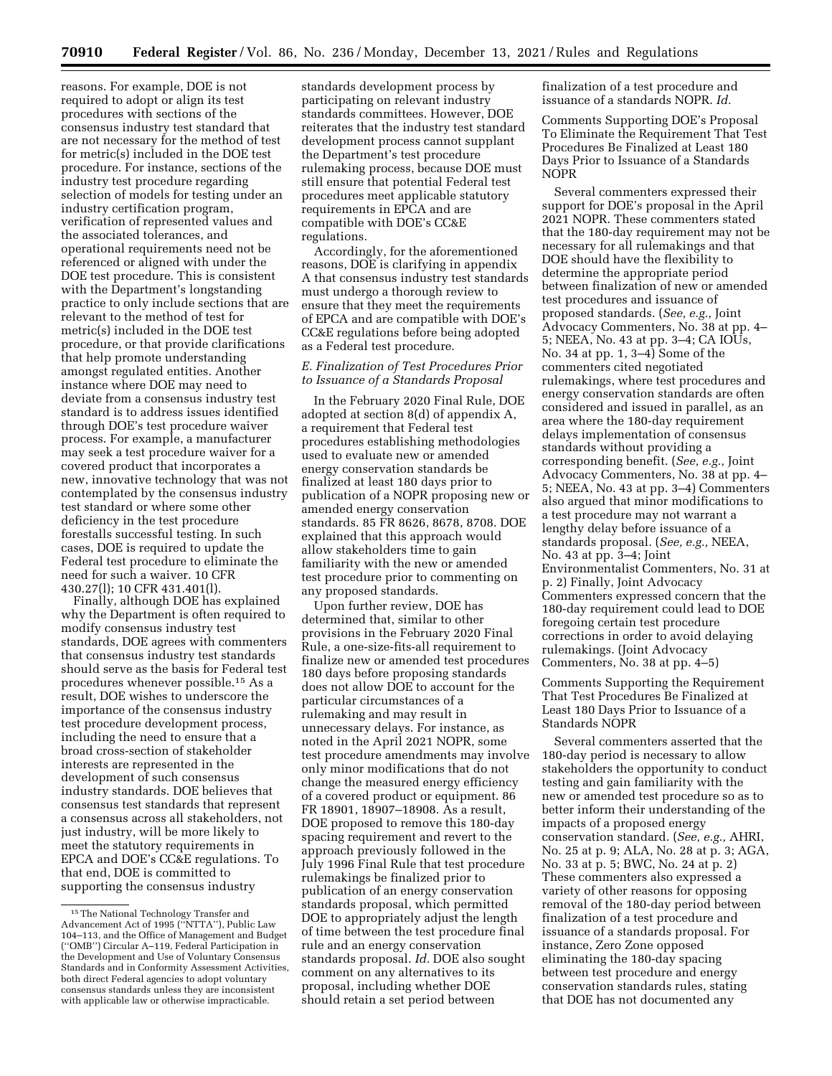reasons. For example, DOE is not required to adopt or align its test procedures with sections of the consensus industry test standard that are not necessary for the method of test for metric(s) included in the DOE test procedure. For instance, sections of the industry test procedure regarding selection of models for testing under an industry certification program, verification of represented values and the associated tolerances, and operational requirements need not be referenced or aligned with under the DOE test procedure. This is consistent with the Department's longstanding practice to only include sections that are relevant to the method of test for metric(s) included in the DOE test procedure, or that provide clarifications that help promote understanding amongst regulated entities. Another instance where DOE may need to deviate from a consensus industry test standard is to address issues identified through DOE's test procedure waiver process. For example, a manufacturer may seek a test procedure waiver for a covered product that incorporates a new, innovative technology that was not contemplated by the consensus industry test standard or where some other deficiency in the test procedure forestalls successful testing. In such cases, DOE is required to update the Federal test procedure to eliminate the need for such a waiver. 10 CFR 430.27(l); 10 CFR 431.401(l).

Finally, although DOE has explained why the Department is often required to modify consensus industry test standards, DOE agrees with commenters that consensus industry test standards should serve as the basis for Federal test procedures whenever possible.15 As a result, DOE wishes to underscore the importance of the consensus industry test procedure development process, including the need to ensure that a broad cross-section of stakeholder interests are represented in the development of such consensus industry standards. DOE believes that consensus test standards that represent a consensus across all stakeholders, not just industry, will be more likely to meet the statutory requirements in EPCA and DOE's CC&E regulations. To that end, DOE is committed to supporting the consensus industry

standards development process by participating on relevant industry standards committees. However, DOE reiterates that the industry test standard development process cannot supplant the Department's test procedure rulemaking process, because DOE must still ensure that potential Federal test procedures meet applicable statutory requirements in EPCA and are compatible with DOE's CC&E regulations.

Accordingly, for the aforementioned reasons, DOE is clarifying in appendix A that consensus industry test standards must undergo a thorough review to ensure that they meet the requirements of EPCA and are compatible with DOE's CC&E regulations before being adopted as a Federal test procedure.

## *E. Finalization of Test Procedures Prior to Issuance of a Standards Proposal*

In the February 2020 Final Rule, DOE adopted at section 8(d) of appendix A, a requirement that Federal test procedures establishing methodologies used to evaluate new or amended energy conservation standards be finalized at least 180 days prior to publication of a NOPR proposing new or amended energy conservation standards. 85 FR 8626, 8678, 8708. DOE explained that this approach would allow stakeholders time to gain familiarity with the new or amended test procedure prior to commenting on any proposed standards.

Upon further review, DOE has determined that, similar to other provisions in the February 2020 Final Rule, a one-size-fits-all requirement to finalize new or amended test procedures 180 days before proposing standards does not allow DOE to account for the particular circumstances of a rulemaking and may result in unnecessary delays. For instance, as noted in the April 2021 NOPR, some test procedure amendments may involve only minor modifications that do not change the measured energy efficiency of a covered product or equipment. 86 FR 18901, 18907–18908. As a result, DOE proposed to remove this 180-day spacing requirement and revert to the approach previously followed in the July 1996 Final Rule that test procedure rulemakings be finalized prior to publication of an energy conservation standards proposal, which permitted DOE to appropriately adjust the length of time between the test procedure final rule and an energy conservation standards proposal. *Id.* DOE also sought comment on any alternatives to its proposal, including whether DOE should retain a set period between

finalization of a test procedure and issuance of a standards NOPR. *Id.* 

Comments Supporting DOE's Proposal To Eliminate the Requirement That Test Procedures Be Finalized at Least 180 Days Prior to Issuance of a Standards NOPR

Several commenters expressed their support for DOE's proposal in the April 2021 NOPR. These commenters stated that the 180-day requirement may not be necessary for all rulemakings and that DOE should have the flexibility to determine the appropriate period between finalization of new or amended test procedures and issuance of proposed standards. (*See, e.g.,* Joint Advocacy Commenters, No. 38 at pp. 4– 5; NEEA, No. 43 at pp. 3–4; CA IOUs, No. 34 at pp. 1, 3–4) Some of the commenters cited negotiated rulemakings, where test procedures and energy conservation standards are often considered and issued in parallel, as an area where the 180-day requirement delays implementation of consensus standards without providing a corresponding benefit. (*See, e.g.,* Joint Advocacy Commenters, No. 38 at pp. 4– 5; NEEA, No. 43 at pp. 3–4) Commenters also argued that minor modifications to a test procedure may not warrant a lengthy delay before issuance of a standards proposal. (*See, e.g.,* NEEA, No. 43 at pp. 3–4; Joint Environmentalist Commenters, No. 31 at p. 2) Finally, Joint Advocacy Commenters expressed concern that the 180-day requirement could lead to DOE foregoing certain test procedure corrections in order to avoid delaying rulemakings. (Joint Advocacy Commenters, No. 38 at pp. 4–5)

Comments Supporting the Requirement That Test Procedures Be Finalized at Least 180 Days Prior to Issuance of a Standards NOPR

Several commenters asserted that the 180-day period is necessary to allow stakeholders the opportunity to conduct testing and gain familiarity with the new or amended test procedure so as to better inform their understanding of the impacts of a proposed energy conservation standard. (*See, e.g.,* AHRI, No. 25 at p. 9; ALA, No. 28 at p. 3; AGA, No. 33 at p. 5; BWC, No. 24 at p. 2) These commenters also expressed a variety of other reasons for opposing removal of the 180-day period between finalization of a test procedure and issuance of a standards proposal. For instance, Zero Zone opposed eliminating the 180-day spacing between test procedure and energy conservation standards rules, stating that DOE has not documented any

<sup>15</sup>The National Technology Transfer and Advancement Act of 1995 (''NTTA''), Public Law 104–113, and the Office of Management and Budget (''OMB'') Circular A–119, Federal Participation in the Development and Use of Voluntary Consensus Standards and in Conformity Assessment Activities, both direct Federal agencies to adopt voluntary consensus standards unless they are inconsistent with applicable law or otherwise impracticable.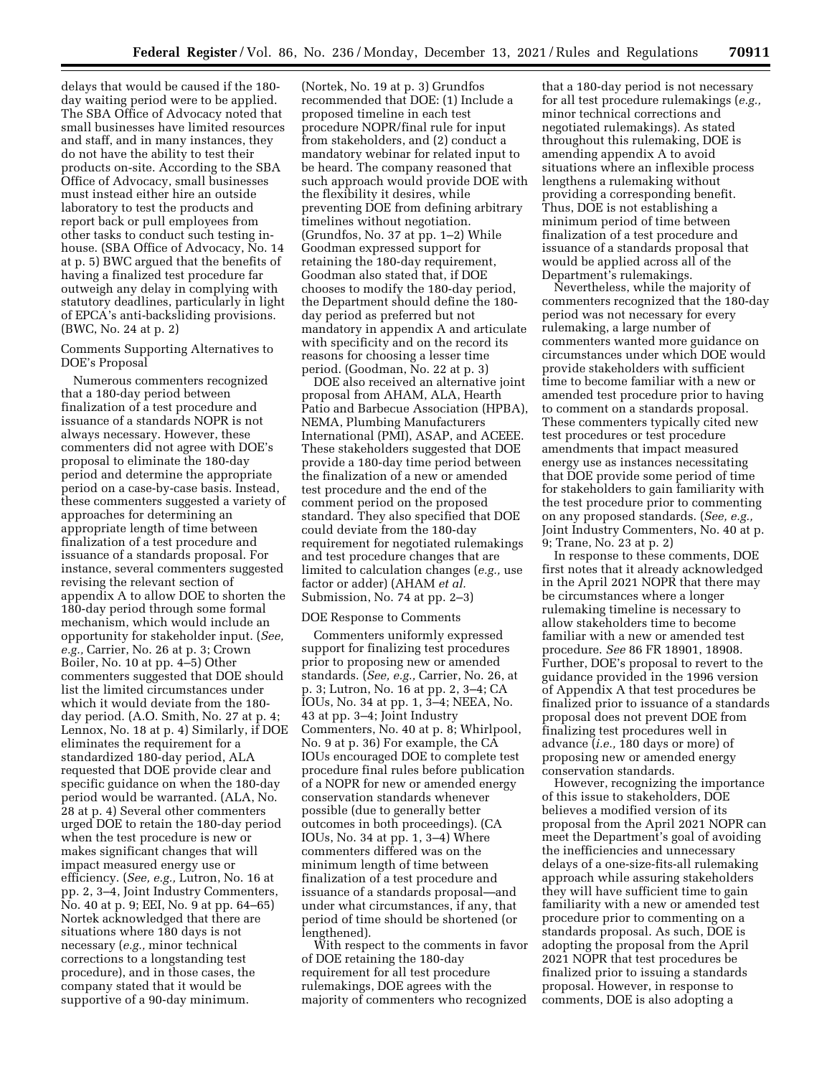delays that would be caused if the 180 day waiting period were to be applied. The SBA Office of Advocacy noted that small businesses have limited resources and staff, and in many instances, they do not have the ability to test their products on-site. According to the SBA Office of Advocacy, small businesses must instead either hire an outside laboratory to test the products and report back or pull employees from other tasks to conduct such testing inhouse. (SBA Office of Advocacy, No. 14 at p. 5) BWC argued that the benefits of having a finalized test procedure far outweigh any delay in complying with statutory deadlines, particularly in light of EPCA's anti-backsliding provisions. (BWC, No. 24 at p. 2)

Comments Supporting Alternatives to DOE's Proposal

Numerous commenters recognized that a 180-day period between finalization of a test procedure and issuance of a standards NOPR is not always necessary. However, these commenters did not agree with DOE's proposal to eliminate the 180-day period and determine the appropriate period on a case-by-case basis. Instead, these commenters suggested a variety of approaches for determining an appropriate length of time between finalization of a test procedure and issuance of a standards proposal. For instance, several commenters suggested revising the relevant section of appendix A to allow DOE to shorten the 180-day period through some formal mechanism, which would include an opportunity for stakeholder input. (*See, e.g.,* Carrier, No. 26 at p. 3; Crown Boiler, No. 10 at pp. 4–5) Other commenters suggested that DOE should list the limited circumstances under which it would deviate from the 180 day period. (A.O. Smith, No. 27 at p. 4; Lennox, No. 18 at p. 4) Similarly, if DOE eliminates the requirement for a standardized 180-day period, ALA requested that DOE provide clear and specific guidance on when the 180-day period would be warranted. (ALA, No. 28 at p. 4) Several other commenters urged DOE to retain the 180-day period when the test procedure is new or makes significant changes that will impact measured energy use or efficiency. (*See, e.g.,* Lutron, No. 16 at pp. 2, 3–4, Joint Industry Commenters, No. 40 at p. 9; EEI, No. 9 at pp. 64–65) Nortek acknowledged that there are situations where 180 days is not necessary (*e.g.,* minor technical corrections to a longstanding test procedure), and in those cases, the company stated that it would be supportive of a 90-day minimum.

(Nortek, No. 19 at p. 3) Grundfos recommended that DOE: (1) Include a proposed timeline in each test procedure NOPR/final rule for input from stakeholders, and (2) conduct a mandatory webinar for related input to be heard. The company reasoned that such approach would provide DOE with the flexibility it desires, while preventing DOE from defining arbitrary timelines without negotiation. (Grundfos, No. 37 at pp. 1–2) While Goodman expressed support for retaining the 180-day requirement, Goodman also stated that, if DOE chooses to modify the 180-day period, the Department should define the 180 day period as preferred but not mandatory in appendix A and articulate with specificity and on the record its reasons for choosing a lesser time period. (Goodman, No. 22 at p. 3)

DOE also received an alternative joint proposal from AHAM, ALA, Hearth Patio and Barbecue Association (HPBA), NEMA, Plumbing Manufacturers International (PMI), ASAP, and ACEEE. These stakeholders suggested that DOE provide a 180-day time period between the finalization of a new or amended test procedure and the end of the comment period on the proposed standard. They also specified that DOE could deviate from the 180-day requirement for negotiated rulemakings and test procedure changes that are limited to calculation changes (*e.g.,* use factor or adder) (AHAM *et al.*  Submission, No. 74 at pp. 2–3)

### DOE Response to Comments

Commenters uniformly expressed support for finalizing test procedures prior to proposing new or amended standards. (*See, e.g.,* Carrier, No. 26, at p. 3; Lutron, No. 16 at pp. 2, 3–4; CA IOUs, No. 34 at pp. 1, 3–4; NEEA, No. 43 at pp. 3–4; Joint Industry Commenters, No. 40 at p. 8; Whirlpool, No. 9 at p. 36) For example, the CA IOUs encouraged DOE to complete test procedure final rules before publication of a NOPR for new or amended energy conservation standards whenever possible (due to generally better outcomes in both proceedings). (CA IOUs, No. 34 at pp. 1, 3–4) Where commenters differed was on the minimum length of time between finalization of a test procedure and issuance of a standards proposal—and under what circumstances, if any, that period of time should be shortened (or lengthened).

With respect to the comments in favor of DOE retaining the 180-day requirement for all test procedure rulemakings, DOE agrees with the majority of commenters who recognized

that a 180-day period is not necessary for all test procedure rulemakings (*e.g.,*  minor technical corrections and negotiated rulemakings). As stated throughout this rulemaking, DOE is amending appendix A to avoid situations where an inflexible process lengthens a rulemaking without providing a corresponding benefit. Thus, DOE is not establishing a minimum period of time between finalization of a test procedure and issuance of a standards proposal that would be applied across all of the Department's rulemakings.

Nevertheless, while the majority of commenters recognized that the 180-day period was not necessary for every rulemaking, a large number of commenters wanted more guidance on circumstances under which DOE would provide stakeholders with sufficient time to become familiar with a new or amended test procedure prior to having to comment on a standards proposal. These commenters typically cited new test procedures or test procedure amendments that impact measured energy use as instances necessitating that DOE provide some period of time for stakeholders to gain familiarity with the test procedure prior to commenting on any proposed standards. (*See, e.g.,*  Joint Industry Commenters, No. 40 at p. 9; Trane, No. 23 at p. 2)

In response to these comments, DOE first notes that it already acknowledged in the April 2021 NOPR that there may be circumstances where a longer rulemaking timeline is necessary to allow stakeholders time to become familiar with a new or amended test procedure. *See* 86 FR 18901, 18908. Further, DOE's proposal to revert to the guidance provided in the 1996 version of Appendix A that test procedures be finalized prior to issuance of a standards proposal does not prevent DOE from finalizing test procedures well in advance (*i.e.,* 180 days or more) of proposing new or amended energy conservation standards.

However, recognizing the importance of this issue to stakeholders, DOE believes a modified version of its proposal from the April 2021 NOPR can meet the Department's goal of avoiding the inefficiencies and unnecessary delays of a one-size-fits-all rulemaking approach while assuring stakeholders they will have sufficient time to gain familiarity with a new or amended test procedure prior to commenting on a standards proposal. As such, DOE is adopting the proposal from the April 2021 NOPR that test procedures be finalized prior to issuing a standards proposal. However, in response to comments, DOE is also adopting a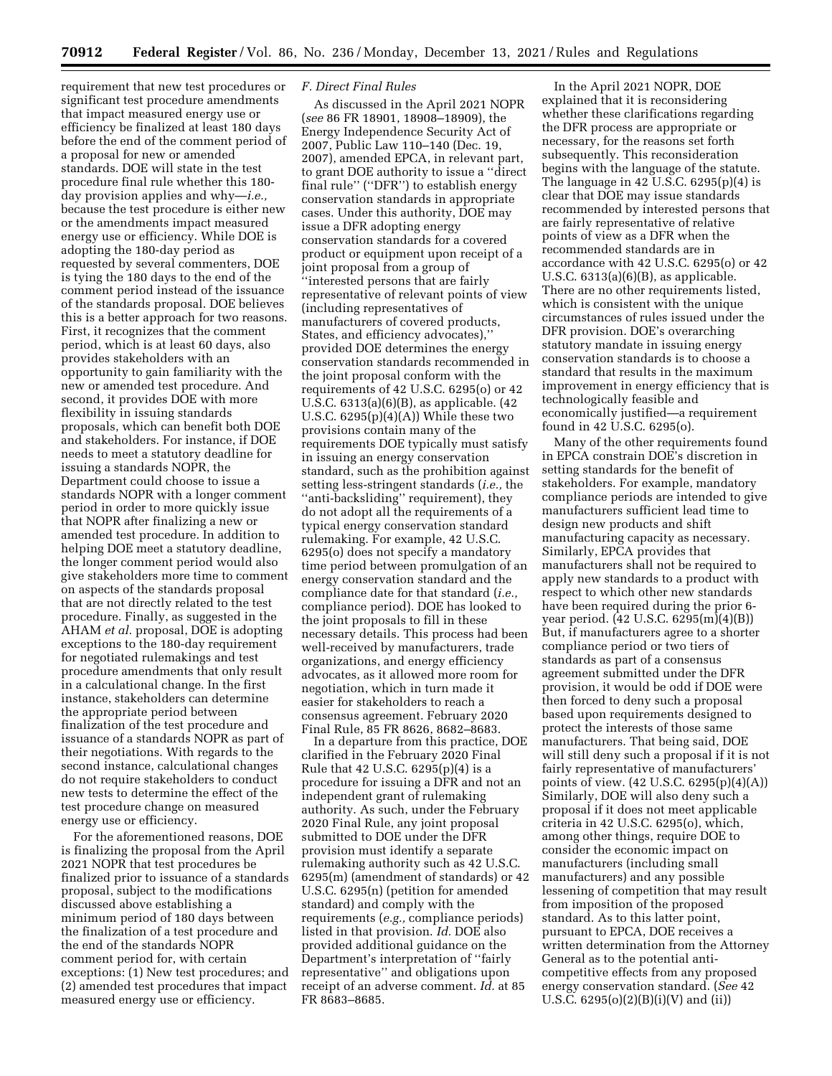requirement that new test procedures or significant test procedure amendments that impact measured energy use or efficiency be finalized at least 180 days before the end of the comment period of a proposal for new or amended standards. DOE will state in the test procedure final rule whether this 180 day provision applies and why—*i.e.,*  because the test procedure is either new or the amendments impact measured energy use or efficiency. While DOE is adopting the 180-day period as requested by several commenters, DOE is tying the 180 days to the end of the comment period instead of the issuance of the standards proposal. DOE believes this is a better approach for two reasons. First, it recognizes that the comment period, which is at least 60 days, also provides stakeholders with an opportunity to gain familiarity with the new or amended test procedure. And second, it provides DOE with more flexibility in issuing standards proposals, which can benefit both DOE and stakeholders. For instance, if DOE needs to meet a statutory deadline for issuing a standards NOPR, the Department could choose to issue a standards NOPR with a longer comment period in order to more quickly issue that NOPR after finalizing a new or amended test procedure. In addition to helping DOE meet a statutory deadline, the longer comment period would also give stakeholders more time to comment on aspects of the standards proposal that are not directly related to the test procedure. Finally, as suggested in the AHAM *et al.* proposal, DOE is adopting exceptions to the 180-day requirement for negotiated rulemakings and test procedure amendments that only result in a calculational change. In the first instance, stakeholders can determine the appropriate period between finalization of the test procedure and issuance of a standards NOPR as part of their negotiations. With regards to the second instance, calculational changes do not require stakeholders to conduct new tests to determine the effect of the test procedure change on measured energy use or efficiency.

For the aforementioned reasons, DOE is finalizing the proposal from the April 2021 NOPR that test procedures be finalized prior to issuance of a standards proposal, subject to the modifications discussed above establishing a minimum period of 180 days between the finalization of a test procedure and the end of the standards NOPR comment period for, with certain exceptions: (1) New test procedures; and (2) amended test procedures that impact measured energy use or efficiency.

#### *F. Direct Final Rules*

As discussed in the April 2021 NOPR (*see* 86 FR 18901, 18908–18909), the Energy Independence Security Act of 2007, Public Law 110–140 (Dec. 19, 2007), amended EPCA, in relevant part, to grant DOE authority to issue a ''direct final rule'' (''DFR'') to establish energy conservation standards in appropriate cases. Under this authority, DOE may issue a DFR adopting energy conservation standards for a covered product or equipment upon receipt of a joint proposal from a group of ''interested persons that are fairly representative of relevant points of view (including representatives of manufacturers of covered products, States, and efficiency advocates),'' provided DOE determines the energy conservation standards recommended in the joint proposal conform with the requirements of 42 U.S.C. 6295(o) or 42 U.S.C. 6313(a)(6)(B), as applicable. (42 U.S.C. 6295(p)(4)(A)) While these two provisions contain many of the requirements DOE typically must satisfy in issuing an energy conservation standard, such as the prohibition against setting less-stringent standards (*i.e.,* the ''anti-backsliding'' requirement), they do not adopt all the requirements of a typical energy conservation standard rulemaking. For example, 42 U.S.C. 6295(o) does not specify a mandatory time period between promulgation of an energy conservation standard and the compliance date for that standard (*i.e.,*  compliance period). DOE has looked to the joint proposals to fill in these necessary details. This process had been well-received by manufacturers, trade organizations, and energy efficiency advocates, as it allowed more room for negotiation, which in turn made it easier for stakeholders to reach a consensus agreement. February 2020 Final Rule, 85 FR 8626, 8682–8683.

In a departure from this practice, DOE clarified in the February 2020 Final Rule that 42 U.S.C. 6295(p)(4) is a procedure for issuing a DFR and not an independent grant of rulemaking authority. As such, under the February 2020 Final Rule, any joint proposal submitted to DOE under the DFR provision must identify a separate rulemaking authority such as 42 U.S.C. 6295(m) (amendment of standards) or 42 U.S.C. 6295(n) (petition for amended standard) and comply with the requirements (*e.g.,* compliance periods) listed in that provision. *Id.* DOE also provided additional guidance on the Department's interpretation of ''fairly representative'' and obligations upon receipt of an adverse comment. *Id.* at 85 FR 8683–8685.

In the April 2021 NOPR, DOE explained that it is reconsidering whether these clarifications regarding the DFR process are appropriate or necessary, for the reasons set forth subsequently. This reconsideration begins with the language of the statute. The language in 42 U.S.C. 6295(p)(4) is clear that DOE may issue standards recommended by interested persons that are fairly representative of relative points of view as a DFR when the recommended standards are in accordance with 42 U.S.C. 6295(o) or 42 U.S.C. 6313(a)(6)(B), as applicable. There are no other requirements listed, which is consistent with the unique circumstances of rules issued under the DFR provision. DOE's overarching statutory mandate in issuing energy conservation standards is to choose a standard that results in the maximum improvement in energy efficiency that is technologically feasible and economically justified—a requirement found in 42 U.S.C. 6295(o).

Many of the other requirements found in EPCA constrain DOE's discretion in setting standards for the benefit of stakeholders. For example, mandatory compliance periods are intended to give manufacturers sufficient lead time to design new products and shift manufacturing capacity as necessary. Similarly, EPCA provides that manufacturers shall not be required to apply new standards to a product with respect to which other new standards have been required during the prior 6 year period. (42 U.S.C. 6295(m)(4)(B)) But, if manufacturers agree to a shorter compliance period or two tiers of standards as part of a consensus agreement submitted under the DFR provision, it would be odd if DOE were then forced to deny such a proposal based upon requirements designed to protect the interests of those same manufacturers. That being said, DOE will still deny such a proposal if it is not fairly representative of manufacturers' points of view. (42 U.S.C. 6295(p)(4)(A)) Similarly, DOE will also deny such a proposal if it does not meet applicable criteria in 42 U.S.C. 6295(o), which, among other things, require DOE to consider the economic impact on manufacturers (including small manufacturers) and any possible lessening of competition that may result from imposition of the proposed standard. As to this latter point, pursuant to EPCA, DOE receives a written determination from the Attorney General as to the potential anticompetitive effects from any proposed energy conservation standard. (*See* 42 U.S.C.  $6295(o)(2)(B)(i)(V)$  and (ii))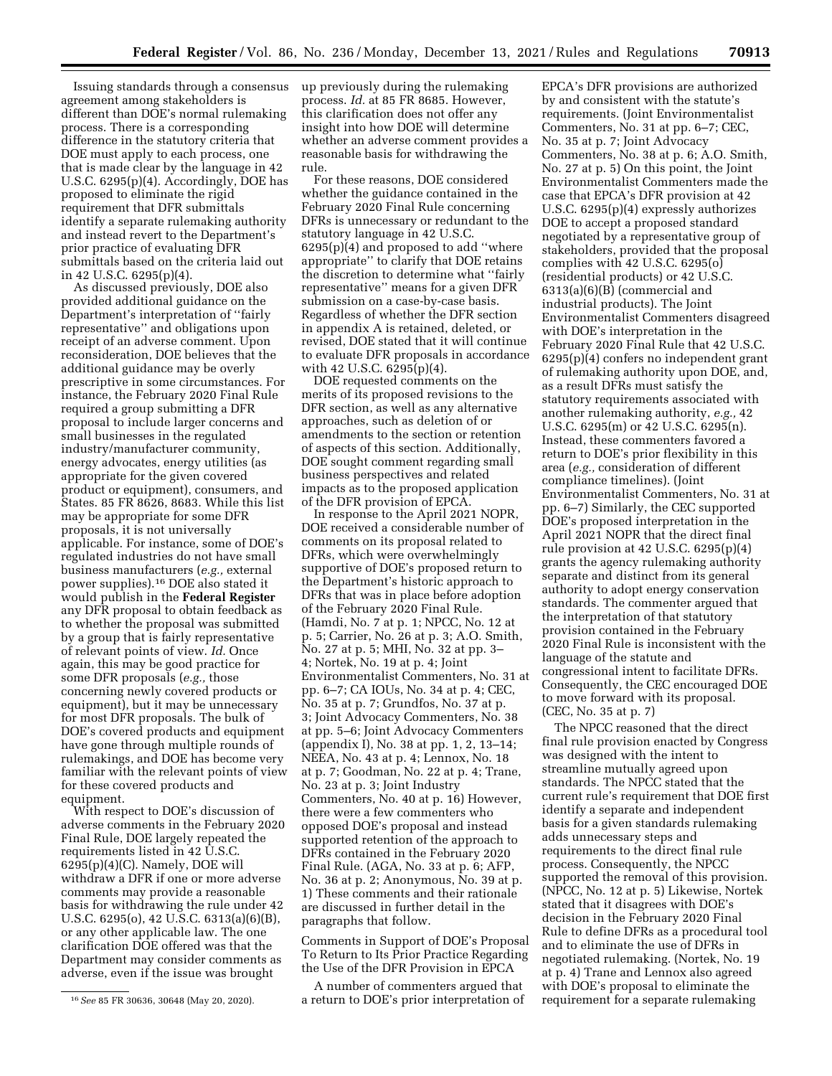Issuing standards through a consensus agreement among stakeholders is different than DOE's normal rulemaking process. There is a corresponding difference in the statutory criteria that DOE must apply to each process, one that is made clear by the language in 42 U.S.C. 6295(p)(4). Accordingly, DOE has proposed to eliminate the rigid requirement that DFR submittals identify a separate rulemaking authority and instead revert to the Department's prior practice of evaluating DFR submittals based on the criteria laid out in 42 U.S.C. 6295(p)(4).

As discussed previously, DOE also provided additional guidance on the Department's interpretation of ''fairly representative'' and obligations upon receipt of an adverse comment. Upon reconsideration, DOE believes that the additional guidance may be overly prescriptive in some circumstances. For instance, the February 2020 Final Rule required a group submitting a DFR proposal to include larger concerns and small businesses in the regulated industry/manufacturer community, energy advocates, energy utilities (as appropriate for the given covered product or equipment), consumers, and States. 85 FR 8626, 8683. While this list may be appropriate for some DFR proposals, it is not universally applicable. For instance, some of DOE's regulated industries do not have small business manufacturers (*e.g.,* external power supplies).16 DOE also stated it would publish in the **Federal Register**  any DFR proposal to obtain feedback as to whether the proposal was submitted by a group that is fairly representative of relevant points of view. *Id.* Once again, this may be good practice for some DFR proposals (*e.g.,* those concerning newly covered products or equipment), but it may be unnecessary for most DFR proposals. The bulk of DOE's covered products and equipment have gone through multiple rounds of rulemakings, and DOE has become very familiar with the relevant points of view for these covered products and equipment.

With respect to DOE's discussion of adverse comments in the February 2020 Final Rule, DOE largely repeated the requirements listed in 42 U.S.C.  $6295(p)(4)(C)$ . Namely, DOE will withdraw a DFR if one or more adverse comments may provide a reasonable basis for withdrawing the rule under 42 U.S.C. 6295(o), 42 U.S.C. 6313(a)(6)(B), or any other applicable law. The one clarification DOE offered was that the Department may consider comments as adverse, even if the issue was brought

up previously during the rulemaking process. *Id.* at 85 FR 8685. However, this clarification does not offer any insight into how DOE will determine whether an adverse comment provides a reasonable basis for withdrawing the rule.

For these reasons, DOE considered whether the guidance contained in the February 2020 Final Rule concerning DFRs is unnecessary or redundant to the statutory language in 42 U.S.C. 6295(p)(4) and proposed to add ''where appropriate'' to clarify that DOE retains the discretion to determine what ''fairly representative'' means for a given DFR submission on a case-by-case basis. Regardless of whether the DFR section in appendix A is retained, deleted, or revised, DOE stated that it will continue to evaluate DFR proposals in accordance with 42 U.S.C. 6295(p)(4).

DOE requested comments on the merits of its proposed revisions to the DFR section, as well as any alternative approaches, such as deletion of or amendments to the section or retention of aspects of this section. Additionally, DOE sought comment regarding small business perspectives and related impacts as to the proposed application of the DFR provision of EPCA.

In response to the April 2021 NOPR, DOE received a considerable number of comments on its proposal related to DFRs, which were overwhelmingly supportive of DOE's proposed return to the Department's historic approach to DFRs that was in place before adoption of the February 2020 Final Rule. (Hamdi, No. 7 at p. 1; NPCC, No. 12 at p. 5; Carrier, No. 26 at p. 3; A.O. Smith, No. 27 at p. 5; MHI, No. 32 at pp. 3– 4; Nortek, No. 19 at p. 4; Joint Environmentalist Commenters, No. 31 at pp. 6–7; CA IOUs, No. 34 at p. 4; CEC, No. 35 at p. 7; Grundfos, No. 37 at p. 3; Joint Advocacy Commenters, No. 38 at pp. 5–6; Joint Advocacy Commenters (appendix I), No. 38 at pp. 1, 2, 13–14; NEEA, No. 43 at p. 4; Lennox, No. 18 at p. 7; Goodman, No. 22 at p. 4; Trane, No. 23 at p. 3; Joint Industry Commenters, No. 40 at p. 16) However, there were a few commenters who opposed DOE's proposal and instead supported retention of the approach to DFRs contained in the February 2020 Final Rule. (AGA, No. 33 at p. 6; AFP, No. 36 at p. 2; Anonymous, No. 39 at p. 1) These comments and their rationale are discussed in further detail in the paragraphs that follow.

Comments in Support of DOE's Proposal To Return to Its Prior Practice Regarding the Use of the DFR Provision in EPCA

A number of commenters argued that a return to DOE's prior interpretation of

EPCA's DFR provisions are authorized by and consistent with the statute's requirements. (Joint Environmentalist Commenters, No. 31 at pp. 6–7; CEC, No. 35 at p. 7; Joint Advocacy Commenters, No. 38 at p. 6; A.O. Smith, No. 27 at p. 5) On this point, the Joint Environmentalist Commenters made the case that EPCA's DFR provision at 42 U.S.C. 6295(p)(4) expressly authorizes DOE to accept a proposed standard negotiated by a representative group of stakeholders, provided that the proposal complies with 42 U.S.C. 6295(o) (residential products) or 42 U.S.C. 6313(a)(6)(B) (commercial and industrial products). The Joint Environmentalist Commenters disagreed with DOE's interpretation in the February 2020 Final Rule that 42 U.S.C. 6295(p)(4) confers no independent grant of rulemaking authority upon DOE, and, as a result DFRs must satisfy the statutory requirements associated with another rulemaking authority, *e.g.,* 42 U.S.C. 6295(m) or 42 U.S.C. 6295(n). Instead, these commenters favored a return to DOE's prior flexibility in this area (*e.g.,* consideration of different compliance timelines). (Joint Environmentalist Commenters, No. 31 at pp. 6–7) Similarly, the CEC supported DOE's proposed interpretation in the April 2021 NOPR that the direct final rule provision at 42 U.S.C. 6295(p)(4) grants the agency rulemaking authority separate and distinct from its general authority to adopt energy conservation standards. The commenter argued that the interpretation of that statutory provision contained in the February 2020 Final Rule is inconsistent with the language of the statute and congressional intent to facilitate DFRs. Consequently, the CEC encouraged DOE to move forward with its proposal. (CEC, No. 35 at p. 7)

The NPCC reasoned that the direct final rule provision enacted by Congress was designed with the intent to streamline mutually agreed upon standards. The NPCC stated that the current rule's requirement that DOE first identify a separate and independent basis for a given standards rulemaking adds unnecessary steps and requirements to the direct final rule process. Consequently, the NPCC supported the removal of this provision. (NPCC, No. 12 at p. 5) Likewise, Nortek stated that it disagrees with DOE's decision in the February 2020 Final Rule to define DFRs as a procedural tool and to eliminate the use of DFRs in negotiated rulemaking. (Nortek, No. 19 at p. 4) Trane and Lennox also agreed with DOE's proposal to eliminate the requirement for a separate rulemaking

<sup>16</sup>*See* 85 FR 30636, 30648 (May 20, 2020).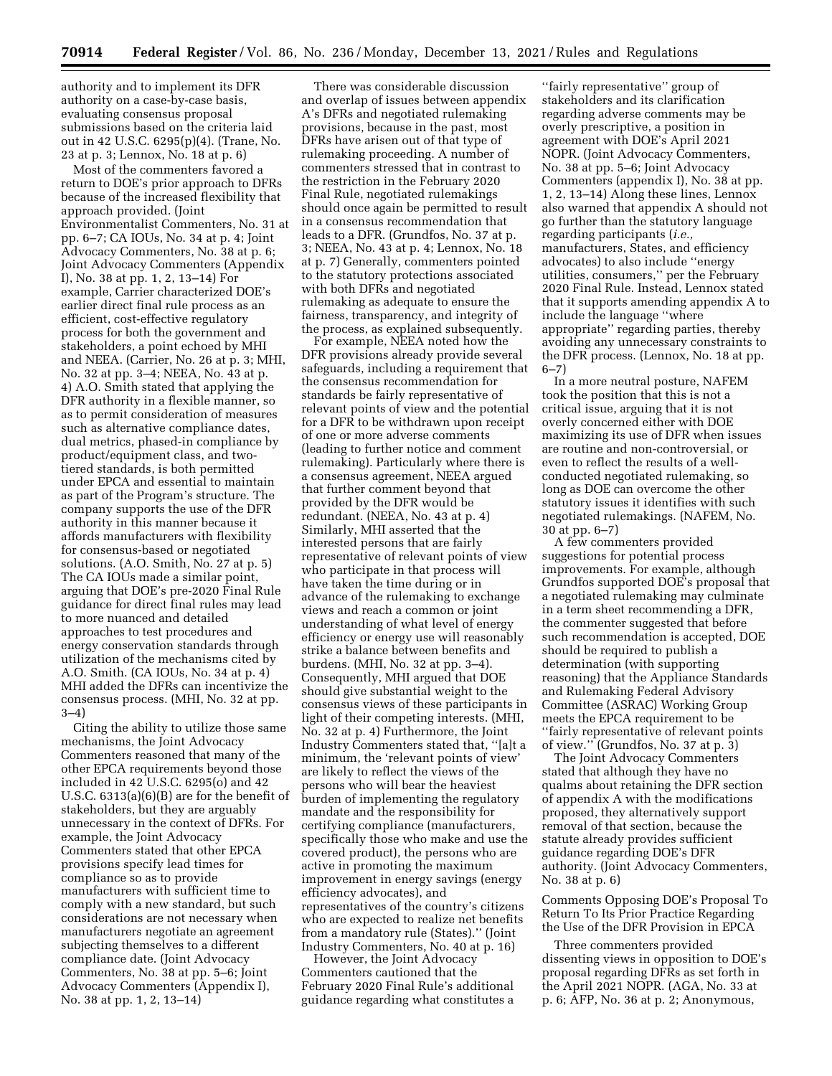authority and to implement its DFR authority on a case-by-case basis, evaluating consensus proposal submissions based on the criteria laid out in 42 U.S.C. 6295(p)(4). (Trane, No. 23 at p. 3; Lennox, No. 18 at p. 6)

Most of the commenters favored a return to DOE's prior approach to DFRs because of the increased flexibility that approach provided. (Joint Environmentalist Commenters, No. 31 at pp. 6–7; CA IOUs, No. 34 at p. 4; Joint Advocacy Commenters, No. 38 at p. 6; Joint Advocacy Commenters (Appendix I), No. 38 at pp. 1, 2, 13–14) For example, Carrier characterized DOE's earlier direct final rule process as an efficient, cost-effective regulatory process for both the government and stakeholders, a point echoed by MHI and NEEA. (Carrier, No. 26 at p. 3; MHI, No. 32 at pp. 3–4; NEEA, No. 43 at p. 4) A.O. Smith stated that applying the DFR authority in a flexible manner, so as to permit consideration of measures such as alternative compliance dates, dual metrics, phased-in compliance by product/equipment class, and twotiered standards, is both permitted under EPCA and essential to maintain as part of the Program's structure. The company supports the use of the DFR authority in this manner because it affords manufacturers with flexibility for consensus-based or negotiated solutions. (A.O. Smith, No. 27 at p. 5) The CA IOUs made a similar point, arguing that DOE's pre-2020 Final Rule guidance for direct final rules may lead to more nuanced and detailed approaches to test procedures and energy conservation standards through utilization of the mechanisms cited by A.O. Smith. (CA IOUs, No. 34 at p. 4) MHI added the DFRs can incentivize the consensus process. (MHI, No. 32 at pp. 3–4)

Citing the ability to utilize those same mechanisms, the Joint Advocacy Commenters reasoned that many of the other EPCA requirements beyond those included in 42 U.S.C. 6295(o) and 42 U.S.C. 6313(a)(6)(B) are for the benefit of stakeholders, but they are arguably unnecessary in the context of DFRs. For example, the Joint Advocacy Commenters stated that other EPCA provisions specify lead times for compliance so as to provide manufacturers with sufficient time to comply with a new standard, but such considerations are not necessary when manufacturers negotiate an agreement subjecting themselves to a different compliance date. (Joint Advocacy Commenters, No. 38 at pp. 5–6; Joint Advocacy Commenters (Appendix I), No. 38 at pp. 1, 2, 13–14)

There was considerable discussion and overlap of issues between appendix A's DFRs and negotiated rulemaking provisions, because in the past, most DFRs have arisen out of that type of rulemaking proceeding. A number of commenters stressed that in contrast to the restriction in the February 2020 Final Rule, negotiated rulemakings should once again be permitted to result in a consensus recommendation that leads to a DFR. (Grundfos, No. 37 at p. 3; NEEA, No. 43 at p. 4; Lennox, No. 18 at p. 7) Generally, commenters pointed to the statutory protections associated with both DFRs and negotiated rulemaking as adequate to ensure the fairness, transparency, and integrity of the process, as explained subsequently.

For example, NEEA noted how the DFR provisions already provide several safeguards, including a requirement that the consensus recommendation for standards be fairly representative of relevant points of view and the potential for a DFR to be withdrawn upon receipt of one or more adverse comments (leading to further notice and comment rulemaking). Particularly where there is a consensus agreement, NEEA argued that further comment beyond that provided by the DFR would be redundant. (NEEA, No. 43 at p. 4) Similarly, MHI asserted that the interested persons that are fairly representative of relevant points of view who participate in that process will have taken the time during or in advance of the rulemaking to exchange views and reach a common or joint understanding of what level of energy efficiency or energy use will reasonably strike a balance between benefits and burdens. (MHI, No. 32 at pp. 3–4). Consequently, MHI argued that DOE should give substantial weight to the consensus views of these participants in light of their competing interests. (MHI, No. 32 at p. 4) Furthermore, the Joint Industry Commenters stated that, ''[a]t a minimum, the 'relevant points of view' are likely to reflect the views of the persons who will bear the heaviest burden of implementing the regulatory mandate and the responsibility for certifying compliance (manufacturers, specifically those who make and use the covered product), the persons who are active in promoting the maximum improvement in energy savings (energy efficiency advocates), and representatives of the country's citizens who are expected to realize net benefits from a mandatory rule (States).'' (Joint Industry Commenters, No. 40 at p. 16)

However, the Joint Advocacy Commenters cautioned that the February 2020 Final Rule's additional guidance regarding what constitutes a

''fairly representative'' group of stakeholders and its clarification regarding adverse comments may be overly prescriptive, a position in agreement with DOE's April 2021 NOPR. (Joint Advocacy Commenters, No. 38 at pp. 5–6; Joint Advocacy Commenters (appendix I), No. 38 at pp. 1, 2, 13–14) Along these lines, Lennox also warned that appendix A should not go further than the statutory language regarding participants (*i.e.,*  manufacturers, States, and efficiency advocates) to also include ''energy utilities, consumers,'' per the February 2020 Final Rule. Instead, Lennox stated that it supports amending appendix A to include the language ''where appropriate'' regarding parties, thereby avoiding any unnecessary constraints to the DFR process. (Lennox, No. 18 at pp. 6–7)

In a more neutral posture, NAFEM took the position that this is not a critical issue, arguing that it is not overly concerned either with DOE maximizing its use of DFR when issues are routine and non-controversial, or even to reflect the results of a wellconducted negotiated rulemaking, so long as DOE can overcome the other statutory issues it identifies with such negotiated rulemakings. (NAFEM, No. 30 at pp. 6–7)

A few commenters provided suggestions for potential process improvements. For example, although Grundfos supported DOE's proposal that a negotiated rulemaking may culminate in a term sheet recommending a DFR, the commenter suggested that before such recommendation is accepted, DOE should be required to publish a determination (with supporting reasoning) that the Appliance Standards and Rulemaking Federal Advisory Committee (ASRAC) Working Group meets the EPCA requirement to be ''fairly representative of relevant points of view.'' (Grundfos, No. 37 at p. 3)

The Joint Advocacy Commenters stated that although they have no qualms about retaining the DFR section of appendix A with the modifications proposed, they alternatively support removal of that section, because the statute already provides sufficient guidance regarding DOE's DFR authority. (Joint Advocacy Commenters, No. 38 at p. 6)

Comments Opposing DOE's Proposal To Return To Its Prior Practice Regarding the Use of the DFR Provision in EPCA

Three commenters provided dissenting views in opposition to DOE's proposal regarding DFRs as set forth in the April 2021 NOPR. (AGA, No. 33 at p. 6; AFP, No. 36 at p. 2; Anonymous,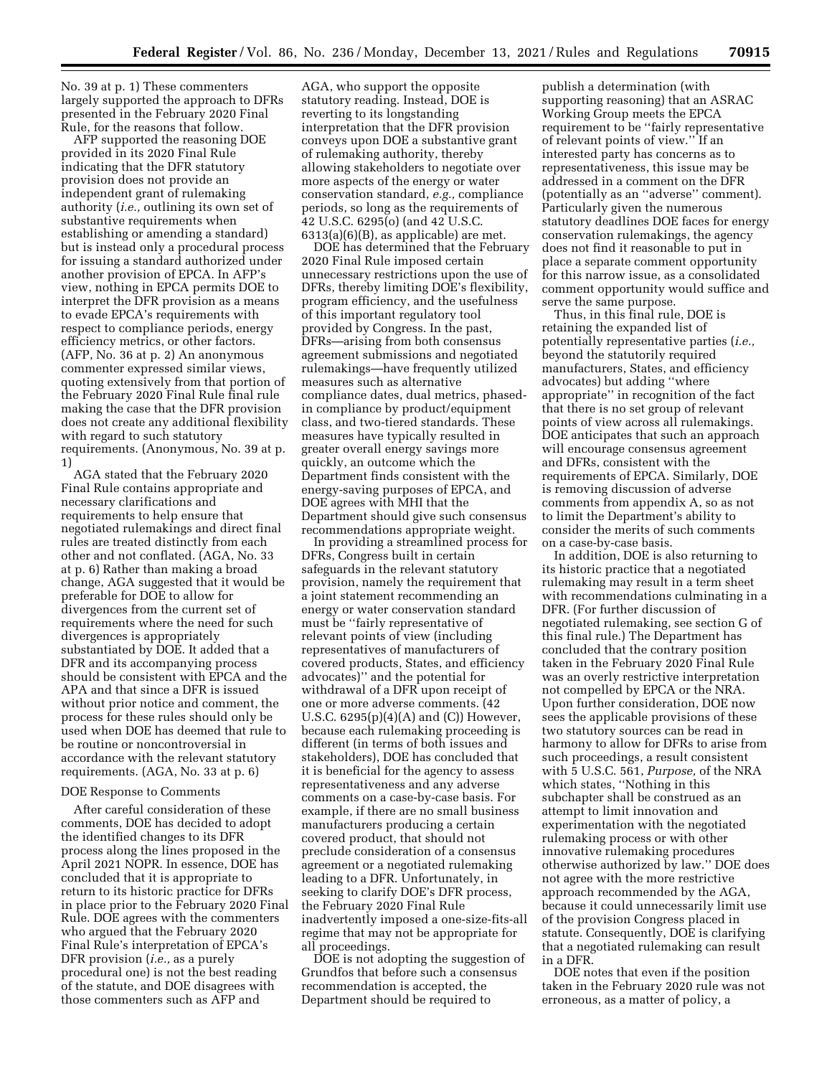No. 39 at p. 1) These commenters largely supported the approach to DFRs presented in the February 2020 Final Rule, for the reasons that follow.

AFP supported the reasoning DOE provided in its 2020 Final Rule indicating that the DFR statutory provision does not provide an independent grant of rulemaking authority (*i.e.,* outlining its own set of substantive requirements when establishing or amending a standard) but is instead only a procedural process for issuing a standard authorized under another provision of EPCA. In AFP's view, nothing in EPCA permits DOE to interpret the DFR provision as a means to evade EPCA's requirements with respect to compliance periods, energy efficiency metrics, or other factors. (AFP, No. 36 at p. 2) An anonymous commenter expressed similar views, quoting extensively from that portion of the February 2020 Final Rule final rule making the case that the DFR provision does not create any additional flexibility with regard to such statutory requirements. (Anonymous, No. 39 at p. 1)

AGA stated that the February 2020 Final Rule contains appropriate and necessary clarifications and requirements to help ensure that negotiated rulemakings and direct final rules are treated distinctly from each other and not conflated. (AGA, No. 33 at p. 6) Rather than making a broad change, AGA suggested that it would be preferable for DOE to allow for divergences from the current set of requirements where the need for such divergences is appropriately substantiated by DOE. It added that a DFR and its accompanying process should be consistent with EPCA and the APA and that since a DFR is issued without prior notice and comment, the process for these rules should only be used when DOE has deemed that rule to be routine or noncontroversial in accordance with the relevant statutory requirements. (AGA, No. 33 at p. 6)

#### DOE Response to Comments

After careful consideration of these comments, DOE has decided to adopt the identified changes to its DFR process along the lines proposed in the April 2021 NOPR. In essence, DOE has concluded that it is appropriate to return to its historic practice for DFRs in place prior to the February 2020 Final Rule. DOE agrees with the commenters who argued that the February 2020 Final Rule's interpretation of EPCA's DFR provision (*i.e.,* as a purely procedural one) is not the best reading of the statute, and DOE disagrees with those commenters such as AFP and

AGA, who support the opposite statutory reading. Instead, DOE is reverting to its longstanding interpretation that the DFR provision conveys upon DOE a substantive grant of rulemaking authority, thereby allowing stakeholders to negotiate over more aspects of the energy or water conservation standard, *e.g.,* compliance periods, so long as the requirements of 42 U.S.C. 6295(o) (and 42 U.S.C. 6313(a)(6)(B), as applicable) are met.

DOE has determined that the February 2020 Final Rule imposed certain unnecessary restrictions upon the use of DFRs, thereby limiting DOE's flexibility, program efficiency, and the usefulness of this important regulatory tool provided by Congress. In the past, DFRs—arising from both consensus agreement submissions and negotiated rulemakings—have frequently utilized measures such as alternative compliance dates, dual metrics, phasedin compliance by product/equipment class, and two-tiered standards. These measures have typically resulted in greater overall energy savings more quickly, an outcome which the Department finds consistent with the energy-saving purposes of EPCA, and DOE agrees with MHI that the Department should give such consensus recommendations appropriate weight.

In providing a streamlined process for DFRs, Congress built in certain safeguards in the relevant statutory provision, namely the requirement that a joint statement recommending an energy or water conservation standard must be ''fairly representative of relevant points of view (including representatives of manufacturers of covered products, States, and efficiency advocates)'' and the potential for withdrawal of a DFR upon receipt of one or more adverse comments. (42 U.S.C. 6295(p)(4)(A) and (C)) However, because each rulemaking proceeding is different (in terms of both issues and stakeholders), DOE has concluded that it is beneficial for the agency to assess representativeness and any adverse comments on a case-by-case basis. For example, if there are no small business manufacturers producing a certain covered product, that should not preclude consideration of a consensus agreement or a negotiated rulemaking leading to a DFR. Unfortunately, in seeking to clarify DOE's DFR process, the February 2020 Final Rule inadvertently imposed a one-size-fits-all regime that may not be appropriate for all proceedings.

DOE is not adopting the suggestion of Grundfos that before such a consensus recommendation is accepted, the Department should be required to

publish a determination (with supporting reasoning) that an ASRAC Working Group meets the EPCA requirement to be ''fairly representative of relevant points of view.'' If an interested party has concerns as to representativeness, this issue may be addressed in a comment on the DFR (potentially as an ''adverse'' comment). Particularly given the numerous statutory deadlines DOE faces for energy conservation rulemakings, the agency does not find it reasonable to put in place a separate comment opportunity for this narrow issue, as a consolidated comment opportunity would suffice and serve the same purpose.

Thus, in this final rule, DOE is retaining the expanded list of potentially representative parties (*i.e.,*  beyond the statutorily required manufacturers, States, and efficiency advocates) but adding ''where appropriate'' in recognition of the fact that there is no set group of relevant points of view across all rulemakings. DOE anticipates that such an approach will encourage consensus agreement and DFRs, consistent with the requirements of EPCA. Similarly, DOE is removing discussion of adverse comments from appendix A, so as not to limit the Department's ability to consider the merits of such comments on a case-by-case basis.

In addition, DOE is also returning to its historic practice that a negotiated rulemaking may result in a term sheet with recommendations culminating in a DFR. (For further discussion of negotiated rulemaking, see section G of this final rule.) The Department has concluded that the contrary position taken in the February 2020 Final Rule was an overly restrictive interpretation not compelled by EPCA or the NRA. Upon further consideration, DOE now sees the applicable provisions of these two statutory sources can be read in harmony to allow for DFRs to arise from such proceedings, a result consistent with 5 U.S.C. 561, *Purpose,* of the NRA which states, ''Nothing in this subchapter shall be construed as an attempt to limit innovation and experimentation with the negotiated rulemaking process or with other innovative rulemaking procedures otherwise authorized by law.'' DOE does not agree with the more restrictive approach recommended by the AGA, because it could unnecessarily limit use of the provision Congress placed in statute. Consequently, DOE is clarifying that a negotiated rulemaking can result in a DFR.

DOE notes that even if the position taken in the February 2020 rule was not erroneous, as a matter of policy, a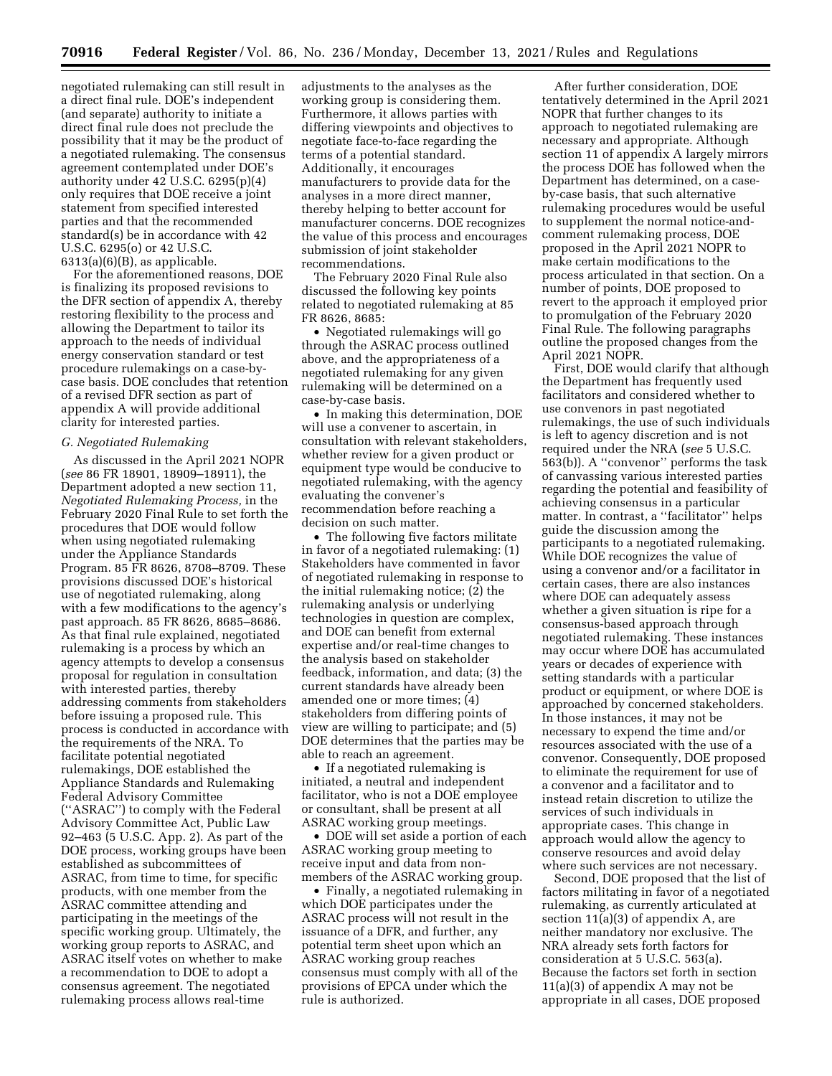negotiated rulemaking can still result in a direct final rule. DOE's independent (and separate) authority to initiate a direct final rule does not preclude the possibility that it may be the product of a negotiated rulemaking. The consensus agreement contemplated under DOE's authority under 42 U.S.C. 6295(p)(4) only requires that DOE receive a joint statement from specified interested parties and that the recommended standard(s) be in accordance with 42 U.S.C. 6295(o) or 42 U.S.C.  $6313(a)(6)(B)$ , as applicable.

For the aforementioned reasons, DOE is finalizing its proposed revisions to the DFR section of appendix A, thereby restoring flexibility to the process and allowing the Department to tailor its approach to the needs of individual energy conservation standard or test procedure rulemakings on a case-bycase basis. DOE concludes that retention of a revised DFR section as part of appendix A will provide additional clarity for interested parties.

#### *G. Negotiated Rulemaking*

As discussed in the April 2021 NOPR (*see* 86 FR 18901, 18909–18911), the Department adopted a new section 11, *Negotiated Rulemaking Process,* in the February 2020 Final Rule to set forth the procedures that DOE would follow when using negotiated rulemaking under the Appliance Standards Program. 85 FR 8626, 8708–8709. These provisions discussed DOE's historical use of negotiated rulemaking, along with a few modifications to the agency's past approach. 85 FR 8626, 8685–8686. As that final rule explained, negotiated rulemaking is a process by which an agency attempts to develop a consensus proposal for regulation in consultation with interested parties, thereby addressing comments from stakeholders before issuing a proposed rule. This process is conducted in accordance with the requirements of the NRA. To facilitate potential negotiated rulemakings, DOE established the Appliance Standards and Rulemaking Federal Advisory Committee (''ASRAC'') to comply with the Federal Advisory Committee Act, Public Law 92–463 (5 U.S.C. App. 2). As part of the DOE process, working groups have been established as subcommittees of ASRAC, from time to time, for specific products, with one member from the ASRAC committee attending and participating in the meetings of the specific working group. Ultimately, the working group reports to ASRAC, and ASRAC itself votes on whether to make a recommendation to DOE to adopt a consensus agreement. The negotiated rulemaking process allows real-time

adjustments to the analyses as the working group is considering them. Furthermore, it allows parties with differing viewpoints and objectives to negotiate face-to-face regarding the terms of a potential standard. Additionally, it encourages manufacturers to provide data for the analyses in a more direct manner, thereby helping to better account for manufacturer concerns. DOE recognizes the value of this process and encourages submission of joint stakeholder recommendations.

The February 2020 Final Rule also discussed the following key points related to negotiated rulemaking at 85 FR 8626, 8685:

• Negotiated rulemakings will go through the ASRAC process outlined above, and the appropriateness of a negotiated rulemaking for any given rulemaking will be determined on a case-by-case basis.

• In making this determination, DOE will use a convener to ascertain, in consultation with relevant stakeholders, whether review for a given product or equipment type would be conducive to negotiated rulemaking, with the agency evaluating the convener's recommendation before reaching a decision on such matter.

• The following five factors militate in favor of a negotiated rulemaking: (1) Stakeholders have commented in favor of negotiated rulemaking in response to the initial rulemaking notice; (2) the rulemaking analysis or underlying technologies in question are complex, and DOE can benefit from external expertise and/or real-time changes to the analysis based on stakeholder feedback, information, and data; (3) the current standards have already been amended one or more times; (4) stakeholders from differing points of view are willing to participate; and (5) DOE determines that the parties may be able to reach an agreement.

• If a negotiated rulemaking is initiated, a neutral and independent facilitator, who is not a DOE employee or consultant, shall be present at all ASRAC working group meetings.

• DOE will set aside a portion of each ASRAC working group meeting to receive input and data from nonmembers of the ASRAC working group.

• Finally, a negotiated rulemaking in which DOE participates under the ASRAC process will not result in the issuance of a DFR, and further, any potential term sheet upon which an ASRAC working group reaches consensus must comply with all of the provisions of EPCA under which the rule is authorized.

After further consideration, DOE tentatively determined in the April 2021 NOPR that further changes to its approach to negotiated rulemaking are necessary and appropriate. Although section 11 of appendix A largely mirrors the process DOE has followed when the Department has determined, on a caseby-case basis, that such alternative rulemaking procedures would be useful to supplement the normal notice-andcomment rulemaking process, DOE proposed in the April 2021 NOPR to make certain modifications to the process articulated in that section. On a number of points, DOE proposed to revert to the approach it employed prior to promulgation of the February 2020 Final Rule. The following paragraphs outline the proposed changes from the April 2021 NOPR.

First, DOE would clarify that although the Department has frequently used facilitators and considered whether to use convenors in past negotiated rulemakings, the use of such individuals is left to agency discretion and is not required under the NRA (*see* 5 U.S.C. 563(b)). A ''convenor'' performs the task of canvassing various interested parties regarding the potential and feasibility of achieving consensus in a particular matter. In contrast, a ''facilitator'' helps guide the discussion among the participants to a negotiated rulemaking. While DOE recognizes the value of using a convenor and/or a facilitator in certain cases, there are also instances where DOE can adequately assess whether a given situation is ripe for a consensus-based approach through negotiated rulemaking. These instances may occur where DOE has accumulated years or decades of experience with setting standards with a particular product or equipment, or where DOE is approached by concerned stakeholders. In those instances, it may not be necessary to expend the time and/or resources associated with the use of a convenor. Consequently, DOE proposed to eliminate the requirement for use of a convenor and a facilitator and to instead retain discretion to utilize the services of such individuals in appropriate cases. This change in approach would allow the agency to conserve resources and avoid delay where such services are not necessary.

Second, DOE proposed that the list of factors militating in favor of a negotiated rulemaking, as currently articulated at section 11(a)(3) of appendix A, are neither mandatory nor exclusive. The NRA already sets forth factors for consideration at 5 U.S.C. 563(a). Because the factors set forth in section 11(a)(3) of appendix A may not be appropriate in all cases, DOE proposed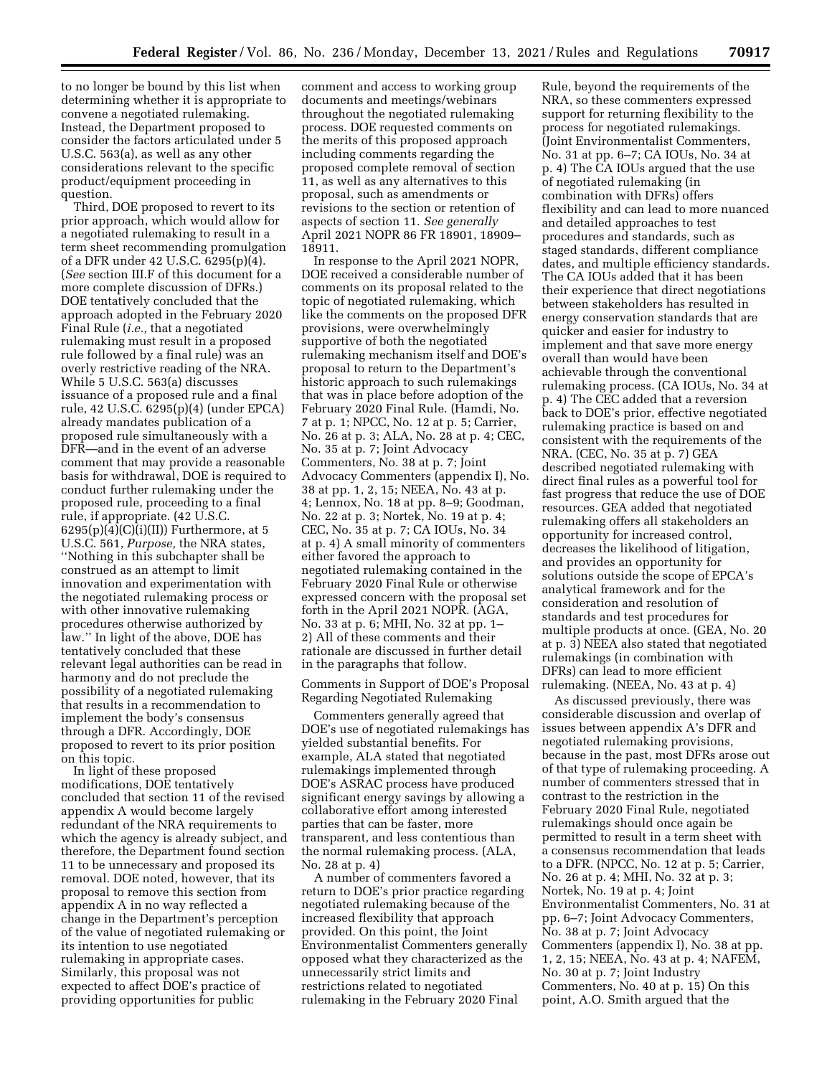to no longer be bound by this list when determining whether it is appropriate to convene a negotiated rulemaking. Instead, the Department proposed to consider the factors articulated under 5 U.S.C. 563(a), as well as any other considerations relevant to the specific product/equipment proceeding in question.

Third, DOE proposed to revert to its prior approach, which would allow for a negotiated rulemaking to result in a term sheet recommending promulgation of a DFR under 42 U.S.C. 6295(p)(4). (*See* section III.F of this document for a more complete discussion of DFRs.) DOE tentatively concluded that the approach adopted in the February 2020 Final Rule (*i.e.,* that a negotiated rulemaking must result in a proposed rule followed by a final rule) was an overly restrictive reading of the NRA. While 5 U.S.C. 563(a) discusses issuance of a proposed rule and a final rule, 42 U.S.C. 6295(p)(4) (under EPCA) already mandates publication of a proposed rule simultaneously with a DFR—and in the event of an adverse comment that may provide a reasonable basis for withdrawal, DOE is required to conduct further rulemaking under the proposed rule, proceeding to a final rule, if appropriate. (42 U.S.C.  $6295(p)(4)(C)(i)(II))$  Furthermore, at 5 U.S.C. 561, *Purpose,* the NRA states, ''Nothing in this subchapter shall be construed as an attempt to limit innovation and experimentation with the negotiated rulemaking process or with other innovative rulemaking procedures otherwise authorized by law.'' In light of the above, DOE has tentatively concluded that these relevant legal authorities can be read in harmony and do not preclude the possibility of a negotiated rulemaking that results in a recommendation to implement the body's consensus through a DFR. Accordingly, DOE proposed to revert to its prior position on this topic.

In light of these proposed modifications, DOE tentatively concluded that section 11 of the revised appendix A would become largely redundant of the NRA requirements to which the agency is already subject, and therefore, the Department found section 11 to be unnecessary and proposed its removal. DOE noted, however, that its proposal to remove this section from appendix A in no way reflected a change in the Department's perception of the value of negotiated rulemaking or its intention to use negotiated rulemaking in appropriate cases. Similarly, this proposal was not expected to affect DOE's practice of providing opportunities for public

comment and access to working group documents and meetings/webinars throughout the negotiated rulemaking process. DOE requested comments on the merits of this proposed approach including comments regarding the proposed complete removal of section 11, as well as any alternatives to this proposal, such as amendments or revisions to the section or retention of aspects of section 11. *See generally*  April 2021 NOPR 86 FR 18901, 18909– 18911.

In response to the April 2021 NOPR, DOE received a considerable number of comments on its proposal related to the topic of negotiated rulemaking, which like the comments on the proposed DFR provisions, were overwhelmingly supportive of both the negotiated rulemaking mechanism itself and DOE's proposal to return to the Department's historic approach to such rulemakings that was in place before adoption of the February 2020 Final Rule. (Hamdi, No. 7 at p. 1; NPCC, No. 12 at p. 5; Carrier, No. 26 at p. 3; ALA, No. 28 at p. 4; CEC, No. 35 at p. 7; Joint Advocacy Commenters, No. 38 at p. 7; Joint Advocacy Commenters (appendix I), No. 38 at pp. 1, 2, 15; NEEA, No. 43 at p. 4; Lennox, No. 18 at pp. 8–9; Goodman, No. 22 at p. 3; Nortek, No. 19 at p. 4; CEC, No. 35 at p. 7; CA IOUs, No. 34 at p. 4) A small minority of commenters either favored the approach to negotiated rulemaking contained in the February 2020 Final Rule or otherwise expressed concern with the proposal set forth in the April 2021 NOPR. (AGA, No. 33 at p. 6; MHI, No. 32 at pp. 1– 2) All of these comments and their rationale are discussed in further detail in the paragraphs that follow.

Comments in Support of DOE's Proposal Regarding Negotiated Rulemaking

Commenters generally agreed that DOE's use of negotiated rulemakings has yielded substantial benefits. For example, ALA stated that negotiated rulemakings implemented through DOE's ASRAC process have produced significant energy savings by allowing a collaborative effort among interested parties that can be faster, more transparent, and less contentious than the normal rulemaking process. (ALA, No. 28 at p. 4)

A number of commenters favored a return to DOE's prior practice regarding negotiated rulemaking because of the increased flexibility that approach provided. On this point, the Joint Environmentalist Commenters generally opposed what they characterized as the unnecessarily strict limits and restrictions related to negotiated rulemaking in the February 2020 Final

Rule, beyond the requirements of the NRA, so these commenters expressed support for returning flexibility to the process for negotiated rulemakings. (Joint Environmentalist Commenters, No. 31 at pp. 6–7; CA IOUs, No. 34 at p. 4) The CA IOUs argued that the use of negotiated rulemaking (in combination with DFRs) offers flexibility and can lead to more nuanced and detailed approaches to test procedures and standards, such as staged standards, different compliance dates, and multiple efficiency standards. The CA IOUs added that it has been their experience that direct negotiations between stakeholders has resulted in energy conservation standards that are quicker and easier for industry to implement and that save more energy overall than would have been achievable through the conventional rulemaking process. (CA IOUs, No. 34 at p. 4) The CEC added that a reversion back to DOE's prior, effective negotiated rulemaking practice is based on and consistent with the requirements of the NRA. (CEC, No. 35 at p. 7) GEA described negotiated rulemaking with direct final rules as a powerful tool for fast progress that reduce the use of DOE resources. GEA added that negotiated rulemaking offers all stakeholders an opportunity for increased control, decreases the likelihood of litigation, and provides an opportunity for solutions outside the scope of EPCA's analytical framework and for the consideration and resolution of standards and test procedures for multiple products at once. (GEA, No. 20 at p. 3) NEEA also stated that negotiated rulemakings (in combination with DFRs) can lead to more efficient rulemaking. (NEEA, No. 43 at p. 4)

As discussed previously, there was considerable discussion and overlap of issues between appendix A's DFR and negotiated rulemaking provisions, because in the past, most DFRs arose out of that type of rulemaking proceeding. A number of commenters stressed that in contrast to the restriction in the February 2020 Final Rule, negotiated rulemakings should once again be permitted to result in a term sheet with a consensus recommendation that leads to a DFR. (NPCC, No. 12 at p. 5; Carrier, No. 26 at p. 4; MHI, No. 32 at p. 3; Nortek, No. 19 at p. 4; Joint Environmentalist Commenters, No. 31 at pp. 6–7; Joint Advocacy Commenters, No. 38 at p. 7; Joint Advocacy Commenters (appendix I), No. 38 at pp. 1, 2, 15; NEEA, No. 43 at p. 4; NAFEM, No. 30 at p. 7; Joint Industry Commenters, No. 40 at p. 15) On this point, A.O. Smith argued that the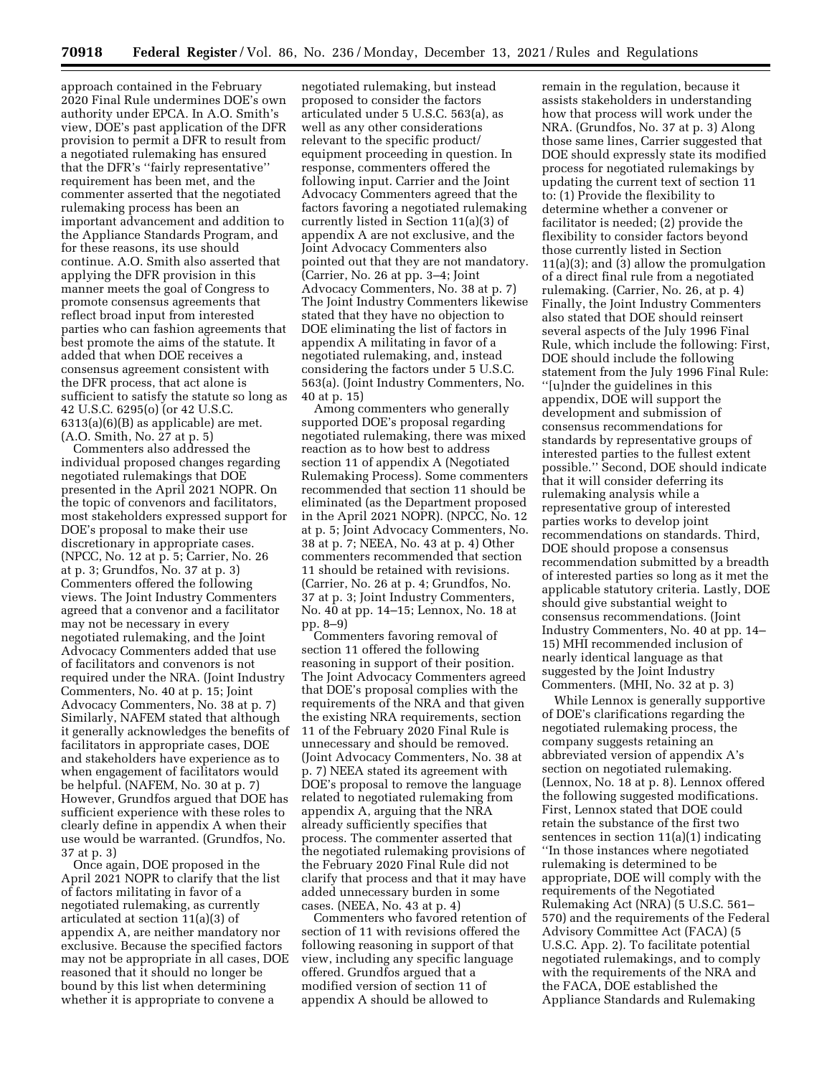approach contained in the February 2020 Final Rule undermines DOE's own authority under EPCA. In A.O. Smith's view, DOE's past application of the DFR provision to permit a DFR to result from a negotiated rulemaking has ensured that the DFR's ''fairly representative'' requirement has been met, and the commenter asserted that the negotiated rulemaking process has been an important advancement and addition to the Appliance Standards Program, and for these reasons, its use should continue. A.O. Smith also asserted that applying the DFR provision in this manner meets the goal of Congress to promote consensus agreements that reflect broad input from interested parties who can fashion agreements that best promote the aims of the statute. It added that when DOE receives a consensus agreement consistent with the DFR process, that act alone is sufficient to satisfy the statute so long as 42 U.S.C. 6295(o) (or 42 U.S.C. 6313(a)(6)(B) as applicable) are met. (A.O. Smith, No. 27 at p. 5)

Commenters also addressed the individual proposed changes regarding negotiated rulemakings that DOE presented in the April 2021 NOPR. On the topic of convenors and facilitators, most stakeholders expressed support for DOE's proposal to make their use discretionary in appropriate cases. (NPCC, No. 12 at p. 5; Carrier, No. 26 at p. 3; Grundfos, No. 37 at p. 3) Commenters offered the following views. The Joint Industry Commenters agreed that a convenor and a facilitator may not be necessary in every negotiated rulemaking, and the Joint Advocacy Commenters added that use of facilitators and convenors is not required under the NRA. (Joint Industry Commenters, No. 40 at p. 15; Joint Advocacy Commenters, No. 38 at p. 7) Similarly, NAFEM stated that although it generally acknowledges the benefits of facilitators in appropriate cases, DOE and stakeholders have experience as to when engagement of facilitators would be helpful. (NAFEM, No. 30 at p. 7) However, Grundfos argued that DOE has sufficient experience with these roles to clearly define in appendix A when their use would be warranted. (Grundfos, No. 37 at p. 3)

Once again, DOE proposed in the April 2021 NOPR to clarify that the list of factors militating in favor of a negotiated rulemaking, as currently articulated at section 11(a)(3) of appendix A, are neither mandatory nor exclusive. Because the specified factors may not be appropriate in all cases, DOE reasoned that it should no longer be bound by this list when determining whether it is appropriate to convene a

negotiated rulemaking, but instead proposed to consider the factors articulated under 5 U.S.C. 563(a), as well as any other considerations relevant to the specific product/ equipment proceeding in question. In response, commenters offered the following input. Carrier and the Joint Advocacy Commenters agreed that the factors favoring a negotiated rulemaking currently listed in Section 11(a)(3) of appendix A are not exclusive, and the Joint Advocacy Commenters also pointed out that they are not mandatory. (Carrier, No. 26 at pp. 3–4; Joint Advocacy Commenters, No. 38 at p. 7) The Joint Industry Commenters likewise stated that they have no objection to DOE eliminating the list of factors in appendix A militating in favor of a negotiated rulemaking, and, instead considering the factors under 5 U.S.C. 563(a). (Joint Industry Commenters, No. 40 at p. 15)

Among commenters who generally supported DOE's proposal regarding negotiated rulemaking, there was mixed reaction as to how best to address section 11 of appendix A (Negotiated Rulemaking Process). Some commenters recommended that section 11 should be eliminated (as the Department proposed in the April 2021 NOPR). (NPCC, No. 12 at p. 5; Joint Advocacy Commenters, No. 38 at p. 7; NEEA, No. 43 at p. 4) Other commenters recommended that section 11 should be retained with revisions. (Carrier, No. 26 at p. 4; Grundfos, No. 37 at p. 3; Joint Industry Commenters, No. 40 at pp. 14–15; Lennox, No. 18 at pp. 8–9)

Commenters favoring removal of section 11 offered the following reasoning in support of their position. The Joint Advocacy Commenters agreed that DOE's proposal complies with the requirements of the NRA and that given the existing NRA requirements, section 11 of the February 2020 Final Rule is unnecessary and should be removed. (Joint Advocacy Commenters, No. 38 at p. 7) NEEA stated its agreement with DOE's proposal to remove the language related to negotiated rulemaking from appendix A, arguing that the NRA already sufficiently specifies that process. The commenter asserted that the negotiated rulemaking provisions of the February 2020 Final Rule did not clarify that process and that it may have added unnecessary burden in some cases. (NEEA, No. 43 at p. 4)

Commenters who favored retention of section of 11 with revisions offered the following reasoning in support of that view, including any specific language offered. Grundfos argued that a modified version of section 11 of appendix A should be allowed to

remain in the regulation, because it assists stakeholders in understanding how that process will work under the NRA. (Grundfos, No. 37 at p. 3) Along those same lines, Carrier suggested that DOE should expressly state its modified process for negotiated rulemakings by updating the current text of section 11 to: (1) Provide the flexibility to determine whether a convener or facilitator is needed; (2) provide the flexibility to consider factors beyond those currently listed in Section 11(a)(3); and (3) allow the promulgation of a direct final rule from a negotiated rulemaking. (Carrier, No. 26, at p. 4) Finally, the Joint Industry Commenters also stated that DOE should reinsert several aspects of the July 1996 Final Rule, which include the following: First, DOE should include the following statement from the July 1996 Final Rule: ''[u]nder the guidelines in this appendix, DOE will support the development and submission of consensus recommendations for standards by representative groups of interested parties to the fullest extent possible.'' Second, DOE should indicate that it will consider deferring its rulemaking analysis while a representative group of interested parties works to develop joint recommendations on standards. Third, DOE should propose a consensus recommendation submitted by a breadth of interested parties so long as it met the applicable statutory criteria. Lastly, DOE should give substantial weight to consensus recommendations. (Joint Industry Commenters, No. 40 at pp. 14– 15) MHI recommended inclusion of nearly identical language as that suggested by the Joint Industry Commenters. (MHI, No. 32 at p. 3)

While Lennox is generally supportive of DOE's clarifications regarding the negotiated rulemaking process, the company suggests retaining an abbreviated version of appendix A's section on negotiated rulemaking. (Lennox, No. 18 at p. 8). Lennox offered the following suggested modifications. First, Lennox stated that DOE could retain the substance of the first two sentences in section 11(a)(1) indicating ''In those instances where negotiated rulemaking is determined to be appropriate, DOE will comply with the requirements of the Negotiated Rulemaking Act (NRA) (5 U.S.C. 561– 570) and the requirements of the Federal Advisory Committee Act (FACA) (5 U.S.C. App. 2). To facilitate potential negotiated rulemakings, and to comply with the requirements of the NRA and the FACA, DOE established the Appliance Standards and Rulemaking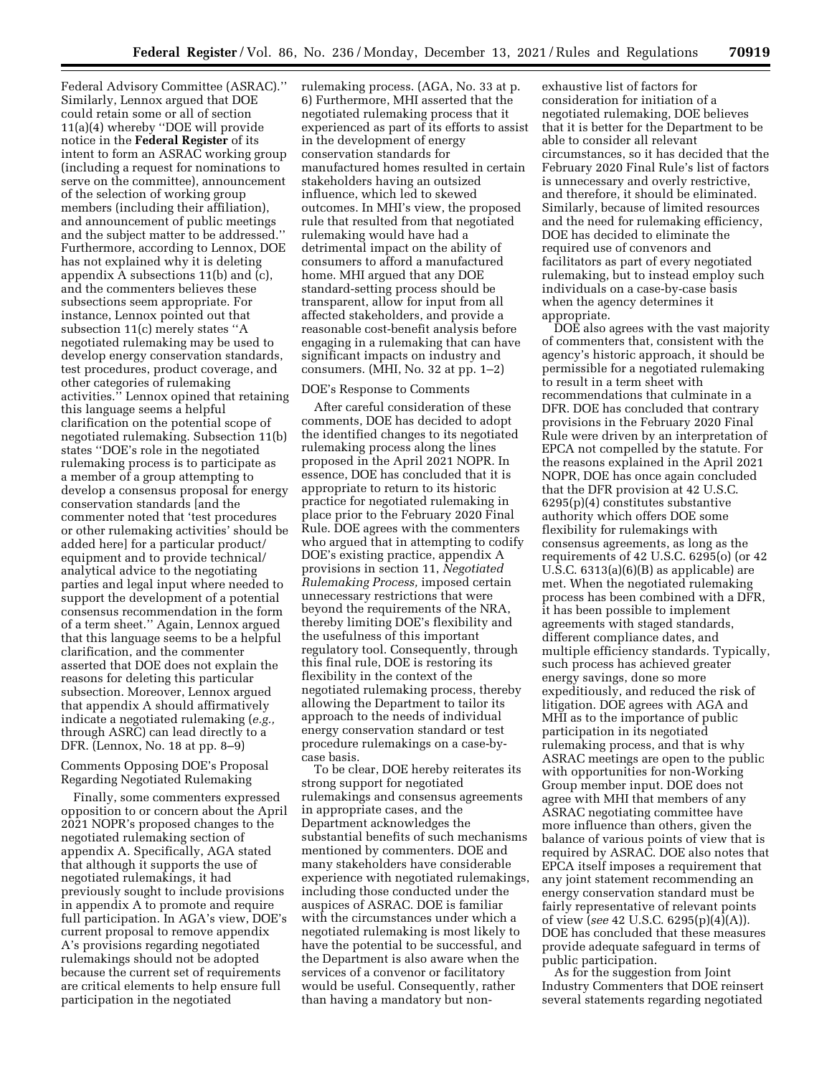Federal Advisory Committee (ASRAC).'' Similarly, Lennox argued that DOE could retain some or all of section 11(a)(4) whereby ''DOE will provide notice in the **Federal Register** of its intent to form an ASRAC working group (including a request for nominations to serve on the committee), announcement of the selection of working group members (including their affiliation), and announcement of public meetings and the subject matter to be addressed.'' Furthermore, according to Lennox, DOE has not explained why it is deleting appendix A subsections 11(b) and (c), and the commenters believes these subsections seem appropriate. For instance, Lennox pointed out that subsection 11(c) merely states ''A negotiated rulemaking may be used to develop energy conservation standards, test procedures, product coverage, and other categories of rulemaking activities.'' Lennox opined that retaining this language seems a helpful clarification on the potential scope of negotiated rulemaking. Subsection 11(b) states ''DOE's role in the negotiated rulemaking process is to participate as a member of a group attempting to develop a consensus proposal for energy conservation standards [and the commenter noted that 'test procedures or other rulemaking activities' should be added here] for a particular product/ equipment and to provide technical/ analytical advice to the negotiating parties and legal input where needed to support the development of a potential consensus recommendation in the form of a term sheet.'' Again, Lennox argued that this language seems to be a helpful clarification, and the commenter asserted that DOE does not explain the reasons for deleting this particular subsection. Moreover, Lennox argued that appendix A should affirmatively indicate a negotiated rulemaking (*e.g.,*  through ASRC) can lead directly to a DFR. (Lennox, No. 18 at pp. 8–9)

#### Comments Opposing DOE's Proposal Regarding Negotiated Rulemaking

Finally, some commenters expressed opposition to or concern about the April 2021 NOPR's proposed changes to the negotiated rulemaking section of appendix A. Specifically, AGA stated that although it supports the use of negotiated rulemakings, it had previously sought to include provisions in appendix A to promote and require full participation. In AGA's view, DOE's current proposal to remove appendix A's provisions regarding negotiated rulemakings should not be adopted because the current set of requirements are critical elements to help ensure full participation in the negotiated

rulemaking process. (AGA, No. 33 at p. 6) Furthermore, MHI asserted that the negotiated rulemaking process that it experienced as part of its efforts to assist in the development of energy conservation standards for manufactured homes resulted in certain stakeholders having an outsized influence, which led to skewed outcomes. In MHI's view, the proposed rule that resulted from that negotiated rulemaking would have had a detrimental impact on the ability of consumers to afford a manufactured home. MHI argued that any DOE standard-setting process should be transparent, allow for input from all affected stakeholders, and provide a reasonable cost-benefit analysis before engaging in a rulemaking that can have significant impacts on industry and consumers. (MHI, No. 32 at pp. 1–2)

#### DOE's Response to Comments

After careful consideration of these comments, DOE has decided to adopt the identified changes to its negotiated rulemaking process along the lines proposed in the April 2021 NOPR. In essence, DOE has concluded that it is appropriate to return to its historic practice for negotiated rulemaking in place prior to the February 2020 Final Rule. DOE agrees with the commenters who argued that in attempting to codify DOE's existing practice, appendix A provisions in section 11, *Negotiated Rulemaking Process,* imposed certain unnecessary restrictions that were beyond the requirements of the NRA, thereby limiting DOE's flexibility and the usefulness of this important regulatory tool. Consequently, through this final rule, DOE is restoring its flexibility in the context of the negotiated rulemaking process, thereby allowing the Department to tailor its approach to the needs of individual energy conservation standard or test procedure rulemakings on a case-bycase basis.

To be clear, DOE hereby reiterates its strong support for negotiated rulemakings and consensus agreements in appropriate cases, and the Department acknowledges the substantial benefits of such mechanisms mentioned by commenters. DOE and many stakeholders have considerable experience with negotiated rulemakings, including those conducted under the auspices of ASRAC. DOE is familiar with the circumstances under which a negotiated rulemaking is most likely to have the potential to be successful, and the Department is also aware when the services of a convenor or facilitatory would be useful. Consequently, rather than having a mandatory but non-

exhaustive list of factors for consideration for initiation of a negotiated rulemaking, DOE believes that it is better for the Department to be able to consider all relevant circumstances, so it has decided that the February 2020 Final Rule's list of factors is unnecessary and overly restrictive, and therefore, it should be eliminated. Similarly, because of limited resources and the need for rulemaking efficiency, DOE has decided to eliminate the required use of convenors and facilitators as part of every negotiated rulemaking, but to instead employ such individuals on a case-by-case basis when the agency determines it appropriate.

DOE also agrees with the vast majority of commenters that, consistent with the agency's historic approach, it should be permissible for a negotiated rulemaking to result in a term sheet with recommendations that culminate in a DFR. DOE has concluded that contrary provisions in the February 2020 Final Rule were driven by an interpretation of EPCA not compelled by the statute. For the reasons explained in the April 2021 NOPR, DOE has once again concluded that the DFR provision at 42 U.S.C. 6295(p)(4) constitutes substantive authority which offers DOE some flexibility for rulemakings with consensus agreements, as long as the requirements of 42 U.S.C. 6295(o) (or 42 U.S.C. 6313(a)(6)(B) as applicable) are met. When the negotiated rulemaking process has been combined with a DFR, it has been possible to implement agreements with staged standards, different compliance dates, and multiple efficiency standards. Typically, such process has achieved greater energy savings, done so more expeditiously, and reduced the risk of litigation. DOE agrees with AGA and MHI as to the importance of public participation in its negotiated rulemaking process, and that is why ASRAC meetings are open to the public with opportunities for non-Working Group member input. DOE does not agree with MHI that members of any ASRAC negotiating committee have more influence than others, given the balance of various points of view that is required by ASRAC. DOE also notes that EPCA itself imposes a requirement that any joint statement recommending an energy conservation standard must be fairly representative of relevant points of view (*see* 42 U.S.C. 6295(p)(4)(A)). DOE has concluded that these measures provide adequate safeguard in terms of public participation.

As for the suggestion from Joint Industry Commenters that DOE reinsert several statements regarding negotiated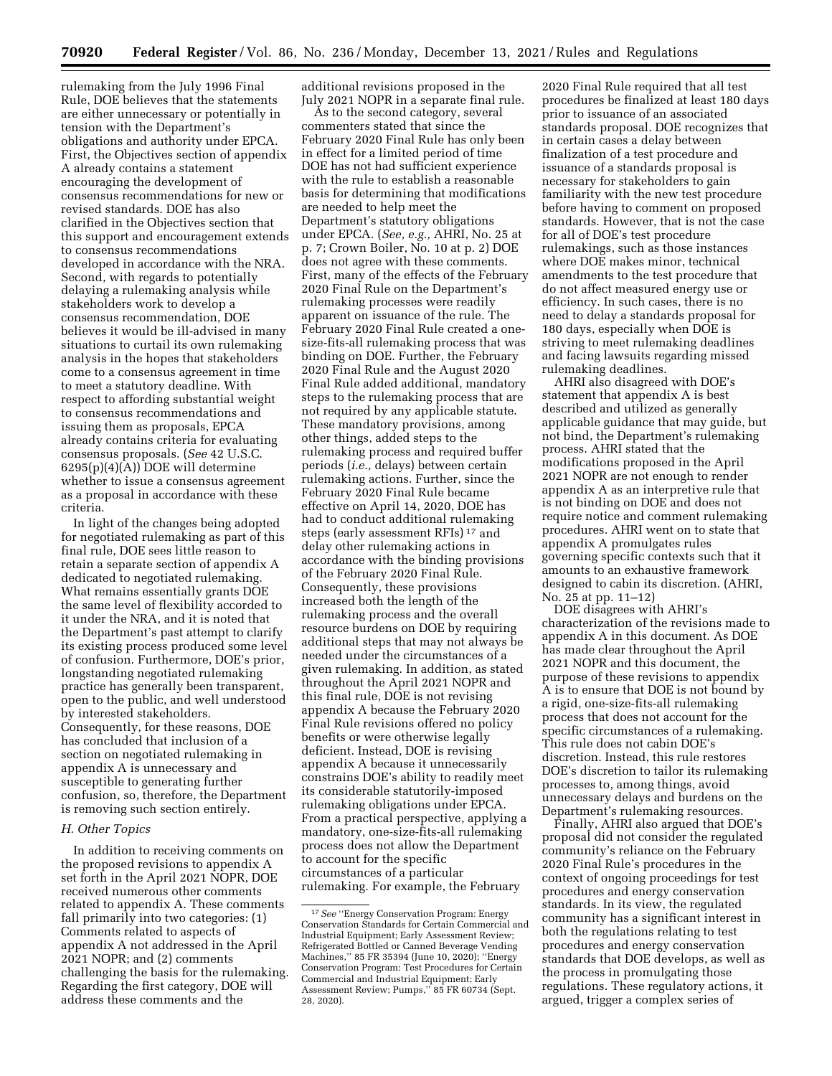rulemaking from the July 1996 Final Rule, DOE believes that the statements are either unnecessary or potentially in tension with the Department's obligations and authority under EPCA. First, the Objectives section of appendix A already contains a statement encouraging the development of consensus recommendations for new or revised standards. DOE has also clarified in the Objectives section that this support and encouragement extends to consensus recommendations developed in accordance with the NRA. Second, with regards to potentially delaying a rulemaking analysis while stakeholders work to develop a consensus recommendation, DOE believes it would be ill-advised in many situations to curtail its own rulemaking analysis in the hopes that stakeholders come to a consensus agreement in time to meet a statutory deadline. With respect to affording substantial weight to consensus recommendations and issuing them as proposals, EPCA already contains criteria for evaluating consensus proposals. (*See* 42 U.S.C. 6295(p)(4)(A)) DOE will determine whether to issue a consensus agreement as a proposal in accordance with these criteria.

In light of the changes being adopted for negotiated rulemaking as part of this final rule, DOE sees little reason to retain a separate section of appendix A dedicated to negotiated rulemaking. What remains essentially grants DOE the same level of flexibility accorded to it under the NRA, and it is noted that the Department's past attempt to clarify its existing process produced some level of confusion. Furthermore, DOE's prior, longstanding negotiated rulemaking practice has generally been transparent, open to the public, and well understood by interested stakeholders. Consequently, for these reasons, DOE has concluded that inclusion of a section on negotiated rulemaking in appendix A is unnecessary and susceptible to generating further confusion, so, therefore, the Department is removing such section entirely.

## *H. Other Topics*

In addition to receiving comments on the proposed revisions to appendix A set forth in the April 2021 NOPR, DOE received numerous other comments related to appendix A. These comments fall primarily into two categories: (1) Comments related to aspects of appendix A not addressed in the April 2021 NOPR; and (2) comments challenging the basis for the rulemaking. Regarding the first category, DOE will address these comments and the

additional revisions proposed in the July 2021 NOPR in a separate final rule.

As to the second category, several commenters stated that since the February 2020 Final Rule has only been in effect for a limited period of time DOE has not had sufficient experience with the rule to establish a reasonable basis for determining that modifications are needed to help meet the Department's statutory obligations under EPCA. (*See, e.g.,* AHRI, No. 25 at p. 7; Crown Boiler, No. 10 at p. 2) DOE does not agree with these comments. First, many of the effects of the February 2020 Final Rule on the Department's rulemaking processes were readily apparent on issuance of the rule. The February 2020 Final Rule created a onesize-fits-all rulemaking process that was binding on DOE. Further, the February 2020 Final Rule and the August 2020 Final Rule added additional, mandatory steps to the rulemaking process that are not required by any applicable statute. These mandatory provisions, among other things, added steps to the rulemaking process and required buffer periods (*i.e.,* delays) between certain rulemaking actions. Further, since the February 2020 Final Rule became effective on April 14, 2020, DOE has had to conduct additional rulemaking steps (early assessment RFIs) 17 and delay other rulemaking actions in accordance with the binding provisions of the February 2020 Final Rule. Consequently, these provisions increased both the length of the rulemaking process and the overall resource burdens on DOE by requiring additional steps that may not always be needed under the circumstances of a given rulemaking. In addition, as stated throughout the April 2021 NOPR and this final rule, DOE is not revising appendix A because the February 2020 Final Rule revisions offered no policy benefits or were otherwise legally deficient. Instead, DOE is revising appendix A because it unnecessarily constrains DOE's ability to readily meet its considerable statutorily-imposed rulemaking obligations under EPCA. From a practical perspective, applying a mandatory, one-size-fits-all rulemaking process does not allow the Department to account for the specific circumstances of a particular rulemaking. For example, the February

2020 Final Rule required that all test procedures be finalized at least 180 days prior to issuance of an associated standards proposal. DOE recognizes that in certain cases a delay between finalization of a test procedure and issuance of a standards proposal is necessary for stakeholders to gain familiarity with the new test procedure before having to comment on proposed standards. However, that is not the case for all of DOE's test procedure rulemakings, such as those instances where DOE makes minor, technical amendments to the test procedure that do not affect measured energy use or efficiency. In such cases, there is no need to delay a standards proposal for 180 days, especially when DOE is striving to meet rulemaking deadlines and facing lawsuits regarding missed rulemaking deadlines.

AHRI also disagreed with DOE's statement that appendix A is best described and utilized as generally applicable guidance that may guide, but not bind, the Department's rulemaking process. AHRI stated that the modifications proposed in the April 2021 NOPR are not enough to render appendix A as an interpretive rule that is not binding on DOE and does not require notice and comment rulemaking procedures. AHRI went on to state that appendix A promulgates rules governing specific contexts such that it amounts to an exhaustive framework designed to cabin its discretion. (AHRI, No. 25 at pp. 11–12)

DOE disagrees with AHRI's characterization of the revisions made to appendix A in this document. As DOE has made clear throughout the April 2021 NOPR and this document, the purpose of these revisions to appendix A is to ensure that DOE is not bound by a rigid, one-size-fits-all rulemaking process that does not account for the specific circumstances of a rulemaking. This rule does not cabin DOE's discretion. Instead, this rule restores DOE's discretion to tailor its rulemaking processes to, among things, avoid unnecessary delays and burdens on the Department's rulemaking resources.

Finally, AHRI also argued that DOE's proposal did not consider the regulated community's reliance on the February 2020 Final Rule's procedures in the context of ongoing proceedings for test procedures and energy conservation standards. In its view, the regulated community has a significant interest in both the regulations relating to test procedures and energy conservation standards that DOE develops, as well as the process in promulgating those regulations. These regulatory actions, it argued, trigger a complex series of

<sup>17</sup>*See* ''Energy Conservation Program: Energy Conservation Standards for Certain Commercial and Industrial Equipment; Early Assessment Review; Refrigerated Bottled or Canned Beverage Vending Machines,'' 85 FR 35394 (June 10, 2020); ''Energy Conservation Program: Test Procedures for Certain Commercial and Industrial Equipment; Early Assessment Review; Pumps,'' 85 FR 60734 (Sept. 28, 2020).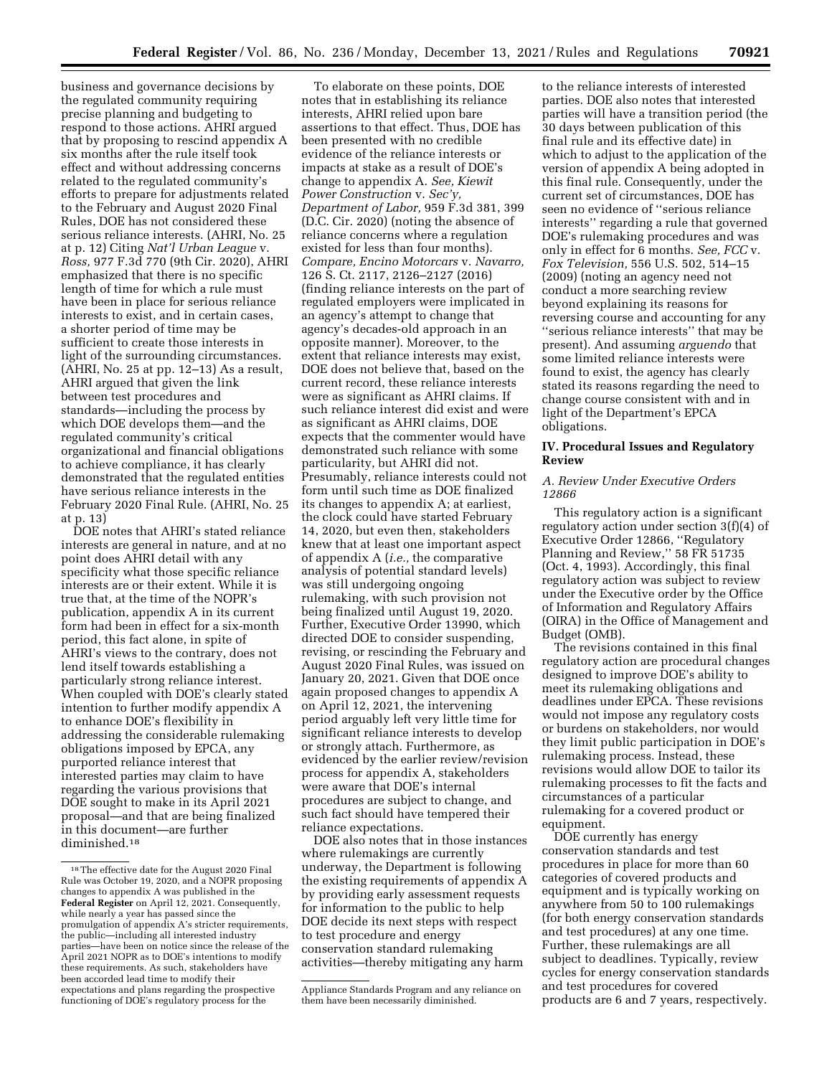business and governance decisions by the regulated community requiring precise planning and budgeting to respond to those actions. AHRI argued that by proposing to rescind appendix A six months after the rule itself took effect and without addressing concerns related to the regulated community's efforts to prepare for adjustments related to the February and August 2020 Final Rules, DOE has not considered these serious reliance interests. (AHRI, No. 25 at p. 12) Citing *Nat'l Urban League* v. *Ross,* 977 F.3d 770 (9th Cir. 2020), AHRI emphasized that there is no specific length of time for which a rule must have been in place for serious reliance interests to exist, and in certain cases, a shorter period of time may be sufficient to create those interests in light of the surrounding circumstances. (AHRI, No. 25 at pp. 12–13) As a result, AHRI argued that given the link between test procedures and standards—including the process by which DOE develops them—and the regulated community's critical organizational and financial obligations to achieve compliance, it has clearly demonstrated that the regulated entities have serious reliance interests in the February 2020 Final Rule. (AHRI, No. 25 at p. 13)

DOE notes that AHRI's stated reliance interests are general in nature, and at no point does AHRI detail with any specificity what those specific reliance interests are or their extent. While it is true that, at the time of the NOPR's publication, appendix A in its current form had been in effect for a six-month period, this fact alone, in spite of AHRI's views to the contrary, does not lend itself towards establishing a particularly strong reliance interest. When coupled with DOE's clearly stated intention to further modify appendix A to enhance DOE's flexibility in addressing the considerable rulemaking obligations imposed by EPCA, any purported reliance interest that interested parties may claim to have regarding the various provisions that DOE sought to make in its April 2021 proposal—and that are being finalized in this document—are further diminished.18

To elaborate on these points, DOE notes that in establishing its reliance interests, AHRI relied upon bare assertions to that effect. Thus, DOE has been presented with no credible evidence of the reliance interests or impacts at stake as a result of DOE's change to appendix A. *See, Kiewit Power Construction* v. *Sec'y, Department of Labor,* 959 F.3d 381, 399 (D.C. Cir. 2020) (noting the absence of reliance concerns where a regulation existed for less than four months). *Compare, Encino Motorcars* v. *Navarro,*  126 S. Ct. 2117, 2126–2127 (2016) (finding reliance interests on the part of regulated employers were implicated in an agency's attempt to change that agency's decades-old approach in an opposite manner). Moreover, to the extent that reliance interests may exist, DOE does not believe that, based on the current record, these reliance interests were as significant as AHRI claims. If such reliance interest did exist and were as significant as AHRI claims, DOE expects that the commenter would have demonstrated such reliance with some particularity, but AHRI did not. Presumably, reliance interests could not form until such time as DOE finalized its changes to appendix A; at earliest, the clock could have started February 14, 2020, but even then, stakeholders knew that at least one important aspect of appendix A (*i.e.,* the comparative analysis of potential standard levels) was still undergoing ongoing rulemaking, with such provision not being finalized until August 19, 2020. Further, Executive Order 13990, which directed DOE to consider suspending, revising, or rescinding the February and August 2020 Final Rules, was issued on January 20, 2021. Given that DOE once again proposed changes to appendix A on April 12, 2021, the intervening period arguably left very little time for significant reliance interests to develop or strongly attach. Furthermore, as evidenced by the earlier review/revision process for appendix A, stakeholders were aware that DOE's internal procedures are subject to change, and such fact should have tempered their reliance expectations.

DOE also notes that in those instances where rulemakings are currently underway, the Department is following the existing requirements of appendix A by providing early assessment requests for information to the public to help DOE decide its next steps with respect to test procedure and energy conservation standard rulemaking activities—thereby mitigating any harm

to the reliance interests of interested parties. DOE also notes that interested parties will have a transition period (the 30 days between publication of this final rule and its effective date) in which to adjust to the application of the version of appendix A being adopted in this final rule. Consequently, under the current set of circumstances, DOE has seen no evidence of ''serious reliance interests'' regarding a rule that governed DOE's rulemaking procedures and was only in effect for 6 months. *See, FCC* v. *Fox Television,* 556 U.S. 502, 514–15 (2009) (noting an agency need not conduct a more searching review beyond explaining its reasons for reversing course and accounting for any ''serious reliance interests'' that may be present). And assuming *arguendo* that some limited reliance interests were found to exist, the agency has clearly stated its reasons regarding the need to change course consistent with and in light of the Department's EPCA obligations.

### **IV. Procedural Issues and Regulatory Review**

### *A. Review Under Executive Orders 12866*

This regulatory action is a significant regulatory action under section 3(f)(4) of Executive Order 12866, ''Regulatory Planning and Review,'' 58 FR 51735 (Oct. 4, 1993). Accordingly, this final regulatory action was subject to review under the Executive order by the Office of Information and Regulatory Affairs (OIRA) in the Office of Management and Budget (OMB).

The revisions contained in this final regulatory action are procedural changes designed to improve DOE's ability to meet its rulemaking obligations and deadlines under EPCA. These revisions would not impose any regulatory costs or burdens on stakeholders, nor would they limit public participation in DOE's rulemaking process. Instead, these revisions would allow DOE to tailor its rulemaking processes to fit the facts and circumstances of a particular rulemaking for a covered product or equipment.

DOE currently has energy conservation standards and test procedures in place for more than 60 categories of covered products and equipment and is typically working on anywhere from 50 to 100 rulemakings (for both energy conservation standards and test procedures) at any one time. Further, these rulemakings are all subject to deadlines. Typically, review cycles for energy conservation standards and test procedures for covered products are 6 and 7 years, respectively.

<sup>18</sup>The effective date for the August 2020 Final Rule was October 19, 2020, and a NOPR proposing changes to appendix A was published in the **Federal Register** on April 12, 2021. Consequently, while nearly a year has passed since the promulgation of appendix A's stricter requirements, the public—including all interested industry parties—have been on notice since the release of the April 2021 NOPR as to DOE's intentions to modify these requirements. As such, stakeholders have been accorded lead time to modify their expectations and plans regarding the prospective functioning of DOE's regulatory process for the

Appliance Standards Program and any reliance on them have been necessarily diminished.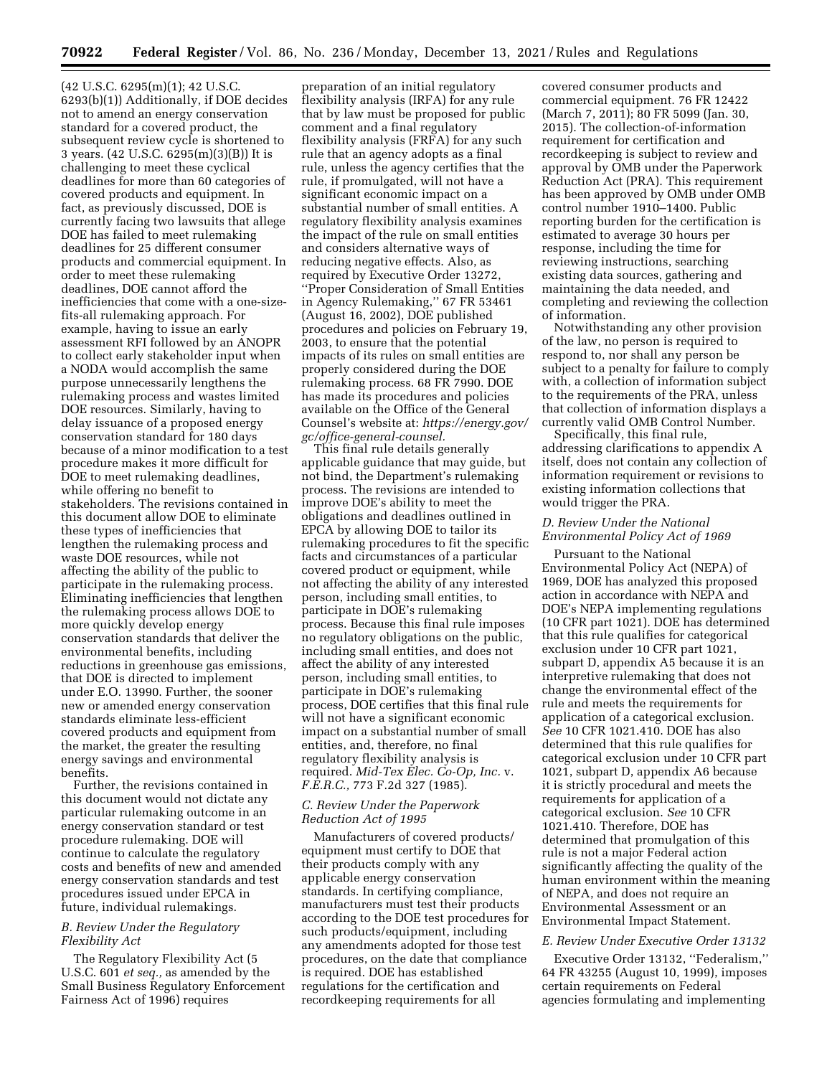(42 U.S.C. 6295(m)(1); 42 U.S.C. 6293(b)(1)) Additionally, if DOE decides not to amend an energy conservation standard for a covered product, the subsequent review cycle is shortened to 3 years. (42 U.S.C. 6295(m)(3)(B)) It is challenging to meet these cyclical deadlines for more than 60 categories of covered products and equipment. In fact, as previously discussed, DOE is currently facing two lawsuits that allege DOE has failed to meet rulemaking deadlines for 25 different consumer products and commercial equipment. In order to meet these rulemaking deadlines, DOE cannot afford the inefficiencies that come with a one-sizefits-all rulemaking approach. For example, having to issue an early assessment RFI followed by an ANOPR to collect early stakeholder input when a NODA would accomplish the same purpose unnecessarily lengthens the rulemaking process and wastes limited DOE resources. Similarly, having to delay issuance of a proposed energy conservation standard for 180 days because of a minor modification to a test procedure makes it more difficult for DOE to meet rulemaking deadlines, while offering no benefit to stakeholders. The revisions contained in this document allow DOE to eliminate these types of inefficiencies that lengthen the rulemaking process and waste DOE resources, while not affecting the ability of the public to participate in the rulemaking process. Eliminating inefficiencies that lengthen the rulemaking process allows DOE to more quickly develop energy conservation standards that deliver the environmental benefits, including reductions in greenhouse gas emissions, that DOE is directed to implement under E.O. 13990. Further, the sooner new or amended energy conservation standards eliminate less-efficient covered products and equipment from the market, the greater the resulting energy savings and environmental benefits.

Further, the revisions contained in this document would not dictate any particular rulemaking outcome in an energy conservation standard or test procedure rulemaking. DOE will continue to calculate the regulatory costs and benefits of new and amended energy conservation standards and test procedures issued under EPCA in future, individual rulemakings.

## *B. Review Under the Regulatory Flexibility Act*

The Regulatory Flexibility Act (5 U.S.C. 601 *et seq.,* as amended by the Small Business Regulatory Enforcement Fairness Act of 1996) requires

preparation of an initial regulatory flexibility analysis (IRFA) for any rule that by law must be proposed for public comment and a final regulatory flexibility analysis (FRFA) for any such rule that an agency adopts as a final rule, unless the agency certifies that the rule, if promulgated, will not have a significant economic impact on a substantial number of small entities. A regulatory flexibility analysis examines the impact of the rule on small entities and considers alternative ways of reducing negative effects. Also, as required by Executive Order 13272, ''Proper Consideration of Small Entities in Agency Rulemaking,'' 67 FR 53461 (August 16, 2002), DOE published procedures and policies on February 19, 2003, to ensure that the potential impacts of its rules on small entities are properly considered during the DOE rulemaking process. 68 FR 7990. DOE has made its procedures and policies available on the Office of the General Counsel's website at: *[https://energy.gov/](https://energy.gov/gc/office-general-counsel)  [gc/office-general-counsel.](https://energy.gov/gc/office-general-counsel)* 

This final rule details generally applicable guidance that may guide, but not bind, the Department's rulemaking process. The revisions are intended to improve DOE's ability to meet the obligations and deadlines outlined in EPCA by allowing DOE to tailor its rulemaking procedures to fit the specific facts and circumstances of a particular covered product or equipment, while not affecting the ability of any interested person, including small entities, to participate in DOE's rulemaking process. Because this final rule imposes no regulatory obligations on the public, including small entities, and does not affect the ability of any interested person, including small entities, to participate in DOE's rulemaking process, DOE certifies that this final rule will not have a significant economic impact on a substantial number of small entities, and, therefore, no final regulatory flexibility analysis is required. *Mid-Tex Elec. Co-Op, Inc.* v. *F.E.R.C.,* 773 F.2d 327 (1985).

### *C. Review Under the Paperwork Reduction Act of 1995*

Manufacturers of covered products/ equipment must certify to DOE that their products comply with any applicable energy conservation standards. In certifying compliance, manufacturers must test their products according to the DOE test procedures for such products/equipment, including any amendments adopted for those test procedures, on the date that compliance is required. DOE has established regulations for the certification and recordkeeping requirements for all

covered consumer products and commercial equipment. 76 FR 12422 (March 7, 2011); 80 FR 5099 (Jan. 30, 2015). The collection-of-information requirement for certification and recordkeeping is subject to review and approval by OMB under the Paperwork Reduction Act (PRA). This requirement has been approved by OMB under OMB control number 1910–1400. Public reporting burden for the certification is estimated to average 30 hours per response, including the time for reviewing instructions, searching existing data sources, gathering and maintaining the data needed, and completing and reviewing the collection of information.

Notwithstanding any other provision of the law, no person is required to respond to, nor shall any person be subject to a penalty for failure to comply with, a collection of information subject to the requirements of the PRA, unless that collection of information displays a currently valid OMB Control Number.

Specifically, this final rule, addressing clarifications to appendix A itself, does not contain any collection of information requirement or revisions to existing information collections that would trigger the PRA.

### *D. Review Under the National Environmental Policy Act of 1969*

Pursuant to the National Environmental Policy Act (NEPA) of 1969, DOE has analyzed this proposed action in accordance with NEPA and DOE's NEPA implementing regulations (10 CFR part 1021). DOE has determined that this rule qualifies for categorical exclusion under 10 CFR part 1021, subpart D, appendix A5 because it is an interpretive rulemaking that does not change the environmental effect of the rule and meets the requirements for application of a categorical exclusion. *See* 10 CFR 1021.410. DOE has also determined that this rule qualifies for categorical exclusion under 10 CFR part 1021, subpart D, appendix A6 because it is strictly procedural and meets the requirements for application of a categorical exclusion. *See* 10 CFR 1021.410. Therefore, DOE has determined that promulgation of this rule is not a major Federal action significantly affecting the quality of the human environment within the meaning of NEPA, and does not require an Environmental Assessment or an Environmental Impact Statement.

### *E. Review Under Executive Order 13132*

Executive Order 13132, ''Federalism,'' 64 FR 43255 (August 10, 1999), imposes certain requirements on Federal agencies formulating and implementing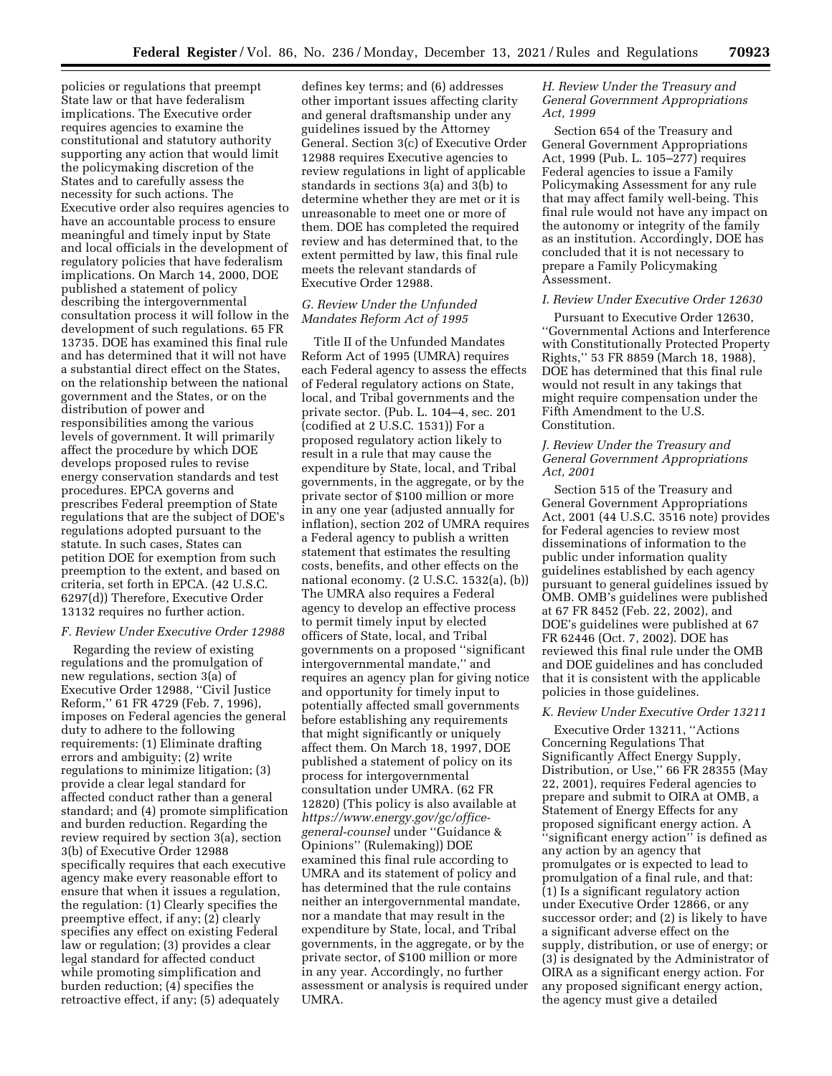policies or regulations that preempt State law or that have federalism implications. The Executive order requires agencies to examine the constitutional and statutory authority supporting any action that would limit the policymaking discretion of the States and to carefully assess the necessity for such actions. The Executive order also requires agencies to have an accountable process to ensure meaningful and timely input by State and local officials in the development of regulatory policies that have federalism implications. On March 14, 2000, DOE published a statement of policy describing the intergovernmental consultation process it will follow in the development of such regulations. 65 FR 13735. DOE has examined this final rule and has determined that it will not have a substantial direct effect on the States, on the relationship between the national government and the States, or on the distribution of power and responsibilities among the various levels of government. It will primarily affect the procedure by which DOE develops proposed rules to revise energy conservation standards and test procedures. EPCA governs and prescribes Federal preemption of State regulations that are the subject of DOE's regulations adopted pursuant to the statute. In such cases, States can petition DOE for exemption from such preemption to the extent, and based on criteria, set forth in EPCA. (42 U.S.C. 6297(d)) Therefore, Executive Order 13132 requires no further action.

### *F. Review Under Executive Order 12988*

Regarding the review of existing regulations and the promulgation of new regulations, section 3(a) of Executive Order 12988, ''Civil Justice Reform,'' 61 FR 4729 (Feb. 7, 1996), imposes on Federal agencies the general duty to adhere to the following requirements: (1) Eliminate drafting errors and ambiguity; (2) write regulations to minimize litigation; (3) provide a clear legal standard for affected conduct rather than a general standard; and (4) promote simplification and burden reduction. Regarding the review required by section 3(a), section 3(b) of Executive Order 12988 specifically requires that each executive agency make every reasonable effort to ensure that when it issues a regulation, the regulation: (1) Clearly specifies the preemptive effect, if any; (2) clearly specifies any effect on existing Federal law or regulation; (3) provides a clear legal standard for affected conduct while promoting simplification and burden reduction; (4) specifies the retroactive effect, if any; (5) adequately

defines key terms; and (6) addresses other important issues affecting clarity and general draftsmanship under any guidelines issued by the Attorney General. Section 3(c) of Executive Order 12988 requires Executive agencies to review regulations in light of applicable standards in sections 3(a) and 3(b) to determine whether they are met or it is unreasonable to meet one or more of them. DOE has completed the required review and has determined that, to the extent permitted by law, this final rule meets the relevant standards of Executive Order 12988.

## *G. Review Under the Unfunded Mandates Reform Act of 1995*

Title II of the Unfunded Mandates Reform Act of 1995 (UMRA) requires each Federal agency to assess the effects of Federal regulatory actions on State, local, and Tribal governments and the private sector. (Pub. L. 104–4, sec. 201 (codified at 2 U.S.C. 1531)) For a proposed regulatory action likely to result in a rule that may cause the expenditure by State, local, and Tribal governments, in the aggregate, or by the private sector of \$100 million or more in any one year (adjusted annually for inflation), section 202 of UMRA requires a Federal agency to publish a written statement that estimates the resulting costs, benefits, and other effects on the national economy. (2 U.S.C. 1532(a), (b)) The UMRA also requires a Federal agency to develop an effective process to permit timely input by elected officers of State, local, and Tribal governments on a proposed ''significant intergovernmental mandate,'' and requires an agency plan for giving notice and opportunity for timely input to potentially affected small governments before establishing any requirements that might significantly or uniquely affect them. On March 18, 1997, DOE published a statement of policy on its process for intergovernmental consultation under UMRA. (62 FR 12820) (This policy is also available at *[https://www.energy.gov/gc/office](https://www.energy.gov/gc/office-general-counsel)[general-counsel](https://www.energy.gov/gc/office-general-counsel)* under ''Guidance & Opinions'' (Rulemaking)) DOE examined this final rule according to UMRA and its statement of policy and has determined that the rule contains neither an intergovernmental mandate, nor a mandate that may result in the expenditure by State, local, and Tribal governments, in the aggregate, or by the private sector, of \$100 million or more in any year. Accordingly, no further assessment or analysis is required under UMRA.

## *H. Review Under the Treasury and General Government Appropriations Act, 1999*

Section 654 of the Treasury and General Government Appropriations Act, 1999 (Pub. L. 105–277) requires Federal agencies to issue a Family Policymaking Assessment for any rule that may affect family well-being. This final rule would not have any impact on the autonomy or integrity of the family as an institution. Accordingly, DOE has concluded that it is not necessary to prepare a Family Policymaking Assessment.

### *I. Review Under Executive Order 12630*

Pursuant to Executive Order 12630, ''Governmental Actions and Interference with Constitutionally Protected Property Rights,'' 53 FR 8859 (March 18, 1988), DOE has determined that this final rule would not result in any takings that might require compensation under the Fifth Amendment to the U.S. Constitution.

## *J. Review Under the Treasury and General Government Appropriations Act, 2001*

Section 515 of the Treasury and General Government Appropriations Act, 2001 (44 U.S.C. 3516 note) provides for Federal agencies to review most disseminations of information to the public under information quality guidelines established by each agency pursuant to general guidelines issued by OMB. OMB's guidelines were published at 67 FR 8452 (Feb. 22, 2002), and DOE's guidelines were published at 67 FR 62446 (Oct. 7, 2002). DOE has reviewed this final rule under the OMB and DOE guidelines and has concluded that it is consistent with the applicable policies in those guidelines.

#### *K. Review Under Executive Order 13211*

Executive Order 13211, ''Actions Concerning Regulations That Significantly Affect Energy Supply, Distribution, or Use,'' 66 FR 28355 (May 22, 2001), requires Federal agencies to prepare and submit to OIRA at OMB, a Statement of Energy Effects for any proposed significant energy action. A ''significant energy action'' is defined as any action by an agency that promulgates or is expected to lead to promulgation of a final rule, and that: (1) Is a significant regulatory action under Executive Order 12866, or any successor order; and (2) is likely to have a significant adverse effect on the supply, distribution, or use of energy; or (3) is designated by the Administrator of OIRA as a significant energy action. For any proposed significant energy action, the agency must give a detailed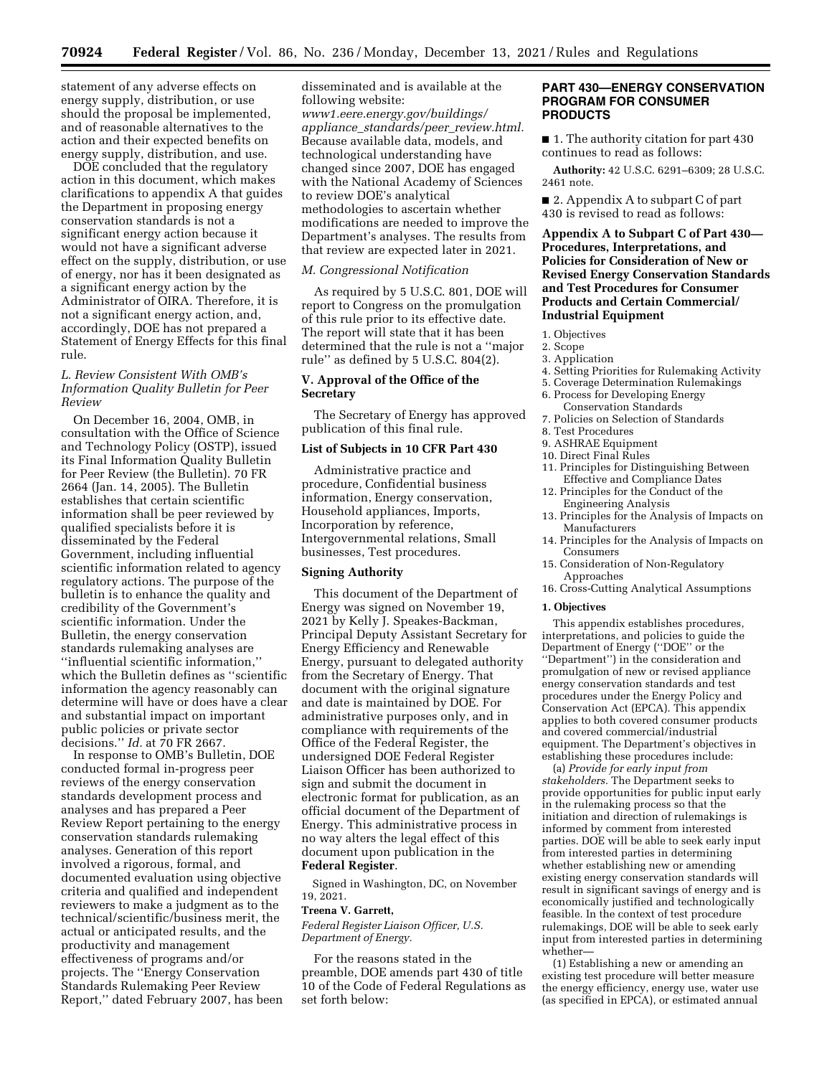statement of any adverse effects on energy supply, distribution, or use should the proposal be implemented, and of reasonable alternatives to the action and their expected benefits on energy supply, distribution, and use.

DOE concluded that the regulatory action in this document, which makes clarifications to appendix A that guides the Department in proposing energy conservation standards is not a significant energy action because it would not have a significant adverse effect on the supply, distribution, or use of energy, nor has it been designated as a significant energy action by the Administrator of OIRA. Therefore, it is not a significant energy action, and, accordingly, DOE has not prepared a Statement of Energy Effects for this final rule.

## *L. Review Consistent With OMB's Information Quality Bulletin for Peer Review*

On December 16, 2004, OMB, in consultation with the Office of Science and Technology Policy (OSTP), issued its Final Information Quality Bulletin for Peer Review (the Bulletin). 70 FR 2664 (Jan. 14, 2005). The Bulletin establishes that certain scientific information shall be peer reviewed by qualified specialists before it is disseminated by the Federal Government, including influential scientific information related to agency regulatory actions. The purpose of the bulletin is to enhance the quality and credibility of the Government's scientific information. Under the Bulletin, the energy conservation standards rulemaking analyses are ''influential scientific information,'' which the Bulletin defines as ''scientific information the agency reasonably can determine will have or does have a clear and substantial impact on important public policies or private sector decisions.'' *Id.* at 70 FR 2667.

In response to OMB's Bulletin, DOE conducted formal in-progress peer reviews of the energy conservation standards development process and analyses and has prepared a Peer Review Report pertaining to the energy conservation standards rulemaking analyses. Generation of this report involved a rigorous, formal, and documented evaluation using objective criteria and qualified and independent reviewers to make a judgment as to the technical/scientific/business merit, the actual or anticipated results, and the productivity and management effectiveness of programs and/or projects. The ''Energy Conservation Standards Rulemaking Peer Review Report,'' dated February 2007, has been disseminated and is available at the following website:

*[www1.eere.energy.gov/buildings/](http://www1.eere.energy.gov/buildings/appliance_standards/peer_review.html)  appliance*\_*[standards/peer](http://www1.eere.energy.gov/buildings/appliance_standards/peer_review.html)*\_*review.html.*  Because available data, models, and technological understanding have changed since 2007, DOE has engaged with the National Academy of Sciences to review DOE's analytical methodologies to ascertain whether modifications are needed to improve the Department's analyses. The results from that review are expected later in 2021.

### *M. Congressional Notification*

As required by 5 U.S.C. 801, DOE will report to Congress on the promulgation of this rule prior to its effective date. The report will state that it has been determined that the rule is not a ''major rule'' as defined by 5 U.S.C. 804(2).

### **V. Approval of the Office of the Secretary**

The Secretary of Energy has approved publication of this final rule.

### **List of Subjects in 10 CFR Part 430**

Administrative practice and procedure, Confidential business information, Energy conservation, Household appliances, Imports, Incorporation by reference, Intergovernmental relations, Small businesses, Test procedures.

### **Signing Authority**

This document of the Department of Energy was signed on November 19, 2021 by Kelly J. Speakes-Backman, Principal Deputy Assistant Secretary for Energy Efficiency and Renewable Energy, pursuant to delegated authority from the Secretary of Energy. That document with the original signature and date is maintained by DOE. For administrative purposes only, and in compliance with requirements of the Office of the Federal Register, the undersigned DOE Federal Register Liaison Officer has been authorized to sign and submit the document in electronic format for publication, as an official document of the Department of Energy. This administrative process in no way alters the legal effect of this document upon publication in the **Federal Register**.

Signed in Washington, DC, on November 19, 2021.

#### **Treena V. Garrett,**

*Federal Register Liaison Officer, U.S. Department of Energy.* 

For the reasons stated in the preamble, DOE amends part 430 of title 10 of the Code of Federal Regulations as set forth below:

### **PART 430—ENERGY CONSERVATION PROGRAM FOR CONSUMER PRODUCTS**

■ 1. The authority citation for part 430 continues to read as follows:

**Authority:** 42 U.S.C. 6291–6309; 28 U.S.C. 2461 note.

■ 2. Appendix A to subpart C of part 430 is revised to read as follows:

## **Appendix A to Subpart C of Part 430— Procedures, Interpretations, and Policies for Consideration of New or Revised Energy Conservation Standards and Test Procedures for Consumer Products and Certain Commercial/ Industrial Equipment**

- 1. Objectives
- 2. Scope
- 3. Application
- 4. Setting Priorities for Rulemaking Activity
- 5. Coverage Determination Rulemakings 6. Process for Developing Energy
- Conservation Standards 7. Policies on Selection of Standards
- 8. Test Procedures
- 9. ASHRAE Equipment
- 10. Direct Final Rules
- 11. Principles for Distinguishing Between Effective and Compliance Dates
- 12. Principles for the Conduct of the Engineering Analysis
- 13. Principles for the Analysis of Impacts on Manufacturers
- 14. Principles for the Analysis of Impacts on Consumers
- 15. Consideration of Non-Regulatory Approaches
- 16. Cross-Cutting Analytical Assumptions

#### **1. Objectives**

This appendix establishes procedures, interpretations, and policies to guide the Department of Energy (''DOE'' or the ''Department'') in the consideration and promulgation of new or revised appliance energy conservation standards and test procedures under the Energy Policy and Conservation Act (EPCA). This appendix applies to both covered consumer products and covered commercial/industrial equipment. The Department's objectives in establishing these procedures include:

(a) *Provide for early input from stakeholders.* The Department seeks to provide opportunities for public input early in the rulemaking process so that the initiation and direction of rulemakings is informed by comment from interested parties. DOE will be able to seek early input from interested parties in determining whether establishing new or amending existing energy conservation standards will result in significant savings of energy and is economically justified and technologically feasible. In the context of test procedure rulemakings, DOE will be able to seek early input from interested parties in determining whether—

(1) Establishing a new or amending an existing test procedure will better measure the energy efficiency, energy use, water use (as specified in EPCA), or estimated annual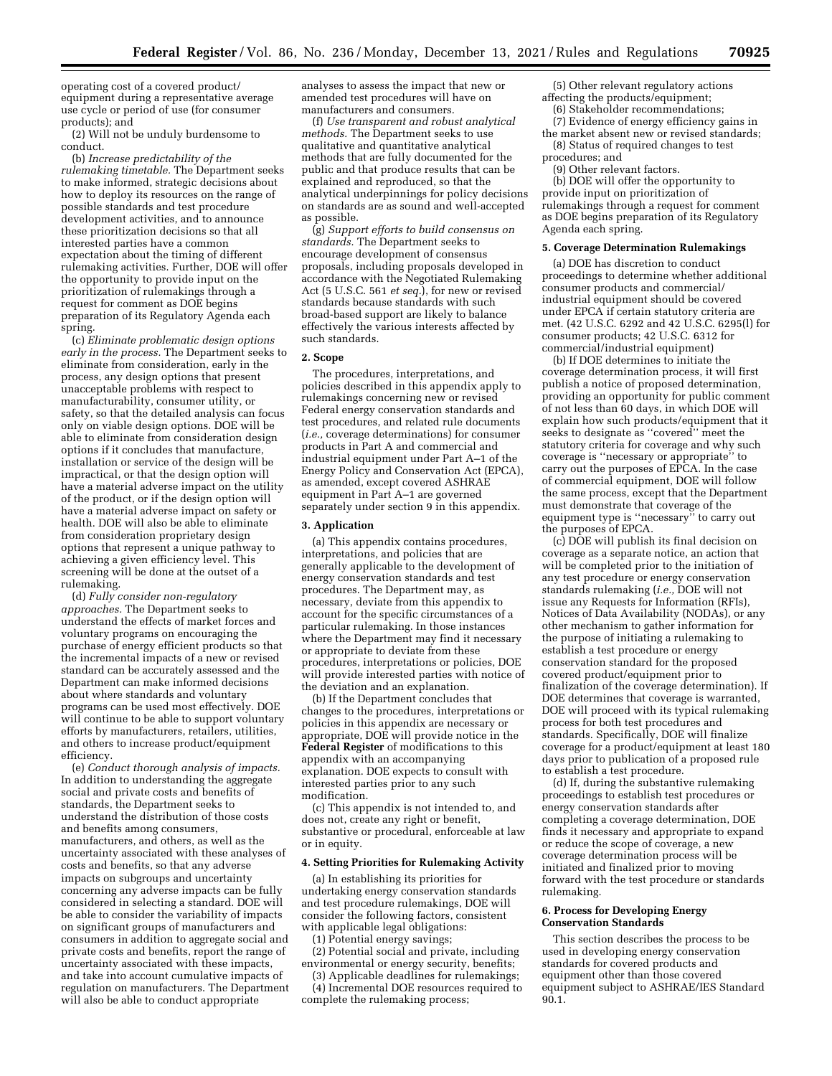operating cost of a covered product/ equipment during a representative average use cycle or period of use (for consumer products); and

(2) Will not be unduly burdensome to conduct.

(b) *Increase predictability of the rulemaking timetable.* The Department seeks to make informed, strategic decisions about how to deploy its resources on the range of possible standards and test procedure development activities, and to announce these prioritization decisions so that all interested parties have a common expectation about the timing of different rulemaking activities. Further, DOE will offer the opportunity to provide input on the prioritization of rulemakings through a request for comment as DOE begins preparation of its Regulatory Agenda each spring.

(c) *Eliminate problematic design options early in the process.* The Department seeks to eliminate from consideration, early in the process, any design options that present unacceptable problems with respect to manufacturability, consumer utility, or safety, so that the detailed analysis can focus only on viable design options. DOE will be able to eliminate from consideration design options if it concludes that manufacture, installation or service of the design will be impractical, or that the design option will have a material adverse impact on the utility of the product, or if the design option will have a material adverse impact on safety or health. DOE will also be able to eliminate from consideration proprietary design options that represent a unique pathway to achieving a given efficiency level. This screening will be done at the outset of a rulemaking.

(d) *Fully consider non-regulatory approaches.* The Department seeks to understand the effects of market forces and voluntary programs on encouraging the purchase of energy efficient products so that the incremental impacts of a new or revised standard can be accurately assessed and the Department can make informed decisions about where standards and voluntary programs can be used most effectively. DOE will continue to be able to support voluntary efforts by manufacturers, retailers, utilities, and others to increase product/equipment efficiency.

(e) *Conduct thorough analysis of impacts.*  In addition to understanding the aggregate social and private costs and benefits of standards, the Department seeks to understand the distribution of those costs and benefits among consumers, manufacturers, and others, as well as the uncertainty associated with these analyses of costs and benefits, so that any adverse impacts on subgroups and uncertainty concerning any adverse impacts can be fully considered in selecting a standard. DOE will be able to consider the variability of impacts on significant groups of manufacturers and consumers in addition to aggregate social and private costs and benefits, report the range of uncertainty associated with these impacts, and take into account cumulative impacts of regulation on manufacturers. The Department will also be able to conduct appropriate

analyses to assess the impact that new or amended test procedures will have on manufacturers and consumers.

(f) *Use transparent and robust analytical methods.* The Department seeks to use qualitative and quantitative analytical methods that are fully documented for the public and that produce results that can be explained and reproduced, so that the analytical underpinnings for policy decisions on standards are as sound and well-accepted as possible.

(g) *Support efforts to build consensus on standards.* The Department seeks to encourage development of consensus proposals, including proposals developed in accordance with the Negotiated Rulemaking Act (5 U.S.C. 561 *et seq.*), for new or revised standards because standards with such broad-based support are likely to balance effectively the various interests affected by such standards.

### **2. Scope**

The procedures, interpretations, and policies described in this appendix apply to rulemakings concerning new or revised Federal energy conservation standards and test procedures, and related rule documents (*i.e.,* coverage determinations) for consumer products in Part A and commercial and industrial equipment under Part A–1 of the Energy Policy and Conservation Act (EPCA), as amended, except covered ASHRAE equipment in Part A–1 are governed separately under section 9 in this appendix.

#### **3. Application**

(a) This appendix contains procedures, interpretations, and policies that are generally applicable to the development of energy conservation standards and test procedures. The Department may, as necessary, deviate from this appendix to account for the specific circumstances of a particular rulemaking. In those instances where the Department may find it necessary or appropriate to deviate from these procedures, interpretations or policies, DOE will provide interested parties with notice of the deviation and an explanation.

(b) If the Department concludes that changes to the procedures, interpretations or policies in this appendix are necessary or appropriate, DOE will provide notice in the **Federal Register** of modifications to this appendix with an accompanying explanation. DOE expects to consult with interested parties prior to any such modification.

(c) This appendix is not intended to, and does not, create any right or benefit, substantive or procedural, enforceable at law or in equity.

#### **4. Setting Priorities for Rulemaking Activity**

(a) In establishing its priorities for undertaking energy conservation standards and test procedure rulemakings, DOE will consider the following factors, consistent with applicable legal obligations:

(1) Potential energy savings;

(2) Potential social and private, including environmental or energy security, benefits;

(3) Applicable deadlines for rulemakings; (4) Incremental DOE resources required to complete the rulemaking process;

(5) Other relevant regulatory actions affecting the products/equipment; (6) Stakeholder recommendations;

(7) Evidence of energy efficiency gains in the market absent new or revised standards;

(8) Status of required changes to test procedures; and

## (9) Other relevant factors.

(b) DOE will offer the opportunity to provide input on prioritization of rulemakings through a request for comment as DOE begins preparation of its Regulatory Agenda each spring.

#### **5. Coverage Determination Rulemakings**

(a) DOE has discretion to conduct proceedings to determine whether additional consumer products and commercial/ industrial equipment should be covered under EPCA if certain statutory criteria are met. (42 U.S.C. 6292 and 42 U.S.C. 6295(l) for consumer products; 42 U.S.C. 6312 for commercial/industrial equipment)

(b) If DOE determines to initiate the coverage determination process, it will first publish a notice of proposed determination, providing an opportunity for public comment of not less than 60 days, in which DOE will explain how such products/equipment that it seeks to designate as ''covered'' meet the statutory criteria for coverage and why such coverage is ''necessary or appropriate'' to carry out the purposes of EPCA. In the case of commercial equipment, DOE will follow the same process, except that the Department must demonstrate that coverage of the equipment type is ''necessary'' to carry out the purposes of EPCA.

(c) DOE will publish its final decision on coverage as a separate notice, an action that will be completed prior to the initiation of any test procedure or energy conservation standards rulemaking (*i.e.,* DOE will not issue any Requests for Information (RFIs), Notices of Data Availability (NODAs), or any other mechanism to gather information for the purpose of initiating a rulemaking to establish a test procedure or energy conservation standard for the proposed covered product/equipment prior to finalization of the coverage determination). If DOE determines that coverage is warranted, DOE will proceed with its typical rulemaking process for both test procedures and standards. Specifically, DOE will finalize coverage for a product/equipment at least 180 days prior to publication of a proposed rule to establish a test procedure.

(d) If, during the substantive rulemaking proceedings to establish test procedures or energy conservation standards after completing a coverage determination, DOE finds it necessary and appropriate to expand or reduce the scope of coverage, a new coverage determination process will be initiated and finalized prior to moving forward with the test procedure or standards rulemaking.

#### **6. Process for Developing Energy Conservation Standards**

This section describes the process to be used in developing energy conservation standards for covered products and equipment other than those covered equipment subject to ASHRAE/IES Standard 90.1.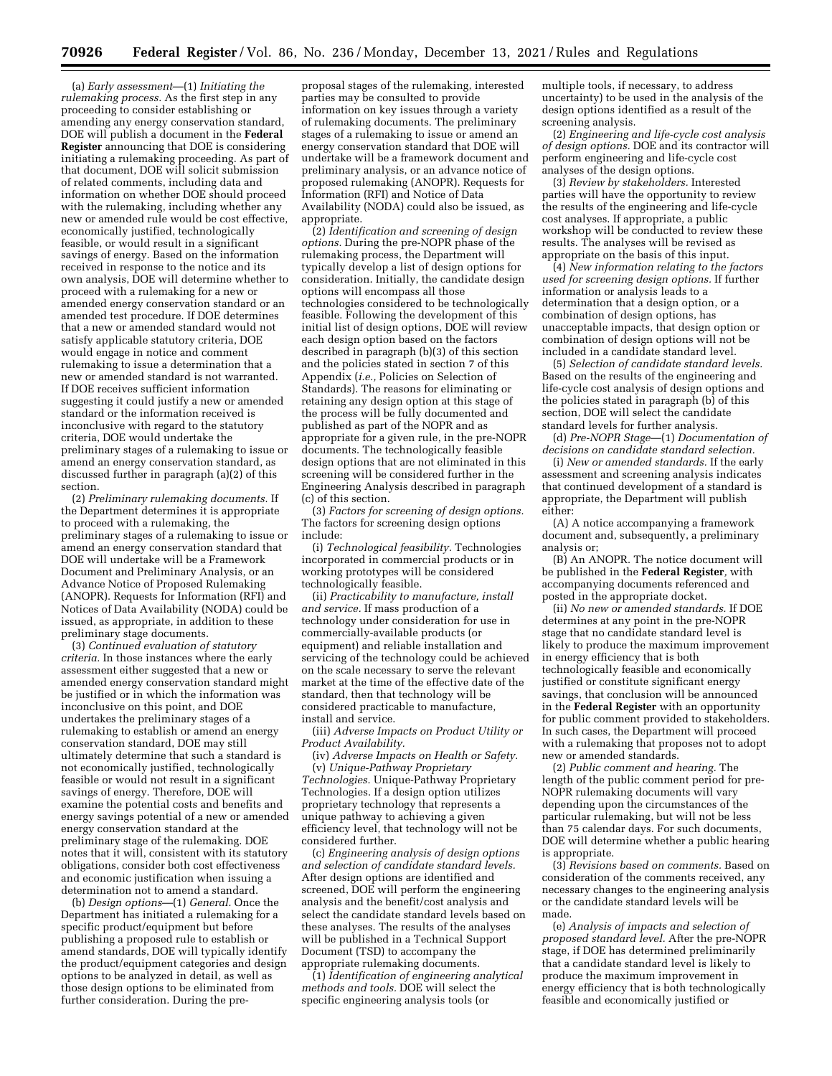(a) *Early assessment*—(1) *Initiating the rulemaking process.* As the first step in any proceeding to consider establishing or amending any energy conservation standard, DOE will publish a document in the **Federal Register** announcing that DOE is considering initiating a rulemaking proceeding. As part of that document, DOE will solicit submission of related comments, including data and information on whether DOE should proceed with the rulemaking, including whether any new or amended rule would be cost effective, economically justified, technologically feasible, or would result in a significant savings of energy. Based on the information received in response to the notice and its own analysis, DOE will determine whether to proceed with a rulemaking for a new or amended energy conservation standard or an amended test procedure. If DOE determines that a new or amended standard would not satisfy applicable statutory criteria, DOE would engage in notice and comment rulemaking to issue a determination that a new or amended standard is not warranted. If DOE receives sufficient information suggesting it could justify a new or amended standard or the information received is inconclusive with regard to the statutory criteria, DOE would undertake the preliminary stages of a rulemaking to issue or amend an energy conservation standard, as discussed further in paragraph (a)(2) of this section.

(2) *Preliminary rulemaking documents.* If the Department determines it is appropriate to proceed with a rulemaking, the preliminary stages of a rulemaking to issue or amend an energy conservation standard that DOE will undertake will be a Framework Document and Preliminary Analysis, or an Advance Notice of Proposed Rulemaking (ANOPR). Requests for Information (RFI) and Notices of Data Availability (NODA) could be issued, as appropriate, in addition to these preliminary stage documents.

(3) *Continued evaluation of statutory criteria.* In those instances where the early assessment either suggested that a new or amended energy conservation standard might be justified or in which the information was inconclusive on this point, and DOE undertakes the preliminary stages of a rulemaking to establish or amend an energy conservation standard, DOE may still ultimately determine that such a standard is not economically justified, technologically feasible or would not result in a significant savings of energy. Therefore, DOE will examine the potential costs and benefits and energy savings potential of a new or amended energy conservation standard at the preliminary stage of the rulemaking. DOE notes that it will, consistent with its statutory obligations, consider both cost effectiveness and economic justification when issuing a determination not to amend a standard.

(b) *Design options*—(1) *General.* Once the Department has initiated a rulemaking for a specific product/equipment but before publishing a proposed rule to establish or amend standards, DOE will typically identify the product/equipment categories and design options to be analyzed in detail, as well as those design options to be eliminated from further consideration. During the pre-

proposal stages of the rulemaking, interested parties may be consulted to provide information on key issues through a variety of rulemaking documents. The preliminary stages of a rulemaking to issue or amend an energy conservation standard that DOE will undertake will be a framework document and preliminary analysis, or an advance notice of proposed rulemaking (ANOPR). Requests for Information (RFI) and Notice of Data Availability (NODA) could also be issued, as appropriate.

(2) *Identification and screening of design options.* During the pre-NOPR phase of the rulemaking process, the Department will typically develop a list of design options for consideration. Initially, the candidate design options will encompass all those technologies considered to be technologically feasible. Following the development of this initial list of design options, DOE will review each design option based on the factors described in paragraph (b)(3) of this section and the policies stated in section 7 of this Appendix (*i.e.,* Policies on Selection of Standards). The reasons for eliminating or retaining any design option at this stage of the process will be fully documented and published as part of the NOPR and as appropriate for a given rule, in the pre-NOPR documents. The technologically feasible design options that are not eliminated in this screening will be considered further in the Engineering Analysis described in paragraph (c) of this section.

(3) *Factors for screening of design options.*  The factors for screening design options include:

(i) *Technological feasibility.* Technologies incorporated in commercial products or in working prototypes will be considered technologically feasible.

(ii) *Practicability to manufacture, install and service.* If mass production of a technology under consideration for use in commercially-available products (or equipment) and reliable installation and servicing of the technology could be achieved on the scale necessary to serve the relevant market at the time of the effective date of the standard, then that technology will be considered practicable to manufacture, install and service.

(iii) *Adverse Impacts on Product Utility or Product Availability.* 

(iv) *Adverse Impacts on Health or Safety.*  (v) *Unique-Pathway Proprietary Technologies.* Unique-Pathway Proprietary Technologies. If a design option utilizes proprietary technology that represents a unique pathway to achieving a given efficiency level, that technology will not be considered further.

(c) *Engineering analysis of design options and selection of candidate standard levels.*  After design options are identified and screened, DOE will perform the engineering analysis and the benefit/cost analysis and select the candidate standard levels based on these analyses. The results of the analyses will be published in a Technical Support Document (TSD) to accompany the appropriate rulemaking documents.

(1) *Identification of engineering analytical methods and tools.* DOE will select the specific engineering analysis tools (or

multiple tools, if necessary, to address uncertainty) to be used in the analysis of the design options identified as a result of the screening analysis.

(2) *Engineering and life-cycle cost analysis of design options.* DOE and its contractor will perform engineering and life-cycle cost analyses of the design options.

(3) *Review by stakeholders.* Interested parties will have the opportunity to review the results of the engineering and life-cycle cost analyses. If appropriate, a public workshop will be conducted to review these results. The analyses will be revised as appropriate on the basis of this input.

(4) *New information relating to the factors used for screening design options.* If further information or analysis leads to a determination that a design option, or a combination of design options, has unacceptable impacts, that design option or combination of design options will not be included in a candidate standard level.

(5) *Selection of candidate standard levels.*  Based on the results of the engineering and life-cycle cost analysis of design options and the policies stated in paragraph (b) of this section, DOE will select the candidate standard levels for further analysis.

(d) *Pre-NOPR Stage*—(1) *Documentation of decisions on candidate standard selection.* 

(i) *New or amended standards.* If the early assessment and screening analysis indicates that continued development of a standard is appropriate, the Department will publish either:

(A) A notice accompanying a framework document and, subsequently, a preliminary analysis or;

(B) An ANOPR. The notice document will be published in the **Federal Register***,* with accompanying documents referenced and posted in the appropriate docket.

(ii) *No new or amended standards.* If DOE determines at any point in the pre-NOPR stage that no candidate standard level is likely to produce the maximum improvement in energy efficiency that is both technologically feasible and economically justified or constitute significant energy savings, that conclusion will be announced in the **Federal Register** with an opportunity for public comment provided to stakeholders. In such cases, the Department will proceed with a rulemaking that proposes not to adopt new or amended standards.

(2) *Public comment and hearing.* The length of the public comment period for pre-NOPR rulemaking documents will vary depending upon the circumstances of the particular rulemaking, but will not be less than 75 calendar days. For such documents, DOE will determine whether a public hearing is appropriate.

(3) *Revisions based on comments.* Based on consideration of the comments received, any necessary changes to the engineering analysis or the candidate standard levels will be made.

(e) *Analysis of impacts and selection of proposed standard level.* After the pre-NOPR stage, if DOE has determined preliminarily that a candidate standard level is likely to produce the maximum improvement in energy efficiency that is both technologically feasible and economically justified or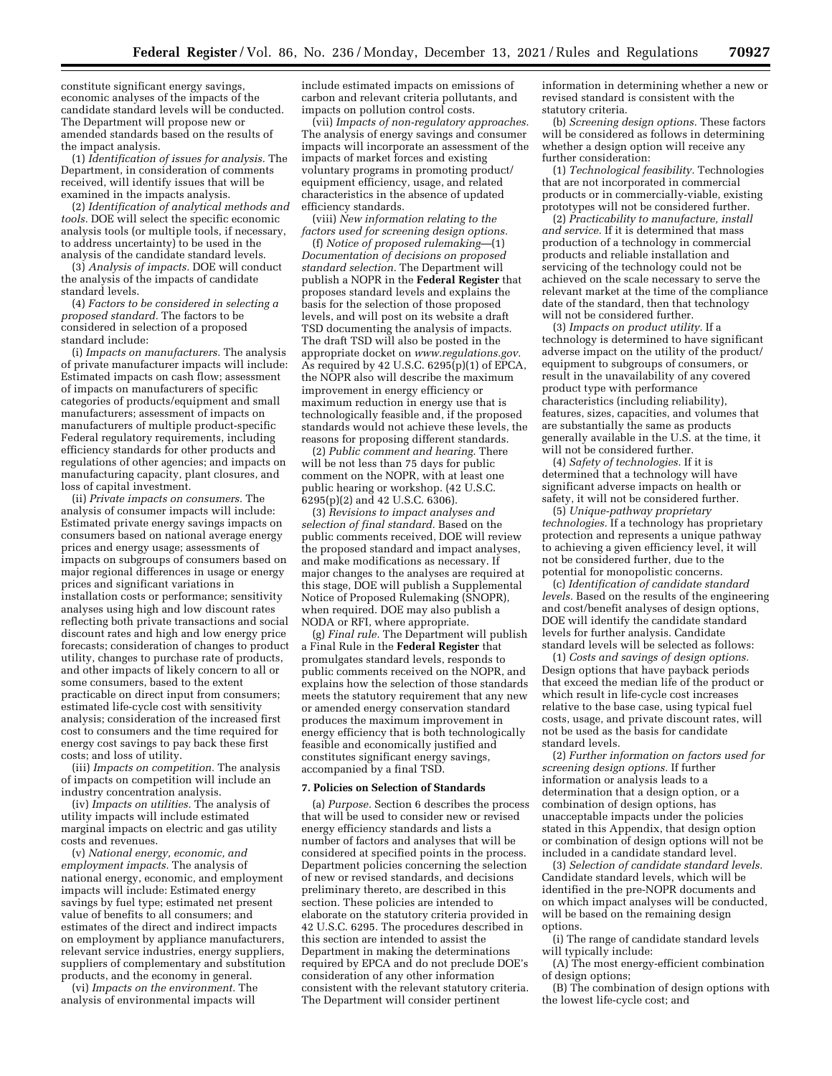constitute significant energy savings, economic analyses of the impacts of the candidate standard levels will be conducted. The Department will propose new or amended standards based on the results of the impact analysis.

(1) *Identification of issues for analysis.* The Department, in consideration of comments received, will identify issues that will be examined in the impacts analysis.

(2) *Identification of analytical methods and tools.* DOE will select the specific economic analysis tools (or multiple tools, if necessary, to address uncertainty) to be used in the analysis of the candidate standard levels.

(3) *Analysis of impacts.* DOE will conduct the analysis of the impacts of candidate standard levels.

(4) *Factors to be considered in selecting a proposed standard.* The factors to be considered in selection of a proposed standard include:

(i) *Impacts on manufacturers.* The analysis of private manufacturer impacts will include: Estimated impacts on cash flow; assessment of impacts on manufacturers of specific categories of products/equipment and small manufacturers; assessment of impacts on manufacturers of multiple product-specific Federal regulatory requirements, including efficiency standards for other products and regulations of other agencies; and impacts on manufacturing capacity, plant closures, and loss of capital investment.

(ii) *Private impacts on consumers.* The analysis of consumer impacts will include: Estimated private energy savings impacts on consumers based on national average energy prices and energy usage; assessments of impacts on subgroups of consumers based on major regional differences in usage or energy prices and significant variations in installation costs or performance; sensitivity analyses using high and low discount rates reflecting both private transactions and social discount rates and high and low energy price forecasts; consideration of changes to product utility, changes to purchase rate of products, and other impacts of likely concern to all or some consumers, based to the extent practicable on direct input from consumers; estimated life-cycle cost with sensitivity analysis; consideration of the increased first cost to consumers and the time required for energy cost savings to pay back these first costs; and loss of utility.

(iii) *Impacts on competition.* The analysis of impacts on competition will include an industry concentration analysis.

(iv) *Impacts on utilities.* The analysis of utility impacts will include estimated marginal impacts on electric and gas utility costs and revenues.

(v) *National energy, economic, and employment impacts.* The analysis of national energy, economic, and employment impacts will include: Estimated energy savings by fuel type; estimated net present value of benefits to all consumers; and estimates of the direct and indirect impacts on employment by appliance manufacturers, relevant service industries, energy suppliers, suppliers of complementary and substitution products, and the economy in general.

(vi) *Impacts on the environment.* The analysis of environmental impacts will

include estimated impacts on emissions of carbon and relevant criteria pollutants, and impacts on pollution control costs.

(vii) *Impacts of non-regulatory approaches.*  The analysis of energy savings and consumer impacts will incorporate an assessment of the impacts of market forces and existing voluntary programs in promoting product/ equipment efficiency, usage, and related characteristics in the absence of updated efficiency standards.

(viii) *New information relating to the factors used for screening design options.* 

(f) *Notice of proposed rulemaking*—(1) *Documentation of decisions on proposed standard selection.* The Department will publish a NOPR in the **Federal Register** that proposes standard levels and explains the basis for the selection of those proposed levels, and will post on its website a draft TSD documenting the analysis of impacts. The draft TSD will also be posted in the appropriate docket on *[www.regulations.gov.](http://www.regulations.gov)*  As required by 42 U.S.C.  $6295(p)(1)$  of EPCA, the NOPR also will describe the maximum improvement in energy efficiency or maximum reduction in energy use that is technologically feasible and, if the proposed standards would not achieve these levels, the reasons for proposing different standards.

(2) *Public comment and hearing.* There will be not less than 75 days for public comment on the NOPR, with at least one public hearing or workshop. (42 U.S.C. 6295(p)(2) and 42 U.S.C. 6306).

(3) *Revisions to impact analyses and selection of final standard.* Based on the public comments received, DOE will review the proposed standard and impact analyses, and make modifications as necessary. If major changes to the analyses are required at this stage, DOE will publish a Supplemental Notice of Proposed Rulemaking (SNOPR), when required. DOE may also publish a NODA or RFI, where appropriate.

(g) *Final rule.* The Department will publish a Final Rule in the **Federal Register** that promulgates standard levels, responds to public comments received on the NOPR, and explains how the selection of those standards meets the statutory requirement that any new or amended energy conservation standard produces the maximum improvement in energy efficiency that is both technologically feasible and economically justified and constitutes significant energy savings, accompanied by a final TSD.

#### **7. Policies on Selection of Standards**

(a) *Purpose.* Section 6 describes the process that will be used to consider new or revised energy efficiency standards and lists a number of factors and analyses that will be considered at specified points in the process. Department policies concerning the selection of new or revised standards, and decisions preliminary thereto, are described in this section. These policies are intended to elaborate on the statutory criteria provided in 42 U.S.C. 6295. The procedures described in this section are intended to assist the Department in making the determinations required by EPCA and do not preclude DOE's consideration of any other information consistent with the relevant statutory criteria. The Department will consider pertinent

information in determining whether a new or revised standard is consistent with the statutory criteria.

(b) *Screening design options.* These factors will be considered as follows in determining whether a design option will receive any further consideration:

(1) *Technological feasibility.* Technologies that are not incorporated in commercial products or in commercially-viable, existing prototypes will not be considered further.

(2) *Practicability to manufacture, install and service.* If it is determined that mass production of a technology in commercial products and reliable installation and servicing of the technology could not be achieved on the scale necessary to serve the relevant market at the time of the compliance date of the standard, then that technology will not be considered further.

(3) *Impacts on product utility.* If a technology is determined to have significant adverse impact on the utility of the product/ equipment to subgroups of consumers, or result in the unavailability of any covered product type with performance characteristics (including reliability), features, sizes, capacities, and volumes that are substantially the same as products generally available in the U.S. at the time, it will not be considered further.

(4) *Safety of technologies.* If it is determined that a technology will have significant adverse impacts on health or safety, it will not be considered further.

(5) *Unique-pathway proprietary technologies.* If a technology has proprietary protection and represents a unique pathway to achieving a given efficiency level, it will not be considered further, due to the potential for monopolistic concerns.

(c) *Identification of candidate standard levels.* Based on the results of the engineering and cost/benefit analyses of design options, DOE will identify the candidate standard levels for further analysis. Candidate standard levels will be selected as follows:

(1) *Costs and savings of design options.*  Design options that have payback periods that exceed the median life of the product or which result in life-cycle cost increases relative to the base case, using typical fuel costs, usage, and private discount rates, will not be used as the basis for candidate standard levels.

(2) *Further information on factors used for screening design options.* If further information or analysis leads to a determination that a design option, or a combination of design options, has unacceptable impacts under the policies stated in this Appendix, that design option or combination of design options will not be included in a candidate standard level.

(3) *Selection of candidate standard levels.*  Candidate standard levels, which will be identified in the pre-NOPR documents and on which impact analyses will be conducted, will be based on the remaining design options.

(i) The range of candidate standard levels will typically include:

(A) The most energy-efficient combination of design options;

(B) The combination of design options with the lowest life-cycle cost; and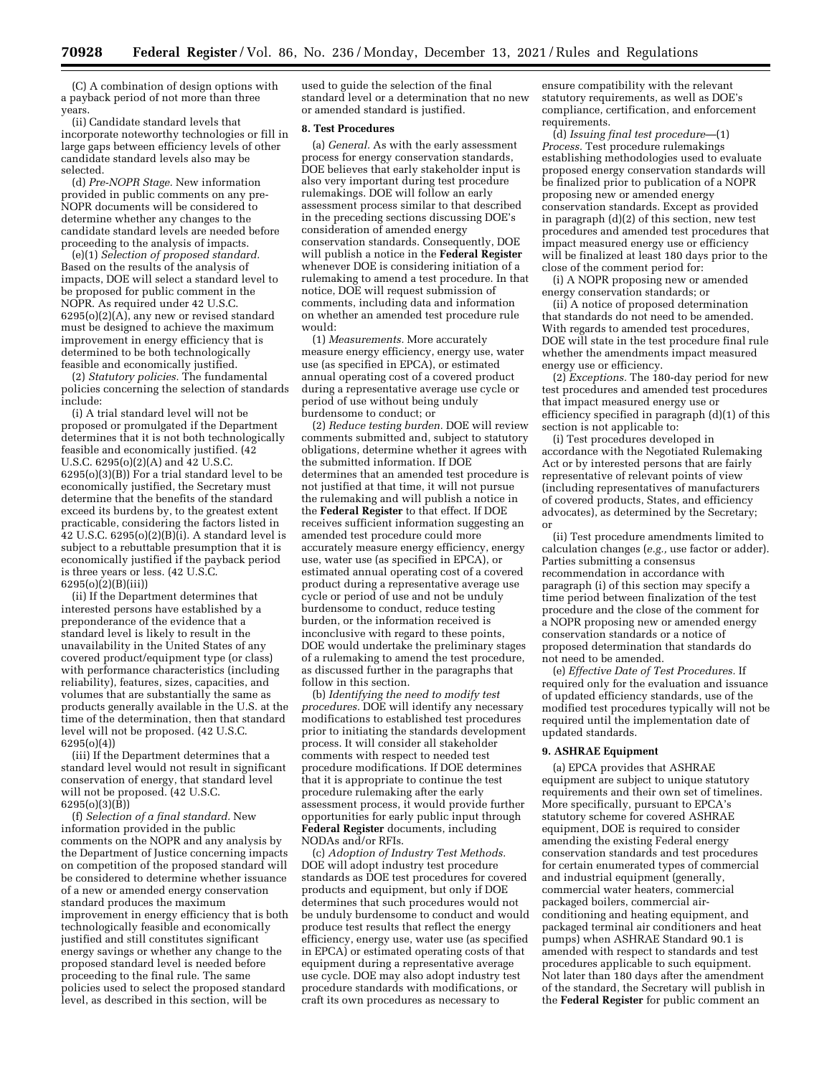(C) A combination of design options with a payback period of not more than three years.

(ii) Candidate standard levels that incorporate noteworthy technologies or fill in large gaps between efficiency levels of other candidate standard levels also may be selected.

(d) *Pre-NOPR Stage.* New information provided in public comments on any pre-NOPR documents will be considered to determine whether any changes to the candidate standard levels are needed before proceeding to the analysis of impacts.

(e)(1) *Selection of proposed standard.*  Based on the results of the analysis of impacts, DOE will select a standard level to be proposed for public comment in the NOPR. As required under 42 U.S.C.  $6295(0)(2)(A)$ , any new or revised standard must be designed to achieve the maximum improvement in energy efficiency that is determined to be both technologically feasible and economically justified.

(2) *Statutory policies.* The fundamental policies concerning the selection of standards include:

(i) A trial standard level will not be proposed or promulgated if the Department determines that it is not both technologically feasible and economically justified. (42 U.S.C. 6295(o)(2)(A) and 42 U.S.C. 6295(o)(3)(B)) For a trial standard level to be economically justified, the Secretary must determine that the benefits of the standard exceed its burdens by, to the greatest extent practicable, considering the factors listed in 42 U.S.C. 6295(o)(2)(B)(i). A standard level is subject to a rebuttable presumption that it is economically justified if the payback period is three years or less. (42 U.S.C. 6295(o)(2)(B)(iii))

(ii) If the Department determines that interested persons have established by a preponderance of the evidence that a standard level is likely to result in the unavailability in the United States of any covered product/equipment type (or class) with performance characteristics (including reliability), features, sizes, capacities, and volumes that are substantially the same as products generally available in the U.S. at the time of the determination, then that standard level will not be proposed. (42 U.S.C. 6295(o)(4))

(iii) If the Department determines that a standard level would not result in significant conservation of energy, that standard level will not be proposed. (42 U.S.C.  $6295(o)(3)(B)$ 

(f) *Selection of a final standard.* New information provided in the public comments on the NOPR and any analysis by the Department of Justice concerning impacts on competition of the proposed standard will be considered to determine whether issuance of a new or amended energy conservation standard produces the maximum improvement in energy efficiency that is both technologically feasible and economically justified and still constitutes significant energy savings or whether any change to the proposed standard level is needed before proceeding to the final rule. The same policies used to select the proposed standard level, as described in this section, will be

used to guide the selection of the final standard level or a determination that no new or amended standard is justified.

#### **8. Test Procedures**

(a) *General.* As with the early assessment process for energy conservation standards, DOE believes that early stakeholder input is also very important during test procedure rulemakings. DOE will follow an early assessment process similar to that described in the preceding sections discussing DOE's consideration of amended energy conservation standards. Consequently, DOE will publish a notice in the **Federal Register**  whenever DOE is considering initiation of a rulemaking to amend a test procedure. In that notice, DOE will request submission of comments, including data and information on whether an amended test procedure rule would:

(1) *Measurements.* More accurately measure energy efficiency, energy use, water use (as specified in EPCA), or estimated annual operating cost of a covered product during a representative average use cycle or period of use without being unduly burdensome to conduct; or

(2) *Reduce testing burden.* DOE will review comments submitted and, subject to statutory obligations, determine whether it agrees with the submitted information. If DOE determines that an amended test procedure is not justified at that time, it will not pursue the rulemaking and will publish a notice in the **Federal Register** to that effect. If DOE receives sufficient information suggesting an amended test procedure could more accurately measure energy efficiency, energy use, water use (as specified in EPCA), or estimated annual operating cost of a covered product during a representative average use cycle or period of use and not be unduly burdensome to conduct, reduce testing burden, or the information received is inconclusive with regard to these points, DOE would undertake the preliminary stages of a rulemaking to amend the test procedure, as discussed further in the paragraphs that follow in this section.

(b) *Identifying the need to modify test procedures.* DOE will identify any necessary modifications to established test procedures prior to initiating the standards development process. It will consider all stakeholder comments with respect to needed test procedure modifications. If DOE determines that it is appropriate to continue the test procedure rulemaking after the early assessment process, it would provide further opportunities for early public input through **Federal Register** documents, including NODAs and/or RFIs.

(c) *Adoption of Industry Test Methods.*  DOE will adopt industry test procedure standards as DOE test procedures for covered products and equipment, but only if DOE determines that such procedures would not be unduly burdensome to conduct and would produce test results that reflect the energy efficiency, energy use, water use (as specified in EPCA) or estimated operating costs of that equipment during a representative average use cycle. DOE may also adopt industry test procedure standards with modifications, or craft its own procedures as necessary to

ensure compatibility with the relevant statutory requirements, as well as DOE's compliance, certification, and enforcement requirements.

(d) *Issuing final test procedure*—(1) *Process.* Test procedure rulemakings establishing methodologies used to evaluate proposed energy conservation standards will be finalized prior to publication of a NOPR proposing new or amended energy conservation standards. Except as provided in paragraph (d)(2) of this section, new test procedures and amended test procedures that impact measured energy use or efficiency will be finalized at least 180 days prior to the close of the comment period for:

(i) A NOPR proposing new or amended energy conservation standards; or

(ii) A notice of proposed determination that standards do not need to be amended. With regards to amended test procedures, DOE will state in the test procedure final rule whether the amendments impact measured energy use or efficiency.

(2) *Exceptions.* The 180-day period for new test procedures and amended test procedures that impact measured energy use or efficiency specified in paragraph (d)(1) of this section is not applicable to:

(i) Test procedures developed in accordance with the Negotiated Rulemaking Act or by interested persons that are fairly representative of relevant points of view (including representatives of manufacturers of covered products, States, and efficiency advocates), as determined by the Secretary; or

(ii) Test procedure amendments limited to calculation changes (*e.g.,* use factor or adder). Parties submitting a consensus recommendation in accordance with paragraph (i) of this section may specify a time period between finalization of the test procedure and the close of the comment for a NOPR proposing new or amended energy conservation standards or a notice of proposed determination that standards do not need to be amended.

(e) *Effective Date of Test Procedures.* If required only for the evaluation and issuance of updated efficiency standards, use of the modified test procedures typically will not be required until the implementation date of updated standards.

#### **9. ASHRAE Equipment**

(a) EPCA provides that ASHRAE equipment are subject to unique statutory requirements and their own set of timelines. More specifically, pursuant to EPCA's statutory scheme for covered ASHRAE equipment, DOE is required to consider amending the existing Federal energy conservation standards and test procedures for certain enumerated types of commercial and industrial equipment (generally, commercial water heaters, commercial packaged boilers, commercial airconditioning and heating equipment, and packaged terminal air conditioners and heat pumps) when ASHRAE Standard 90.1 is amended with respect to standards and test procedures applicable to such equipment. Not later than 180 days after the amendment of the standard, the Secretary will publish in the **Federal Register** for public comment an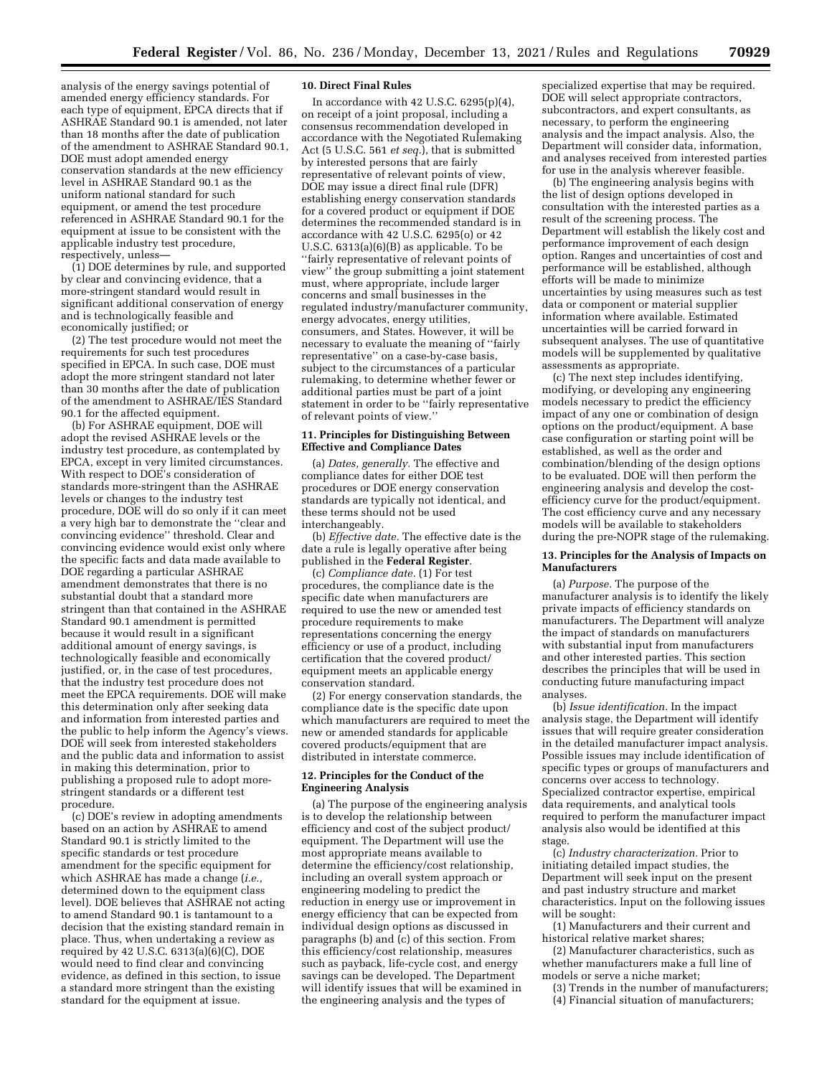analysis of the energy savings potential of amended energy efficiency standards. For each type of equipment, EPCA directs that if ASHRAE Standard 90.1 is amended, not later than 18 months after the date of publication of the amendment to ASHRAE Standard 90.1, DOE must adopt amended energy conservation standards at the new efficiency level in ASHRAE Standard 90.1 as the uniform national standard for such equipment, or amend the test procedure referenced in ASHRAE Standard 90.1 for the equipment at issue to be consistent with the applicable industry test procedure, respectively, unless—

(1) DOE determines by rule, and supported by clear and convincing evidence, that a more-stringent standard would result in significant additional conservation of energy and is technologically feasible and economically justified; or

(2) The test procedure would not meet the requirements for such test procedures specified in EPCA. In such case, DOE must adopt the more stringent standard not later than 30 months after the date of publication of the amendment to ASHRAE/IES Standard 90.1 for the affected equipment.

(b) For ASHRAE equipment, DOE will adopt the revised ASHRAE levels or the industry test procedure, as contemplated by EPCA, except in very limited circumstances. With respect to DOE's consideration of standards more-stringent than the ASHRAE levels or changes to the industry test procedure, DOE will do so only if it can meet a very high bar to demonstrate the ''clear and convincing evidence'' threshold. Clear and convincing evidence would exist only where the specific facts and data made available to DOE regarding a particular ASHRAE amendment demonstrates that there is no substantial doubt that a standard more stringent than that contained in the ASHRAE Standard 90.1 amendment is permitted because it would result in a significant additional amount of energy savings, is technologically feasible and economically justified, or, in the case of test procedures, that the industry test procedure does not meet the EPCA requirements. DOE will make this determination only after seeking data and information from interested parties and the public to help inform the Agency's views. DOE will seek from interested stakeholders and the public data and information to assist in making this determination, prior to publishing a proposed rule to adopt morestringent standards or a different test procedure.

(c) DOE's review in adopting amendments based on an action by ASHRAE to amend Standard 90.1 is strictly limited to the specific standards or test procedure amendment for the specific equipment for which ASHRAE has made a change (*i.e.,*  determined down to the equipment class level). DOE believes that ASHRAE not acting to amend Standard 90.1 is tantamount to a decision that the existing standard remain in place. Thus, when undertaking a review as required by 42 U.S.C. 6313(a)(6)(C), DOE would need to find clear and convincing evidence, as defined in this section, to issue a standard more stringent than the existing standard for the equipment at issue.

#### **10. Direct Final Rules**

In accordance with 42 U.S.C. 6295(p)(4), on receipt of a joint proposal, including a consensus recommendation developed in accordance with the Negotiated Rulemaking Act (5 U.S.C. 561 *et seq.*), that is submitted by interested persons that are fairly representative of relevant points of view, DOE may issue a direct final rule (DFR) establishing energy conservation standards for a covered product or equipment if DOE determines the recommended standard is in accordance with 42 U.S.C. 6295(o) or 42 U.S.C. 6313(a)(6)(B) as applicable. To be ''fairly representative of relevant points of view'' the group submitting a joint statement must, where appropriate, include larger concerns and small businesses in the regulated industry/manufacturer community, energy advocates, energy utilities, consumers, and States. However, it will be necessary to evaluate the meaning of ''fairly representative'' on a case-by-case basis, subject to the circumstances of a particular rulemaking, to determine whether fewer or additional parties must be part of a joint statement in order to be ''fairly representative of relevant points of view.''

#### **11. Principles for Distinguishing Between Effective and Compliance Dates**

(a) *Dates, generally.* The effective and compliance dates for either DOE test procedures or DOE energy conservation standards are typically not identical, and these terms should not be used interchangeably.

(b) *Effective date.* The effective date is the date a rule is legally operative after being published in the **Federal Register**.

(c) *Compliance date.* (1) For test procedures, the compliance date is the specific date when manufacturers are required to use the new or amended test procedure requirements to make representations concerning the energy efficiency or use of a product, including certification that the covered product/ equipment meets an applicable energy conservation standard.

(2) For energy conservation standards, the compliance date is the specific date upon which manufacturers are required to meet the new or amended standards for applicable covered products/equipment that are distributed in interstate commerce.

#### **12. Principles for the Conduct of the Engineering Analysis**

(a) The purpose of the engineering analysis is to develop the relationship between efficiency and cost of the subject product/ equipment. The Department will use the most appropriate means available to determine the efficiency/cost relationship, including an overall system approach or engineering modeling to predict the reduction in energy use or improvement in energy efficiency that can be expected from individual design options as discussed in paragraphs (b) and (c) of this section. From this efficiency/cost relationship, measures such as payback, life-cycle cost, and energy savings can be developed. The Department will identify issues that will be examined in the engineering analysis and the types of

specialized expertise that may be required. DOE will select appropriate contractors, subcontractors, and expert consultants, as necessary, to perform the engineering analysis and the impact analysis. Also, the Department will consider data, information, and analyses received from interested parties for use in the analysis wherever feasible.

(b) The engineering analysis begins with the list of design options developed in consultation with the interested parties as a result of the screening process. The Department will establish the likely cost and performance improvement of each design option. Ranges and uncertainties of cost and performance will be established, although efforts will be made to minimize uncertainties by using measures such as test data or component or material supplier information where available. Estimated uncertainties will be carried forward in subsequent analyses. The use of quantitative models will be supplemented by qualitative assessments as appropriate.

(c) The next step includes identifying, modifying, or developing any engineering models necessary to predict the efficiency impact of any one or combination of design options on the product/equipment. A base case configuration or starting point will be established, as well as the order and combination/blending of the design options to be evaluated. DOE will then perform the engineering analysis and develop the costefficiency curve for the product/equipment. The cost efficiency curve and any necessary models will be available to stakeholders during the pre-NOPR stage of the rulemaking.

#### **13. Principles for the Analysis of Impacts on Manufacturers**

(a) *Purpose.* The purpose of the manufacturer analysis is to identify the likely private impacts of efficiency standards on manufacturers. The Department will analyze the impact of standards on manufacturers with substantial input from manufacturers and other interested parties. This section describes the principles that will be used in conducting future manufacturing impact analyses.

(b) *Issue identification.* In the impact analysis stage, the Department will identify issues that will require greater consideration in the detailed manufacturer impact analysis. Possible issues may include identification of specific types or groups of manufacturers and concerns over access to technology. Specialized contractor expertise, empirical data requirements, and analytical tools required to perform the manufacturer impact analysis also would be identified at this stage.

(c) *Industry characterization.* Prior to initiating detailed impact studies, the Department will seek input on the present and past industry structure and market characteristics. Input on the following issues will be sought:

(1) Manufacturers and their current and historical relative market shares;

(2) Manufacturer characteristics, such as whether manufacturers make a full line of models or serve a niche market;

(3) Trends in the number of manufacturers;

(4) Financial situation of manufacturers;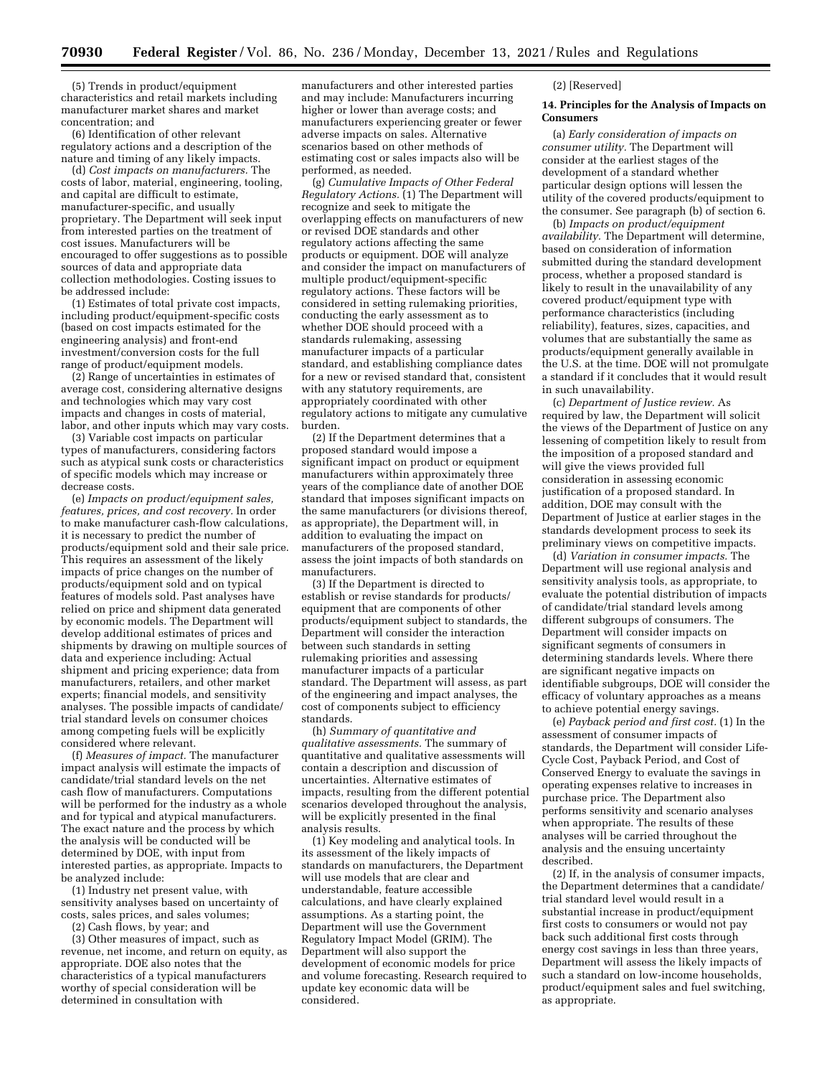(5) Trends in product/equipment characteristics and retail markets including manufacturer market shares and market concentration; and

(6) Identification of other relevant regulatory actions and a description of the nature and timing of any likely impacts.

(d) *Cost impacts on manufacturers.* The costs of labor, material, engineering, tooling, and capital are difficult to estimate, manufacturer-specific, and usually proprietary. The Department will seek input from interested parties on the treatment of cost issues. Manufacturers will be encouraged to offer suggestions as to possible sources of data and appropriate data collection methodologies. Costing issues to be addressed include:

(1) Estimates of total private cost impacts, including product/equipment-specific costs (based on cost impacts estimated for the engineering analysis) and front-end investment/conversion costs for the full range of product/equipment models.

(2) Range of uncertainties in estimates of average cost, considering alternative designs and technologies which may vary cost impacts and changes in costs of material, labor, and other inputs which may vary costs.

(3) Variable cost impacts on particular types of manufacturers, considering factors such as atypical sunk costs or characteristics of specific models which may increase or decrease costs.

(e) *Impacts on product/equipment sales, features, prices, and cost recovery.* In order to make manufacturer cash-flow calculations, it is necessary to predict the number of products/equipment sold and their sale price. This requires an assessment of the likely impacts of price changes on the number of products/equipment sold and on typical features of models sold. Past analyses have relied on price and shipment data generated by economic models. The Department will develop additional estimates of prices and shipments by drawing on multiple sources of data and experience including: Actual shipment and pricing experience; data from manufacturers, retailers, and other market experts; financial models, and sensitivity analyses. The possible impacts of candidate/ trial standard levels on consumer choices among competing fuels will be explicitly considered where relevant.

(f) *Measures of impact.* The manufacturer impact analysis will estimate the impacts of candidate/trial standard levels on the net cash flow of manufacturers. Computations will be performed for the industry as a whole and for typical and atypical manufacturers. The exact nature and the process by which the analysis will be conducted will be determined by DOE, with input from interested parties, as appropriate. Impacts to be analyzed include:

(1) Industry net present value, with sensitivity analyses based on uncertainty of costs, sales prices, and sales volumes;

(2) Cash flows, by year; and

(3) Other measures of impact, such as revenue, net income, and return on equity, as appropriate. DOE also notes that the characteristics of a typical manufacturers worthy of special consideration will be determined in consultation with

manufacturers and other interested parties and may include: Manufacturers incurring higher or lower than average costs; and manufacturers experiencing greater or fewer adverse impacts on sales. Alternative scenarios based on other methods of estimating cost or sales impacts also will be performed, as needed.

(g) *Cumulative Impacts of Other Federal Regulatory Actions.* (1) The Department will recognize and seek to mitigate the overlapping effects on manufacturers of new or revised DOE standards and other regulatory actions affecting the same products or equipment. DOE will analyze and consider the impact on manufacturers of multiple product/equipment-specific regulatory actions. These factors will be considered in setting rulemaking priorities, conducting the early assessment as to whether DOE should proceed with a standards rulemaking, assessing manufacturer impacts of a particular standard, and establishing compliance dates for a new or revised standard that, consistent with any statutory requirements, are appropriately coordinated with other regulatory actions to mitigate any cumulative burden.

(2) If the Department determines that a proposed standard would impose a significant impact on product or equipment manufacturers within approximately three years of the compliance date of another DOE standard that imposes significant impacts on the same manufacturers (or divisions thereof, as appropriate), the Department will, in addition to evaluating the impact on manufacturers of the proposed standard, assess the joint impacts of both standards on manufacturers.

(3) If the Department is directed to establish or revise standards for products/ equipment that are components of other products/equipment subject to standards, the Department will consider the interaction between such standards in setting rulemaking priorities and assessing manufacturer impacts of a particular standard. The Department will assess, as part of the engineering and impact analyses, the cost of components subject to efficiency standards.

(h) *Summary of quantitative and qualitative assessments.* The summary of quantitative and qualitative assessments will contain a description and discussion of uncertainties. Alternative estimates of impacts, resulting from the different potential scenarios developed throughout the analysis, will be explicitly presented in the final analysis results.

(1) Key modeling and analytical tools. In its assessment of the likely impacts of standards on manufacturers, the Department will use models that are clear and understandable, feature accessible calculations, and have clearly explained assumptions. As a starting point, the Department will use the Government Regulatory Impact Model (GRIM). The Department will also support the development of economic models for price and volume forecasting. Research required to update key economic data will be considered.

(2) [Reserved]

### **14. Principles for the Analysis of Impacts on Consumers**

(a) *Early consideration of impacts on consumer utility.* The Department will consider at the earliest stages of the development of a standard whether particular design options will lessen the utility of the covered products/equipment to the consumer. See paragraph (b) of section 6.

(b) *Impacts on product/equipment availability.* The Department will determine, based on consideration of information submitted during the standard development process, whether a proposed standard is likely to result in the unavailability of any covered product/equipment type with performance characteristics (including reliability), features, sizes, capacities, and volumes that are substantially the same as products/equipment generally available in the U.S. at the time. DOE will not promulgate a standard if it concludes that it would result in such unavailability.

(c) *Department of Justice review.* As required by law, the Department will solicit the views of the Department of Justice on any lessening of competition likely to result from the imposition of a proposed standard and will give the views provided full consideration in assessing economic justification of a proposed standard. In addition, DOE may consult with the Department of Justice at earlier stages in the standards development process to seek its preliminary views on competitive impacts.

(d) *Variation in consumer impacts.* The Department will use regional analysis and sensitivity analysis tools, as appropriate, to evaluate the potential distribution of impacts of candidate/trial standard levels among different subgroups of consumers. The Department will consider impacts on significant segments of consumers in determining standards levels. Where there are significant negative impacts on identifiable subgroups, DOE will consider the efficacy of voluntary approaches as a means to achieve potential energy savings.

(e) *Payback period and first cost.* (1) In the assessment of consumer impacts of standards, the Department will consider Life-Cycle Cost, Payback Period, and Cost of Conserved Energy to evaluate the savings in operating expenses relative to increases in purchase price. The Department also performs sensitivity and scenario analyses when appropriate. The results of these analyses will be carried throughout the analysis and the ensuing uncertainty described.

(2) If, in the analysis of consumer impacts, the Department determines that a candidate/ trial standard level would result in a substantial increase in product/equipment first costs to consumers or would not pay back such additional first costs through energy cost savings in less than three years, Department will assess the likely impacts of such a standard on low-income households, product/equipment sales and fuel switching, as appropriate.